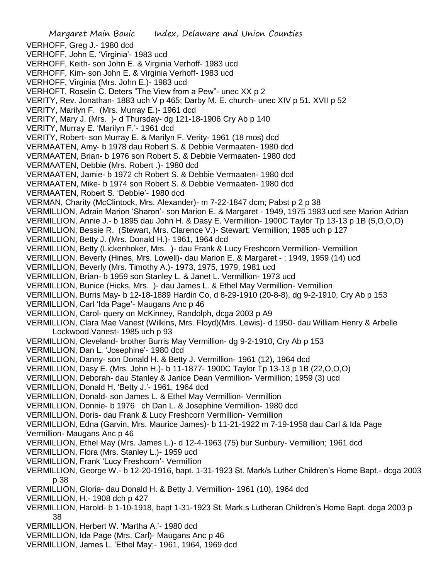Margaret Main Bouic Index, Delaware and Union Counties VERHOFF, Greg J.- 1980 dcd VERHOFF, John E. 'Virginia'- 1983 ucd VERHOFF, Keith- son John E. & Virginia Verhoff- 1983 ucd VERHOFF, Kim- son John E. & Virginia Verhoff- 1983 ucd VERHOFF, Virginia (Mrs. John E.)- 1983 ucd VERHOFT, Roselin C. Deters "The View from a Pew"- unec XX p 2 VERITY, Rev. Jonathan- 1883 uch V p 465; Darby M. E. church- unec XIV p 51. XVII p 52 VERITY, Marilyn F. (Mrs. Murray E.)- 1961 dcd VERITY, Mary J. (Mrs. )- d Thursday- dg 121-18-1906 Cry Ab p 140 VERITY, Murray E. 'Marilyn F.'- 1961 dcd VERITY, Robert- son Murray E. & Marilyn F. Verity- 1961 (18 mos) dcd VERMAATEN, Amy- b 1978 dau Robert S. & Debbie Vermaaten- 1980 dcd VERMAATEN, Brian- b 1976 son Robert S. & Debbie Vermaaten- 1980 dcd VERMAATEN, Debbie (Mrs. Robert .)- 1980 dcd VERMAATEN, Jamie- b 1972 ch Robert S. & Debbie Vermaaten- 1980 dcd VERMAATEN, Mike- b 1974 son Robert S. & Debbie Vermaaten- 1980 dcd VERMAATEN, Robert S. 'Debbie'- 1980 dcd VERMAN, Charity (McClintock, Mrs. Alexander)- m 7-22-1847 dcm; Pabst p 2 p 38 VERMILLION, Adrain Marion 'Sharon'- son Marion E. & Margaret - 1949, 1975 1983 ucd see Marion Adrian VERMILLION, Annie J.- b 1895 dau John H. & Dasy E. Vermillion- 1900C Taylor Tp 13-13 p 1B (5,O,O,O) VERMILLION, Bessie R. (Stewart, Mrs. Clarence V.)- Stewart; Vermillion; 1985 uch p 127 VERMILLION, Betty J. (Mrs. Donald H.)- 1961, 1964 dcd VERMILLION, Betty (Lickenhoker, Mrs. )- dau Frank & Lucy Freshcorn Vermillion- Vermillion VERMILLION, Beverly (Hines, Mrs. Lowell)- dau Marion E. & Margaret - ; 1949, 1959 (14) ucd VERMILLION, Beverly (Mrs. Timothy A.)- 1973, 1975, 1979, 1981 ucd VERMILLION, Brian- b 1959 son Stanley L. & Janet L. Vermillion- 1973 ucd VERMILLION, Bunice (Hicks, Mrs. )- dau James L. & Ethel May Vermillion- Vermillion VERMILLION, Burris May- b 12-18-1889 Hardin Co, d 8-29-1910 (20-8-8), dg 9-2-1910, Cry Ab p 153 VERMILLION, Carl 'Ida Page'- Maugans Anc p 46 VERMILLION, Carol- query on McKinney, Randolph, dcga 2003 p A9 VERMILLION, Clara Mae Vanest (Wilkins, Mrs. Floyd)(Mrs. Lewis)- d 1950- dau William Henry & Arbelle Lockwood Vanest- 1985 uch p 93 VERMILLION, Cleveland- brother Burris May Vermillion- dg 9-2-1910, Cry Ab p 153 VERMILLION, Dan L. 'Josephine'- 1980 dcd VERMILLION, Danny- son Donald H. & Betty J. Vermillion- 1961 (12), 1964 dcd VERMILLION, Dasy E. (Mrs. John H.)- b 11-1877- 1900C Taylor Tp 13-13 p 1B (22,O,O,O) VERMILLION, Deborah- dau Stanley & Janice Dean Vermillion- Vermillion; 1959 (3) ucd VERMILLION, Donald H. 'Betty J.'- 1961, 1964 dcd VERMILLION, Donald- son James L. & Ethel May Vermillion- Vermillion VERMILLION, Donnie- b 1976 ch Dan L. & Josephine Vermillion- 1980 dcd VERMILLION, Doris- dau Frank & Lucy Freshcorn Vermillion- Vermillion VERMILLION, Edna (Garvin, Mrs. Maurice James)- b 11-21-1922 m 7-19-1958 dau Carl & Ida Page Vermillion- Maugans Anc p 46 VERMILLION, Ethel May (Mrs. James L.)- d 12-4-1963 (75) bur Sunbury- Vermillion; 1961 dcd VERMILLION, Flora (Mrs. Stanley L.)- 1959 ucd VERMILLION, Frank 'Lucy Freshcorn'- Vermillion VERMILLION, George W.- b 12-20-1916, bapt. 1-31-1923 St. Mark/s Luther Children's Home Bapt.- dcga 2003 p 38 VERMILLION, Gloria- dau Donald H. & Betty J. Vermillion- 1961 (10), 1964 dcd VERMILLION, H.- 1908 dch p 427 VERMILLION, Harold- b 1-10-1918, bapt 1-31-1923 St. Mark.s Lutheran Children's Home Bapt. dcga 2003 p 38 VERMILLION, Herbert W. 'Martha A.'- 1980 dcd VERMILLION, Ida Page (Mrs. Carl)- Maugans Anc p 46 VERMILLION, James L. 'Ethel May;- 1961, 1964, 1969 dcd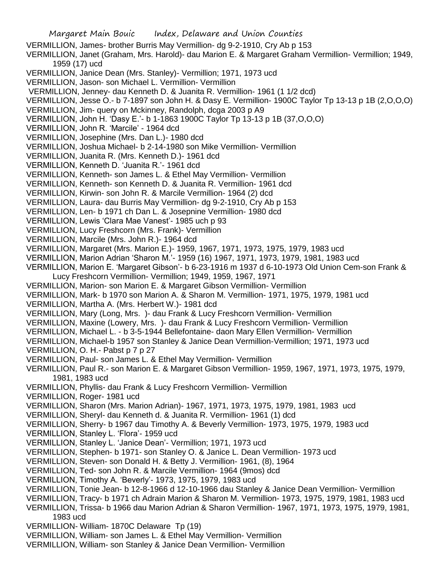Margaret Main Bouic Index, Delaware and Union Counties VERMILLION, James- brother Burris May Vermillion- dg 9-2-1910, Cry Ab p 153 VERMILLION, Janet (Graham, Mrs. Harold)- dau Marion E. & Margaret Graham Vermillion- Vermillion; 1949, 1959 (17) ucd VERMILLION, Janice Dean (Mrs. Stanley)- Vermillion; 1971, 1973 ucd VERMILLION, Jason- son Michael L. Vermillion- Vermillion VERMILLION, Jenney- dau Kenneth D. & Juanita R. Vermillion- 1961 (1 1/2 dcd) VERMILLION, Jesse O.- b 7-1897 son John H. & Dasy E. Vermillion- 1900C Taylor Tp 13-13 p 1B (2,O,O,O) VERMILLION, Jim- query on Mckinney, Randolph, dcga 2003 p A9 VERMILLION, John H. 'Dasy E.'- b 1-1863 1900C Taylor Tp 13-13 p 1B (37,O,O,O) VERMILLION, John R. 'Marcile' - 1964 dcd VERMILLION, Josephine (Mrs. Dan L.)- 1980 dcd VERMILLION, Joshua Michael- b 2-14-1980 son Mike Vermillion- Vermillion VERMILLION, Juanita R. (Mrs. Kenneth D.)- 1961 dcd VERMILLION, Kenneth D. 'Juanita R.'- 1961 dcd VERMILLION, Kenneth- son James L. & Ethel May Vermillion- Vermillion VERMILLION, Kenneth- son Kenneth D. & Juanita R. Vermillion- 1961 dcd VERMILLION, Kirwin- son John R. & Marcile Vermillion- 1964 (2) dcd VERMILLION, Laura- dau Burris May Vermillion- dg 9-2-1910, Cry Ab p 153 VERMILLION, Len- b 1971 ch Dan L. & Josepnine Vermillion- 1980 dcd VERMILLION, Lewis 'Clara Mae Vanest'- 1985 uch p 93 VERMILLION, Lucy Freshcorn (Mrs. Frank)- Vermillion VERMILLION, Marcile (Mrs. John R.)- 1964 dcd VERMILLION, Margaret (Mrs. Marion E.)- 1959, 1967, 1971, 1973, 1975, 1979, 1983 ucd VERMILLION, Marion Adrian 'Sharon M.'- 1959 (16) 1967, 1971, 1973, 1979, 1981, 1983 ucd VERMILLION, Marion E. 'Margaret Gibson'- b 6-23-1916 m 1937 d 6-10-1973 Old Union Cem-son Frank & Lucy Freshcorn Vermillion- Vermillion; 1949, 1959, 1967, 1971 VERMILLION, Marion- son Marion E. & Margaret Gibson Vermillion- Vermillion VERMILLION, Mark- b 1970 son Marion A. & Sharon M. Vermillion- 1971, 1975, 1979, 1981 ucd VERMILLION, Martha A. (Mrs. Herbert W.)- 1981 dcd VERMILLION, Mary (Long, Mrs. )- dau Frank & Lucy Freshcorn Vermillion- Vermillion VERMILLION, Maxine (Lowery, Mrs. )- dau Frank & Lucy Freshcorn Vermillion- Vermillion VERMILLION, Michael L. - b 3-5-1944 Bellefontaine- daon Mary Ellen Vermillion- Vermillion VERMILLION, Michael-b 1957 son Stanley & Janice Dean Vermillion-Vermillion; 1971, 1973 ucd VERMILLION, O. H.- Pabst p 7 p 27 VERMILLION, Paul- son James L. & Ethel May Vermillion- Vermillion VERMILLION, Paul R.- son Marion E. & Margaret Gibson Vermillion- 1959, 1967, 1971, 1973, 1975, 1979, 1981, 1983 ucd VERMILLION, Phyllis- dau Frank & Lucy Freshcorn Vermillion- Vermillion VERMILLION, Roger- 1981 ucd VERMILLION, Sharon (Mrs. Marion Adrian)- 1967, 1971, 1973, 1975, 1979, 1981, 1983 ucd VERMILLION, Sheryl- dau Kenneth d. & Juanita R. Vermillion- 1961 (1) dcd VERMILLION, Sherry- b 1967 dau Timothy A. & Beverly Vermillion- 1973, 1975, 1979, 1983 ucd VERMILLION, Stanley L. 'Flora'- 1959 ucd VERMILLION, Stanley L. 'Janice Dean'- Vermillion; 1971, 1973 ucd VERMILLION, Stephen- b 1971- son Stanley O. & Janice L. Dean Vermillion- 1973 ucd VERMILLION, Steven- son Donald H. & Betty J. Vermillion- 1961, (8), 1964 VERMILLION, Ted- son John R. & Marcile Vermillion- 1964 (9mos) dcd VERMILLION, Timothy A. 'Beverly'- 1973, 1975, 1979, 1983 ucd VERMILLION, Tonie Jean- b 12-8-1966 d 12-10-1966 dau Stanley & Janice Dean Vermillion- Vermillion VERMILLION, Tracy- b 1971 ch Adrain Marion & Sharon M. Vermillion- 1973, 1975, 1979, 1981, 1983 ucd VERMILLION, Trissa- b 1966 dau Marion Adrian & Sharon Vermillion- 1967, 1971, 1973, 1975, 1979, 1981, 1983 ucd VERMILLION- William- 1870C Delaware Tp (19) VERMILLION, William- son James L. & Ethel May Vermillion- Vermillion VERMILLION, William- son Stanley & Janice Dean Vermillion- Vermillion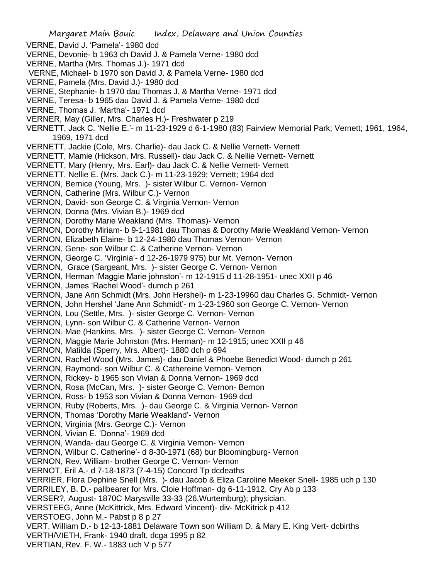- VERNE, David J. 'Pamela'- 1980 dcd
- VERNE, Devonie- b 1963 ch David J. & Pamela Verne- 1980 dcd
- VERNE, Martha (Mrs. Thomas J.)- 1971 dcd
- VERNE, Michael- b 1970 son David J. & Pamela Verne- 1980 dcd
- VERNE, Pamela (Mrs. David J.)- 1980 dcd
- VERNE, Stephanie- b 1970 dau Thomas J. & Martha Verne- 1971 dcd
- VERNE, Teresa- b 1965 dau David J. & Pamela Verne- 1980 dcd
- VERNE, Thomas J. 'Martha'- 1971 dcd
- VERNER, May (Giller, Mrs. Charles H.)- Freshwater p 219

VERNETT, Jack C. 'Nellie E.'- m 11-23-1929 d 6-1-1980 (83) Fairview Memorial Park; Vernett; 1961, 1964, 1969, 1971 dcd

- VERNETT, Jackie (Cole, Mrs. Charlie)- dau Jack C. & Nellie Vernett- Vernett
- VERNETT, Mamie (Hickson, Mrs. Russell)- dau Jack C. & Nellie Vernett- Vernett
- VERNETT, Mary (Henry, Mrs. Earl)- dau Jack C. & Nellie Vernett- Vernett
- VERNETT, Nellie E. (Mrs. Jack C.)- m 11-23-1929; Vernett; 1964 dcd
- VERNON, Bernice (Young, Mrs. )- sister Wilbur C. Vernon- Vernon
- VERNON, Catherine (Mrs. Wilbur C.)- Vernon
- VERNON, David- son George C. & Virginia Vernon- Vernon
- VERNON, Donna (Mrs. Vivian B.)- 1969 dcd
- VERNON, Dorothy Marie Weakland (Mrs. Thomas)- Vernon
- VERNON, Dorothy Miriam- b 9-1-1981 dau Thomas & Dorothy Marie Weakland Vernon- Vernon
- VERNON, Elizabeth Elaine- b 12-24-1980 dau Thomas Vernon- Vernon
- VERNON, Gene- son Wilbur C. & Catherine Vernon- Vernon
- VERNON, George C. 'Virginia'- d 12-26-1979 975) bur Mt. Vernon- Vernon
- VERNON, Grace (Sargeant, Mrs. )- sister George C. Vernon- Vernon
- VERNON, Herman 'Maggie Marie johnston'- m 12-1915 d 11-28-1951- unec XXII p 46
- VERNON, James 'Rachel Wood'- dumch p 261
- VERNON, Jane Ann Schmidt (Mrs. John Hershel)- m 1-23-19960 dau Charles G. Schmidt- Vernon
- VERNON, John Hershel 'Jane Ann Schmidt'- m 1-23-1960 son George C. Vernon- Vernon
- VERNON, Lou (Settle, Mrs. )- sister George C. Vernon- Vernon
- VERNON, Lynn- son Wilbur C. & Catherine Vernon- Vernon
- VERNON, Mae (Hankins, Mrs. )- sister George C. Vernon- Vernon
- VERNON, Maggie Marie Johnston (Mrs. Herman)- m 12-1915; unec XXII p 46
- VERNON, Matilda (Sperry, Mrs. Albert)- 1880 dch p 694
- VERNON, Rachel Wood (Mrs. James)- dau Daniel & Phoebe Benedict Wood- dumch p 261
- VERNON, Raymond- son Wilbur C. & Cathereine Vernon- Vernon
- VERNON, Rickey- b 1965 son Vivian & Donna Vernon- 1969 dcd
- VERNON, Rosa (McCan, Mrs. )- sister George C. Vernon- Bernon
- VERNON, Ross- b 1953 son Vivian & Donna Vernon- 1969 dcd
- VERNON, Ruby (Roberts, Mrs. )- dau George C. & Virginia Vernon- Vernon
- VERNON, Thomas 'Dorothy Marie Weakland'- Vernon
- VERNON, Virginia (Mrs. George C.)- Vernon
- VERNON, Vivian E. 'Donna'- 1969 dcd
- VERNON, Wanda- dau George C. & Virginia Vernon- Vernon
- VERNON, Wilbur C. Catherine'- d 8-30-1971 (68) bur Bloomingburg- Vernon
- VERNON, Rev. William- brother George C. Vernon- Vernon
- VERNOT, Eril A.- d 7-18-1873 (7-4-15) Concord Tp dcdeaths
- VERRIER, Flora Dephine Snell (Mrs. )- dau Jacob & Eliza Caroline Meeker Snell- 1985 uch p 130
- VERRILEY, B. D.- pallbearer for Mrs. Cloie Hoffman- dg 6-11-1912, Cry Ab p 133
- VERSER?, August- 1870C Marysville 33-33 (26,Wurtemburg); physician.
- VERSTEEG, Anne (McKittrick, Mrs. Edward Vincent)- div- McKitrick p 412
- VERSTOEG, John M.- Pabst p 8 p 27
- VERT, William D.- b 12-13-1881 Delaware Town son William D. & Mary E. King Vert- dcbirths
- VERTH/VIETH, Frank- 1940 draft, dcga 1995 p 82
- VERTIAN, Rev. F. W.- 1883 uch V p 577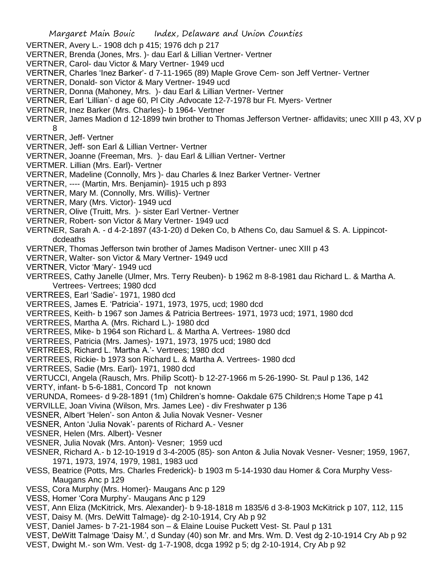- VERTNER, Avery L.- 1908 dch p 415; 1976 dch p 217
- VERTNER, Brenda (Jones, Mrs. )- dau Earl & Lillian Vertner- Vertner
- VERTNER, Carol- dau Victor & Mary Vertner- 1949 ucd
- VERTNER, Charles 'Inez Barker'- d 7-11-1965 (89) Maple Grove Cem- son Jeff Vertner- Vertner
- VERTNER, Donald- son Victor & Mary Vertner- 1949 ucd
- VERTNER, Donna (Mahoney, Mrs. )- dau Earl & Lillian Vertner- Vertner
- VERTNER, Earl 'Lillian'- d age 60, Pl City .Advocate 12-7-1978 bur Ft. Myers- Vertner
- VERTNER, Inez Barker (Mrs. Charles)- b 1964- Vertner
- VERTNER, James Madion d 12-1899 twin brother to Thomas Jefferson Vertner- affidavits; unec XIII p 43, XV p 8
- VERTNER, Jeff- Vertner
- VERTNER, Jeff- son Earl & Lillian Vertner- Vertner
- VERTNER, Joanne (Freeman, Mrs. )- dau Earl & Lillian Vertner- Vertner
- VERTMER. Lillian (Mrs. Earl)- Vertner
- VERTNER, Madeline (Connolly, Mrs )- dau Charles & Inez Barker Vertner- Vertner
- VERTNER, ---- (Martin, Mrs. Benjamin)- 1915 uch p 893
- VERTNER, Mary M. (Connolly, Mrs. Willis)- Vertner
- VERTNER, Mary (Mrs. Victor)- 1949 ucd
- VERTNER, Olive (Truitt, Mrs. )- sister Earl Vertner- Vertner
- VERTNER, Robert- son Victor & Mary Vertner- 1949 ucd
- VERTNER, Sarah A. d 4-2-1897 (43-1-20) d Deken Co, b Athens Co, dau Samuel & S. A. Lippincotdcdeaths
- VERTNER, Thomas Jefferson twin brother of James Madison Vertner- unec XIII p 43
- VERTNER, Walter- son Victor & Mary Vertner- 1949 ucd
- VERTNER, Victor 'Mary'- 1949 ucd
- VERTREES, Cathy Janelle (Ulmer, Mrs. Terry Reuben)- b 1962 m 8-8-1981 dau Richard L. & Martha A. Vertrees- Vertrees; 1980 dcd
- VERTREES, Earl 'Sadie'- 1971, 1980 dcd
- VERTREES, James E. 'Patricia'- 1971, 1973, 1975, ucd; 1980 dcd
- VERTREES, Keith- b 1967 son James & Patricia Bertrees- 1971, 1973 ucd; 1971, 1980 dcd
- VERTREES, Martha A. (Mrs. Richard L.)- 1980 dcd
- VERTREES, Mike- b 1964 son Richard L. & Martha A. Vertrees- 1980 dcd
- VERTREES, Patricia (Mrs. James)- 1971, 1973, 1975 ucd; 1980 dcd
- VERTREES, Richard L. 'Martha A.'- Vertrees; 1980 dcd
- VERTREES, Rickie- b 1973 son Richard L. & Martha A. Vertrees- 1980 dcd
- VERTREES, Sadie (Mrs. Earl)- 1971, 1980 dcd
- VERTUCCI, Angela (Rausch, Mrs. Philip Scott)- b 12-27-1966 m 5-26-1990- St. Paul p 136, 142
- VERTY, infant- b 5-6-1881, Concord Tp not known
- VERUNDA, Romees- d 9-28-1891 (1m) Children's homne- Oakdale 675 Children;s Home Tape p 41
- VERVILLE, Joan Vivina (Wilson, Mrs. James Lee) div Freshwater p 136
- VESNER, Albert 'Helen'- son Anton & Julia Novak Vesner- Vesner
- VESNER, Anton 'Julia Novak'- parents of Richard A.- Vesner
- VESNER, Helen (Mrs. Albert)- Vesner
- VESNER, Julia Novak (Mrs. Anton)- Vesner; 1959 ucd
- VESNER, Richard A.- b 12-10-1919 d 3-4-2005 (85)- son Anton & Julia Novak Vesner- Vesner; 1959, 1967, 1971, 1973, 1974, 1979, 1981, 1983 ucd
- VESS, Beatrice (Potts, Mrs. Charles Frederick)- b 1903 m 5-14-1930 dau Homer & Cora Murphy Vess-Maugans Anc p 129
- VESS, Cora Murphy (Mrs. Homer)- Maugans Anc p 129
- VESS, Homer 'Cora Murphy'- Maugans Anc p 129
- VEST, Ann Eliza (McKitrick, Mrs. Alexander)- b 9-18-1818 m 1835/6 d 3-8-1903 McKitrick p 107, 112, 115
- VEST, Daisy M. (Mrs. DeWitt Talmage)- dg 2-10-1914, Cry Ab p 92
- VEST, Daniel James- b 7-21-1984 son & Elaine Louise Puckett Vest- St. Paul p 131
- VEST, DeWitt Talmage 'Daisy M.', d Sunday (40) son Mr. and Mrs. Wm. D. Vest dg 2-10-1914 Cry Ab p 92
- VEST, Dwight M.- son Wm. Vest- dg 1-7-1908, dcga 1992 p 5; dg 2-10-1914, Cry Ab p 92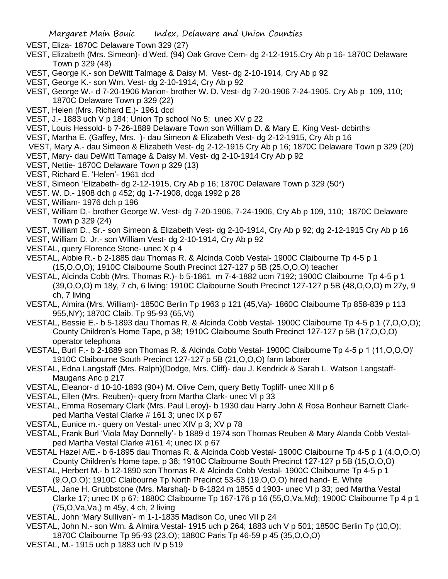- VEST, Eliza- 1870C Delaware Town 329 (27)
- VEST, Elizabeth (Mrs. Simeon)- d Wed. (94) Oak Grove Cem- dg 2-12-1915,Cry Ab p 16- 1870C Delaware Town p 329 (48)
- VEST, George K.- son DeWitt Talmage & Daisy M. Vest- dg 2-10-1914, Cry Ab p 92
- VEST, George K.- son Wm. Vest- dg 2-10-1914, Cry Ab p 92
- VEST, George W.- d 7-20-1906 Marion- brother W. D. Vest- dg 7-20-1906 7-24-1905, Cry Ab p 109, 110; 1870C Delaware Town p 329 (22)
- VEST, Helen (Mrs. Richard E.)- 1961 dcd
- VEST, J.- 1883 uch V p 184; Union Tp school No 5; unec XV p 22
- VEST, Louis Hessold- b 7-26-1889 Delaware Town son William D. & Mary E. King Vest- dcbirths
- VEST, Martha E. (Gaffey, Mrs. )- dau Simeon & Elizabeth Vest- dg 2-12-1915, Cry Ab p 16
- VEST, Mary A.- dau Simeon & Elizabeth Vest- dg 2-12-1915 Cry Ab p 16; 1870C Delaware Town p 329 (20)
- VEST, Mary- dau DeWitt Tamage & Daisy M. Vest- dg 2-10-1914 Cry Ab p 92
- VEST, Nettie- 1870C Delaware Town p 329 (13)
- VEST, Richard E. 'Helen'- 1961 dcd
- VEST, Simeon 'Elizabeth- dg 2-12-1915, Cry Ab p 16; 1870C Delaware Town p 329 (50\*)
- VEST. W. D.- 1908 dch p 452; dg 1-7-1908, dcga 1992 p 28
- VEST, William- 1976 dch p 196
- VEST, William D,- brother George W. Vest- dg 7-20-1906, 7-24-1906, Cry Ab p 109, 110; 1870C Delaware Town p 329 (24)
- VEST, William D., Sr.- son Simeon & Elizabeth Vest- dg 2-10-1914, Cry Ab p 92; dg 2-12-1915 Cry Ab p 16
- VEST, William D. Jr.- son William Vest- dg 2-10-1914, Cry Ab p 92
- VESTAL, query Florence Stone- unec X p 4
- VESTAL, Abbie R.- b 2-1885 dau Thomas R. & Alcinda Cobb Vestal- 1900C Claibourne Tp 4-5 p 1 (15,O,O,O); 1910C Claibourne South Precinct 127-127 p 5B (25,O,O,O) teacher
- VESTAL, Alcinda Cobb (Mrs. Thomas R.)- b 5-1861 m 7-4-1882 ucm 7192; 1900C Claibourne Tp 4-5 p 1 (39,O,O,O) m 18y, 7 ch, 6 living; 1910C Claibourne South Precinct 127-127 p 5B (48,O,O,O) m 27y, 9 ch, 7 living
- VESTAL, Almira (Mrs. William)- 1850C Berlin Tp 1963 p 121 (45,Va)- 1860C Claibourne Tp 858-839 p 113 955,NY); 1870C Claib. Tp 95-93 (65,Vt)
- VESTAL, Bessie E.- b 5-1893 dau Thomas R. & Alcinda Cobb Vestal- 1900C Claibourne Tp 4-5 p 1 (7,O,O,O); County Children's Home Tape, p 38; 1910C Claibourne South Precinct 127-127 p 5B (17,O,O,O) operator telephona
- VESTAL, Burl F.- b 2-1889 son Thomas R. & Alcinda Cobb Vestal- 1900C Claibourne Tp 4-5 p 1 (11,O,O,O)' 1910C Claibourne South Precinct 127-127 p 5B (21,O,O,O) farm laborer
- VESTAL, Edna Langstaff (Mrs. Ralph)(Dodge, Mrs. Cliff)- dau J. Kendrick & Sarah L. Watson Langstaff-Maugans Anc p 217
- VESTAL, Eleanor- d 10-10-1893 (90+) M. Olive Cem, query Betty Topliff- unec XIII p 6
- VESTAL, Ellen (Mrs. Reuben)- query from Martha Clark- unec VI p 33
- VESTAL, Emma Rosemary Clark (Mrs. Paul Leroy)- b 1930 dau Harry John & Rosa Bonheur Barnett Clarkped Martha Vestal Clarke # 161 3; unec IX p 67
- VESTAL, Eunice m.- query on Vestal- unec XIV p 3; XV p 78
- VESTAL, Frank Burl 'Viola May Donnelly'- b 1889 d 1974 son Thomas Reuben & Mary Alanda Cobb Vestalped Martha Vestal Clarke #161 4; unec IX p 67
- VESTAL Hazel A/E.- b 6-1895 dau Thomas R. & Alcinda Cobb Vestal- 1900C Claibourne Tp 4-5 p 1 (4,O,O,O) County Children's Home tape, p 38; 1910C Claibourne South Precinct 127-127 p 5B (15,O,O,O)
- VESTAL, Herbert M.- b 12-1890 son Thomas R. & Alcinda Cobb Vestal- 1900C Claibourne Tp 4-5 p 1 (9,O,O,O); 1910C Claibourne Tp North Precinct 53-53 (19,O,O,O) hired hand- E. White
- VESTAL, Jane H. Grubbstone (Mrs. Marshal)- b 8-1824 m 1855 d 1903- unec VI p 33; ped Martha Vestal Clarke 17; unec IX p 67; 1880C Claibourne Tp 167-176 p 16 (55,O,Va,Md); 1900C Claibourne Tp 4 p 1 (75,O,Va,Va,) m 45y, 4 ch, 2 living
- VESTAL, John 'Mary Sullivan'- m 1-1-1835 Madison Co, unec VII p 24
- VESTAL, John N.- son Wm. & Almira Vestal- 1915 uch p 264; 1883 uch V p 501; 1850C Berlin Tp (10,O); 1870C Claibourne Tp 95-93 (23,O); 1880C Paris Tp 46-59 p 45 (35,O,O,O)
- VESTAL, M.- 1915 uch p 1883 uch IV p 519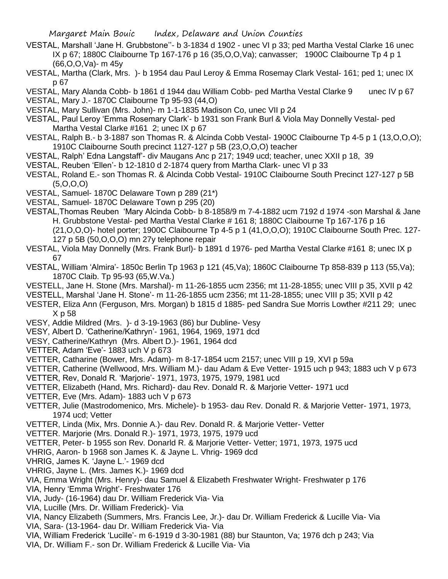- VESTAL, Marshall 'Jane H. Grubbstone''- b 3-1834 d 1902 unec VI p 33; ped Martha Vestal Clarke 16 unec IX p 67; 1880C Claibourne Tp 167-176 p 16 (35,O,O,Va); canvasser; 1900C Claibourne Tp 4 p 1 (66,O,O,Va)- m 45y
- VESTAL, Martha (Clark, Mrs. )- b 1954 dau Paul Leroy & Emma Rosemay Clark Vestal- 161; ped 1; unec IX p 67
- VESTAL, Mary Alanda Cobb- b 1861 d 1944 dau William Cobb- ped Martha Vestal Clarke 9 unec IV p 67 VESTAL, Mary J.- 1870C Claibourne Tp 95-93 (44,O)
- VESTAL, Mary Sullivan (Mrs. John)- m 1-1-1835 Madison Co, unec VII p 24
- VESTAL, Paul Leroy 'Emma Rosemary Clark'- b 1931 son Frank Burl & Viola May Donnelly Vestal- ped Martha Vestal Clarke #161 2; unec IX p 67
- VESTAL, Ralph B.- b 3-1887 son Thomas R. & Alcinda Cobb Vestal- 1900C Claibourne Tp 4-5 p 1 (13,O,O,O); 1910C Claibourne South precinct 1127-127 p 5B (23,O,O,O) teacher
- VESTAL, Ralph' Edna Langstaff'- div Maugans Anc p 217; 1949 ucd; teacher, unec XXII p 18, 39
- VESTAL, Reuben 'Ellen'- b 12-1810 d 2-1874 query from Martha Clark- unec VI p 33
- VESTAL, Roland E.- son Thomas R. & Alcinda Cobb Vestal- 1910C Claibourne South Precinct 127-127 p 5B (5,O,O,O)
- VESTAL, Samuel- 1870C Delaware Town p 289 (21\*)
- VESTAL, Samuel- 1870C Delaware Town p 295 (20)
- VESTAL,Thomas Reuben 'Mary Alcinda Cobb- b 8-1858/9 m 7-4-1882 ucm 7192 d 1974 -son Marshal & Jane H. Grubbstone Vestal- ped Martha Vestal Clarke # 161 8; 1880C Claibourne Tp 167-176 p 16 (21,O,O,O)- hotel porter; 1900C Claibourne Tp 4-5 p 1 (41,O,O,O); 1910C Claibourne South Prec. 127-
	- 127 p 5B (50,O,O,O) mn 27y telephone repair
- VESTAL, Viola May Donnelly (Mrs. Frank Burl)- b 1891 d 1976- ped Martha Vestal Clarke #161 8; unec IX p 67
- VESTAL, William 'Almira'- 1850c Berlin Tp 1963 p 121 (45,Va); 1860C Claibourne Tp 858-839 p 113 (55,Va); 1870C Claib. Tp 95-93 (65,W.Va.)
- VESTELL, Jane H. Stone (Mrs. Marshal)- m 11-26-1855 ucm 2356; mt 11-28-1855; unec VIII p 35, XVII p 42
- VESTELL, Marshal 'Jane H. Stone'- m 11-26-1855 ucm 2356; mt 11-28-1855; unec VIII p 35; XVII p 42
- VESTER, Eliza Ann (Ferguson, Mrs. Morgan) b 1815 d 1885- ped Sandra Sue Morris Lowther #211 29; unec X p 58
- VESY, Addie Mildred (Mrs. )- d 3-19-1963 (86) bur Dubline- Vesy
- VESY, Albert D. 'Catherine/Kathryn'- 1961, 1964, 1969, 1971 dcd
- VESY, Catherine/Kathryn (Mrs. Albert D.)- 1961, 1964 dcd
- VETTER, Adam 'Eve'- 1883 uch V p 673
- VETTER, Catharine (Bower, Mrs. Adam)- m 8-17-1854 ucm 2157; unec VIII p 19, XVI p 59a
- VETTER, Catherine (Wellwood, Mrs. William M.)- dau Adam & Eve Vetter- 1915 uch p 943; 1883 uch V p 673 VETTER, Rev, Donald R. 'Marjorie'- 1971, 1973, 1975, 1979, 1981 ucd
- VETTER, Elizabeth (Hand, Mrs. Richard)- dau Rev. Donald R. & Marjorie Vetter- 1971 ucd
- VETTER, Eve (Mrs. Adam)- 1883 uch V p 673
- VETTER, Julie (Mastrodomenico, Mrs. Michele)- b 1953- dau Rev. Donald R. & Marjorie Vetter- 1971, 1973, 1974 ucd; Vetter
- VETTER, Linda (Mix, Mrs. Donnie A.)- dau Rev. Donald R. & Marjorie Vetter- Vetter
- VETTER. Marjorie (Mrs. Donald R.)- 1971, 1973, 1975, 1979 ucd
- VETTER, Peter- b 1955 son Rev. Donarld R. & Marjorie Vetter- Vetter; 1971, 1973, 1975 ucd
- VHRIG, Aaron- b 1968 son James K. & Jayne L. Vhrig- 1969 dcd
- VHRIG, James K. 'Jayne L.'- 1969 dcd
- VHRIG, Jayne L. (Mrs. James K.)- 1969 dcd
- VIA, Emma Wright (Mrs. Henry)- dau Samuel & Elizabeth Freshwater Wright- Freshwater p 176
- VIA, Henry 'Emma Wright'- Freshwater 176
- VIA, Judy- (16-1964) dau Dr. William Frederick Via- Via
- VIA, Lucille (Mrs. Dr. William Frederick)- Via
- VIA, Nancy Elizabeth (Summers, Mrs. Francis Lee, Jr.)- dau Dr. William Frederick & Lucille Via- Via VIA, Sara- (13-1964- dau Dr. William Frederick Via- Via
- VIA, William Frederick 'Lucille'- m 6-1919 d 3-30-1981 (88) bur Staunton, Va; 1976 dch p 243; Via VIA, Dr. William F.- son Dr. William Frederick & Lucille Via- Via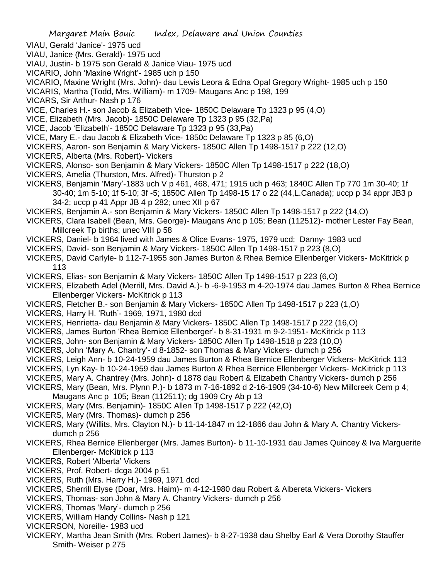- VIAU, Gerald 'Janice'- 1975 ucd
- VIAU, Janice (Mrs. Gerald)- 1975 ucd
- VIAU, Justin- b 1975 son Gerald & Janice Viau- 1975 ucd
- VICARIO, John 'Maxine Wright'- 1985 uch p 150
- VICARIO, Maxine Wright (Mrs. John)- dau Lewis Leora & Edna Opal Gregory Wright- 1985 uch p 150
- VICARIS, Martha (Todd, Mrs. William)- m 1709- Maugans Anc p 198, 199
- VICARS, Sir Arthur- Nash p 176
- VICE, Charles H.- son Jacob & Elizabeth Vice- 1850C Delaware Tp 1323 p 95 (4,O)
- VICE, Elizabeth (Mrs. Jacob)- 1850C Delaware Tp 1323 p 95 (32,Pa)
- VICE, Jacob 'Elizabeth'- 1850C Delaware Tp 1323 p 95 (33,Pa)
- VICE, Mary E.- dau Jacob & Elizabeth Vice- 1850c Delaware Tp 1323 p 85 (6,O)
- VICKERS, Aaron- son Benjamin & Mary Vickers- 1850C Allen Tp 1498-1517 p 222 (12,O)
- VICKERS, Alberta (Mrs. Robert)- Vickers
- VICKERS, Alonso- son Benjamin & Mary Vickers- 1850C Allen Tp 1498-1517 p 222 (18,O)
- VICKERS, Amelia (Thurston, Mrs. Alfred)- Thurston p 2
- VICKERS, Benjamin 'Mary'-1883 uch V p 461, 468, 471; 1915 uch p 463; 1840C Allen Tp 770 1m 30-40; 1f 30-40; 1m 5-10; 1f 5-10; 3f -5; 1850C Allen Tp 1498-15 17 o 22 (44,L.Canada); uccp p 34 appr JB3 p 34-2; uccp p 41 Appr JB 4 p 282; unec XII p 67
- VICKERS, Benjamin A.- son Benjamin & Mary Vickers- 1850C Allen Tp 1498-1517 p 222 (14,O)
- VICKERS, Clara Isabell (Bean, Mrs. George)- Maugans Anc p 105; Bean (112512)- mother Lester Fay Bean, Millcreek Tp births; unec VIII p 58
- VICKERS, Daniel- b 1964 lived with James & Olice Evans- 1975, 1979 ucd; Danny- 1983 ucd
- VICKERS, David- son Benjamin & Mary Vickers- 1850C Allen Tp 1498-1517 p 223 (8,O)
- VICKERS, David Carlyle- b 112-7-1955 son James Burton & Rhea Bernice Ellenberger Vickers- McKitrick p 113
- VICKERS, Elias- son Benjamin & Mary Vickers- 1850C Allen Tp 1498-1517 p 223 (6,O)
- VICKERS, Elizabeth Adel (Merrill, Mrs. David A.)- b -6-9-1953 m 4-20-1974 dau James Burton & Rhea Bernice Ellenberger Vickers- McKitrick p 113
- VICKERS, Fletcher B.- son Benjamin & Mary Vickers- 1850C Allen Tp 1498-1517 p 223 (1,O)
- VICKERS, Harry H. 'Ruth'- 1969, 1971, 1980 dcd
- VICKERS, Henrietta- dau Benjamin & Mary Vickers- 1850C Allen Tp 1498-1517 p 222 (16,O)
- VICKERS, James Burton 'Rhea Bernice Ellenberger'- b 8-31-1931 m 9-2-1951- McKitrick p 113
- VICKERS, John- son Benjamin & Mary Vickers- 1850C Allen Tp 1498-1518 p 223 (10,O)
- VICKERS, John 'Mary A. Chantry'- d 8-1852- son Thomas & Mary Vickers- dumch p 256
- VICKERS, Leigh Ann- b 10-24-1959 dau James Burton & Rhea Bernice Ellenberger Vickers- McKitrick 113
- VICKERS, Lyn Kay- b 10-24-1959 dau James Burton & Rhea Bernice Ellenberger Vickers- McKitrick p 113
- VICKERS, Mary A. Chantrey (Mrs. John)- d 1878 dau Robert & Elizabeth Chantry Vickers- dumch p 256
- VICKERS, Mary (Bean, Mrs. Plynn P.)- b 1873 m 7-16-1892 d 2-16-1909 (34-10-6) New Millcreek Cem p 4;
- Maugans Anc p 105; Bean (112511); dg 1909 Cry Ab p 13
- VICKERS, Mary (Mrs. Benjamin)- 1850C Allen Tp 1498-1517 p 222 (42,O)
- VICKERS, Mary (Mrs. Thomas)- dumch p 256
- VICKERS, Mary (Willits, Mrs. Clayton N.)- b 11-14-1847 m 12-1866 dau John & Mary A. Chantry Vickersdumch p 256
- VICKERS, Rhea Bernice Ellenberger (Mrs. James Burton)- b 11-10-1931 dau James Quincey & Iva Marguerite Ellenberger- McKitrick p 113
- VICKERS, Robert 'Alberta' Vickers
- VICKERS, Prof. Robert- dcga 2004 p 51
- VICKERS, Ruth (Mrs. Harry H.)- 1969, 1971 dcd
- VICKERS, Sherrill Elyse (Doar, Mrs. Haim)- m 4-12-1980 dau Robert & Albereta Vickers- Vickers
- VICKERS, Thomas- son John & Mary A. Chantry Vickers- dumch p 256
- VICKERS, Thomas 'Mary'- dumch p 256
- VICKERS, William Handy Collins- Nash p 121
- VICKERSON, Noreille- 1983 ucd
- VICKERY, Martha Jean Smith (Mrs. Robert James)- b 8-27-1938 dau Shelby Earl & Vera Dorothy Stauffer Smith- Weiser p 275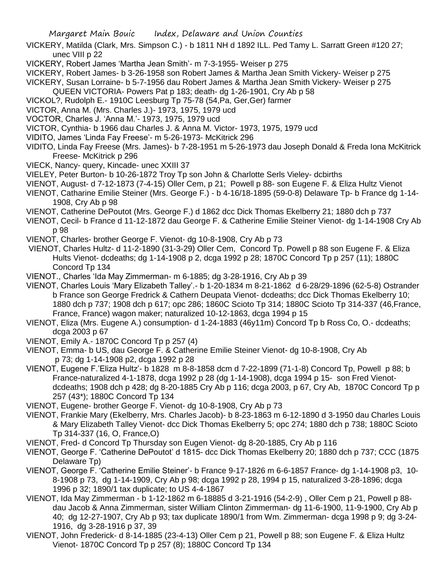- VICKERY, Matilda (Clark, Mrs. Simpson C.) b 1811 NH d 1892 ILL. Ped Tamy L. Sarratt Green #120 27; unec VIII p 22
- VICKERY, Robert James 'Martha Jean Smith'- m 7-3-1955- Weiser p 275
- VICKERY, Robert James- b 3-26-1958 son Robert James & Martha Jean Smith Vickery- Weiser p 275
- VICKERY, Susan Lorraine- b 5-7-1956 dau Robert James & Martha Jean Smith Vickery- Weiser p 275
	- QUEEN VICTORIA- Powers Pat p 183; death- dg 1-26-1901, Cry Ab p 58
- VICKOL?, Rudolph E.- 1910C Leesburg Tp 75-78 (54,Pa, Ger,Ger) farmer
- VICTOR, Anna M. (Mrs. Charles J.)- 1973, 1975, 1979 ucd
- VOCTOR, Charles J. 'Anna M.'- 1973, 1975, 1979 ucd
- VICTOR, Cynthia- b 1966 dau Charles J. & Anna M. Victor- 1973, 1975, 1979 ucd
- VIDITO, James 'Linda Fay Freese'- m 5-26-1973- McKitrick 296
- VIDITO, Linda Fay Freese (Mrs. James)- b 7-28-1951 m 5-26-1973 dau Joseph Donald & Freda Iona McKitrick Freese- McKitrick p 296
- VIECK, Nancy- query, Kincade- unec XXIII 37
- VIELEY, Peter Burton- b 10-26-1872 Troy Tp son John & Charlotte Serls Vieley- dcbirths
- VIENOT, August- d 7-12-1873 (7-4-15) Oller Cem, p 21; Powell p 88- son Eugene F. & Eliza Hultz Vienot
- VIENOT, Catharine Emilie Steiner (Mrs. George F.) b 4-16/18-1895 (59-0-8) Delaware Tp- b France dg 1-14- 1908, Cry Ab p 98
- VIENOT, Catherine DePoutot (Mrs. George F.) d 1862 dcc Dick Thomas Ekelberry 21; 1880 dch p 737
- VIENOT, Cecil- b France d 11-12-1872 dau George F. & Catherine Emilie Steiner Vienot- dg 1-14-1908 Cry Ab p 98
- VIENOT, Charles- brother George F. Vienot- dg 10-8-1908, Cry Ab p 73
- VIENOT, Charles Hultz- d 11-2-1890 (31-3-29) Oller Cem, Concord Tp. Powell p 88 son Eugene F. & Eliza Hults Vienot- dcdeaths; dg 1-14-1908 p 2, dcga 1992 p 28; 1870C Concord Tp p 257 (11); 1880C Concord Tp 134
- VIENOT., Charles 'Ida May Zimmerman- m 6-1885; dg 3-28-1916, Cry Ab p 39
- VIENOT, Charles Louis 'Mary Elizabeth Talley'.- b 1-20-1834 m 8-21-1862 d 6-28/29-1896 (62-5-8) Ostrander b France son George Fredrick & Cathern Deupata Vienot- dcdeaths; dcc Dick Thomas Ekelberry 10; 1880 dch p 737; 1908 dch p 617; opc 286; 1860C Scioto Tp 314; 1880C Scioto Tp 314-337 (46,France, France, France) wagon maker; naturalized 10-12-1863, dcga 1994 p 15
- VIENOT, Eliza (Mrs. Eugene A.) consumption- d 1-24-1883 (46y11m) Concord Tp b Ross Co, O.- dcdeaths; dcga 2003 p 67
- VIENOT, Emily A.- 1870C Concord Tp p 257 (4)
- VIENOT, Emma- b US, dau George F. & Catherine Emilie Steiner Vienot- dg 10-8-1908, Cry Ab p 73; dg 1-14-1908 p2, dcga 1992 p 28
- VIENOT, Eugene F.'Eliza Hultz'- b 1828 m 8-8-1858 dcm d 7-22-1899 (71-1-8) Concord Tp, Powell p 88; b France-naturalized 4-1-1878, dcga 1992 p 28 (dg 1-14-1908), dcga 1994 p 15- son Fred Vienotdcdeaths; 1908 dch p 428; dg 8-20-1885 Cry Ab p 116; dcga 2003, p 67, Cry Ab, 1870C Concord Tp p 257 (43\*); 1880C Concord Tp 134
- VIENOT, Eugene- brother George F. Vienot- dg 10-8-1908, Cry Ab p 73
- VIENOT, Frankie Mary (Ekelberry, Mrs. Charles Jacob)- b 8-23-1863 m 6-12-1890 d 3-1950 dau Charles Louis & Mary Elizabeth Talley Vienot- dcc Dick Thomas Ekelberry 5; opc 274; 1880 dch p 738; 1880C Scioto Tp 314-337 (16, O, France,O)
- VIENOT, Fred- d Concord Tp Thursday son Eugen Vienot- dg 8-20-1885, Cry Ab p 116
- VIENOT, George F. 'Catherine DePoutot' d 1815- dcc Dick Thomas Ekelberry 20; 1880 dch p 737; CCC (1875 Delaware Tp)
- VIENOT, George F. 'Catherine Emilie Steiner'- b France 9-17-1826 m 6-6-1857 France- dg 1-14-1908 p3, 10- 8-1908 p 73, dg 1-14-1909, Cry Ab p 98; dcga 1992 p 28, 1994 p 15, naturalized 3-28-1896; dcga 1996 p 32; 1890/1 tax duplicate; to US 4-4-1867
- VIENOT, Ida May Zimmerman b 1-12-1862 m 6-18885 d 3-21-1916 (54-2-9) , Oller Cem p 21, Powell p 88 dau Jacob & Anna Zimmerman, sister William Clinton Zimmerman- dg 11-6-1900, 11-9-1900, Cry Ab p 40; dg 12-27-1907, Cry Ab p 93; tax duplicate 1890/1 from Wm. Zimmerman- dcga 1998 p 9; dg 3-24- 1916, dg 3-28-1916 p 37, 39
- VIENOT, John Frederick- d 8-14-1885 (23-4-13) Oller Cem p 21, Powell p 88; son Eugene F. & Eliza Hultz Vienot- 1870C Concord Tp p 257 (8); 1880C Concord Tp 134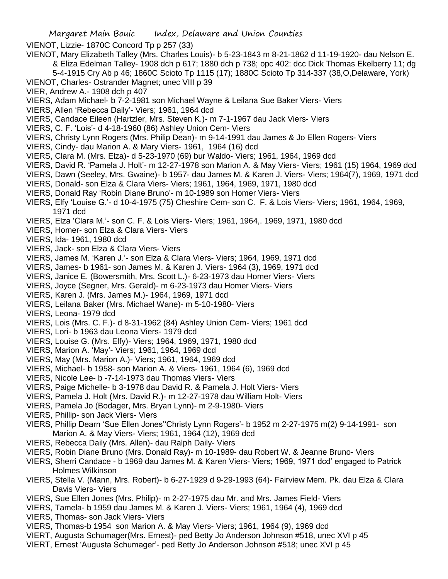VIENOT, Lizzie- 1870C Concord Tp p 257 (33)

- VIENOT, Mary Elizabeth Talley (Mrs. Charles Louis)- b 5-23-1843 m 8-21-1862 d 11-19-1920- dau Nelson E.
	- & Eliza Edelman Talley- 1908 dch p 617; 1880 dch p 738; opc 402: dcc Dick Thomas Ekelberry 11; dg 5-4-1915 Cry Ab p 46; 1860C Scioto Tp 1115 (17); 1880C Scioto Tp 314-337 (38,O,Delaware, York)
- VIENOT, Charles- Ostrander Magnet; unec VIII p 39
- VIER, Andrew A.- 1908 dch p 407
- VIERS, Adam Michael- b 7-2-1981 son Michael Wayne & Leilana Sue Baker Viers- Viers
- VIERS, Allen 'Rebecca Daily'- Viers; 1961, 1964 dcd
- VIERS, Candace Eileen (Hartzler, Mrs. Steven K.)- m 7-1-1967 dau Jack Viers- Viers
- VIERS, C. F. 'Lois'- d 4-18-1960 (86) Ashley Union Cem- Viers
- VIERS, Christy Lynn Rogers (Mrs. Philip Dean)- m 9-14-1991 dau James & Jo Ellen Rogers- Viers
- VIERS, Cindy- dau Marion A. & Mary Viers- 1961, 1964 (16) dcd
- VIERS, Clara M. (Mrs. Elza)- d 5-23-1970 (69) bur Waldo- Viers; 1961, 1964, 1969 dcd
- VIERS, David R. 'Pamela J. Holt'- m 12-27-1978 son Marion A. & May Viers- Viers; 1961 (15) 1964, 1969 dcd
- VIERS, Dawn (Seeley, Mrs. Gwaine)- b 1957- dau James M. & Karen J. Viers- Viers; 1964(7), 1969, 1971 dcd
- VIERS, Donald- son Elza & Clara Viers- Viers; 1961, 1964, 1969, 1971, 1980 dcd
- VIERS, Donald Ray 'Robin Diane Bruno'- m 10-1989 son Homer Viers- Viers
- VIERS, Elfy 'Louise G.'- d 10-4-1975 (75) Cheshire Cem- son C. F. & Lois Viers- Viers; 1961, 1964, 1969, 1971 dcd
- VIERS, Elza 'Clara M.'- son C. F. & Lois Viers- Viers; 1961, 1964,. 1969, 1971, 1980 dcd
- VIERS, Homer- son Elza & Clara Viers- Viers
- VIERS, Ida- 1961, 1980 dcd
- VIERS, Jack- son Elza & Clara Viers- Viers
- VIERS, James M. 'Karen J.'- son Elza & Clara Viers- Viers; 1964, 1969, 1971 dcd
- VIERS, James- b 1961- son James M. & Karen J. Viers- 1964 (3), 1969, 1971 dcd
- VIERS, Janice E. (Bowersmith, Mrs. Scott L.)- 6-23-1973 dau Homer Viers- Viers
- VIERS, Joyce (Segner, Mrs. Gerald)- m 6-23-1973 dau Homer Viers- Viers
- VIERS, Karen J. (Mrs. James M.)- 1964, 1969, 1971 dcd
- VIERS, Leilana Baker (Mrs. Michael Wane)- m 5-10-1980- Viers
- VIERS, Leona- 1979 dcd
- VIERS, Lois (Mrs. C. F.)- d 8-31-1962 (84) Ashley Union Cem- Viers; 1961 dcd
- VIERS, Lori- b 1963 dau Leona Viers- 1979 dcd
- VIERS, Louise G. (Mrs. Elfy)- Viers; 1964, 1969, 1971, 1980 dcd
- VIERS, Marion A. 'May'- Viers; 1961, 1964, 1969 dcd
- VIERS, May (Mrs. Marion A.)- Viers; 1961, 1964, 1969 dcd
- VIERS, Michael- b 1958- son Marion A. & Viers- 1961, 1964 (6), 1969 dcd
- VIERS, Nicole Lee- b -7-14-1973 dau Thomas Viers- Viers
- VIERS, Paige Michelle- b 3-1978 dau David R. & Pamela J. Holt Viers- Viers
- VIERS, Pamela J. Holt (Mrs. David R.)- m 12-27-1978 dau William Holt- Viers
- VIERS, Pamela Jo (Bodager, Mrs. Bryan Lynn)- m 2-9-1980- Viers
- VIERS, Phillip- son Jack Viers- Viers
- VIERS, Phillip Dearn 'Sue Ellen Jones''Christy Lynn Rogers'- b 1952 m 2-27-1975 m(2) 9-14-1991- son Marion A. & May Viers- Viers; 1961, 1964 (12), 1969 dcd
- VIERS, Rebecca Daily (Mrs. Allen)- dau Ralph Daily- Viers
- VIERS, Robin Diane Bruno (Mrs. Donald Ray)- m 10-1989- dau Robert W. & Jeanne Bruno- Viers
- VIERS, Sherri Candace b 1969 dau James M. & Karen Viers- Viers; 1969, 1971 dcd' engaged to Patrick Holmes Wilkinson
- VIERS, Stella V. (Mann, Mrs. Robert)- b 6-27-1929 d 9-29-1993 (64)- Fairview Mem. Pk. dau Elza & Clara Davis Viers- Viers
- VIERS, Sue Ellen Jones (Mrs. Philip)- m 2-27-1975 dau Mr. and Mrs. James Field- Viers
- VIERS, Tamela- b 1959 dau James M. & Karen J. Viers- Viers; 1961, 1964 (4), 1969 dcd
- VIERS, Thomas- son Jack Viers- Viers
- VIERS, Thomas-b 1954 son Marion A. & May Viers- Viers; 1961, 1964 (9), 1969 dcd
- VIERT, Augusta Schumager(Mrs. Ernest)- ped Betty Jo Anderson Johnson #518, unec XVI p 45
- VIERT, Ernest 'Augusta Schumager'- ped Betty Jo Anderson Johnson #518; unec XVI p 45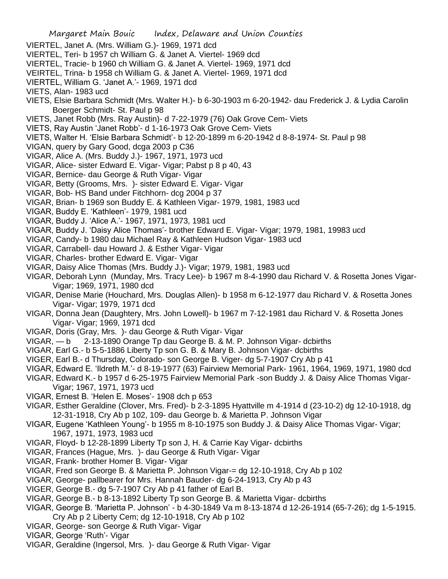- Margaret Main Bouic Index, Delaware and Union Counties VIERTEL, Janet A. (Mrs. William G.)- 1969, 1971 dcd VIERTEL, Teri- b 1957 ch William G. & Janet A. Viertel- 1969 dcd VIERTEL, Tracie- b 1960 ch William G. & Janet A. Viertel- 1969, 1971 dcd VEIRTEL, Trina- b 1958 ch William G. & Janet A. Viertel- 1969, 1971 dcd VIERTEL, William G. 'Janet A.'- 1969, 1971 dcd VIETS, Alan- 1983 ucd VIETS, Elsie Barbara Schmidt (Mrs. Walter H.)- b 6-30-1903 m 6-20-1942- dau Frederick J. & Lydia Carolin Boerger Schmidt- St. Paul p 98 VIETS, Janet Robb (Mrs. Ray Austin)- d 7-22-1979 (76) Oak Grove Cem- Viets VIETS, Ray Austin 'Janet Robb'- d 1-16-1973 Oak Grove Cem- Viets VIETS, Walter H. 'Elsie Barbara Schmidt'- b 12-20-1899 m 6-20-1942 d 8-8-1974- St. Paul p 98 VIGAN, query by Gary Good, dcga 2003 p C36 VIGAR, Alice A. (Mrs. Buddy J.)- 1967, 1971, 1973 ucd VIGAR, Alice- sister Edward E. Vigar- Vigar; Pabst p 8 p 40, 43 VIGAR, Bernice- dau George & Ruth Vigar- Vigar VIGAR, Betty (Grooms, Mrs. )- sister Edward E. Vigar- Vigar VIGAR, Bob- HS Band under Fitchhorn- dcg 2004 p 37 VIGAR, Brian- b 1969 son Buddy E. & Kathleen Vigar- 1979, 1981, 1983 ucd VIGAR, Buddy E. 'Kathleen'- 1979, 1981 ucd VIGAR, Buddy J. 'Alice A.'- 1967, 1971, 1973, 1981 ucd VIGAR, Buddy J. 'Daisy Alice Thomas'- brother Edward E. Vigar- Vigar; 1979, 1981, 19983 ucd VIGAR, Candy- b 1980 dau Michael Ray & Kathleen Hudson Vigar- 1983 ucd VIGAR, Carrabell- dau Howard J. & Esther Vigar- Vigar VIGAR, Charles- brother Edward E. Vigar- Vigar VIGAR, Daisy Alice Thomas (Mrs. Buddy J.)- Vigar; 1979, 1981, 1983 ucd VIGAR, Deborah Lynn (Munday, Mrs. Tracy Lee)- b 1967 m 8-4-1990 dau Richard V. & Rosetta Jones Vigar-Vigar; 1969, 1971, 1980 dcd VIGAR, Denise Marie (Houchard, Mrs. Douglas Allen)- b 1958 m 6-12-1977 dau Richard V. & Rosetta Jones Vigar- Vigar; 1979, 1971 dcd VIGAR, Donna Jean (Daughtery, Mrs. John Lowell)- b 1967 m 7-12-1981 dau Richard V. & Rosetta Jones Vigar- Vigar; 1969, 1971 dcd
- VIGAR, Doris (Gray, Mrs. )- dau George & Ruth Vigar- Vigar
- VIGAR, b 2-13-1890 Orange Tp dau George B. & M. P. Johnson Vigar- dcbirths
- VIGAR, Earl G.- b 5-5-1886 Liberty Tp son G. B. & Mary B. Johnson Vigar- dcbirths
- VIGER, Earl B.- d Thursday, Colorado- son George B. Viger- dg 5-7-1907 Cry Ab p 41
- VIGAR, Edward E. 'Ildreth M.'- d 8-19-1977 (63) Fairview Memorial Park- 1961, 1964, 1969, 1971, 1980 dcd
- VIGAR, Edward K.- b 1957 d 6-25-1975 Fairview Memorial Park -son Buddy J. & Daisy Alice Thomas Vigar-Vigar; 1967, 1971, 1973 ucd
- VIGAR, Ernest B. 'Helen E. Moses'- 1908 dch p 653
- VIGAR, Esther Geraldine (Clover, Mrs. Fred)- b 2-3-1895 Hyattville m 4-1914 d (23-10-2) dg 12-10-1918, dg 12-31-1918, Cry Ab p 102, 109- dau George b. & Marietta P. Johnson Vigar
- VIGAR, Eugene 'Kathleen Young'- b 1955 m 8-10-1975 son Buddy J. & Daisy Alice Thomas Vigar- Vigar; 1967, 1971, 1973, 1983 ucd
- VIGAR, Floyd- b 12-28-1899 Liberty Tp son J, H. & Carrie Kay Vigar- dcbirths
- VIGAR, Frances (Hague, Mrs. )- dau George & Ruth Vigar- Vigar
- VIGAR, Frank- brother Homer B. Vigar- Vigar
- VIGAR, Fred son George B. & Marietta P. Johnson Vigar-= dg 12-10-1918, Cry Ab p 102
- VIGAR, George- pallbearer for Mrs. Hannah Bauder- dg 6-24-1913, Cry Ab p 43
- VIGER, George B.- dg 5-7-1907 Cry Ab p 41 father of Earl B.
- VIGAR, George B.- b 8-13-1892 Liberty Tp son George B. & Marietta Vigar- dcbirths
- VIGAR, George B. 'Marietta P. Johnson' b 4-30-1849 Va m 8-13-1874 d 12-26-1914 (65-7-26); dg 1-5-1915. Cry Ab p 2 Liberty Cem; dg 12-10-1918, Cry Ab p 102
- VIGAR, George- son George & Ruth Vigar- Vigar
- VIGAR, George 'Ruth'- Vigar
- VIGAR, Geraldine (Ingersol, Mrs. )- dau George & Ruth Vigar- Vigar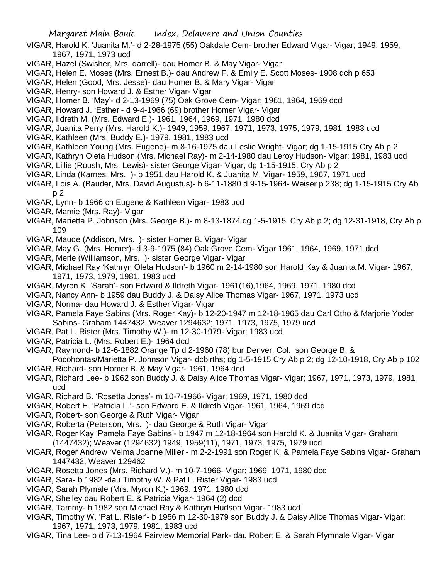- VIGAR, Harold K. 'Juanita M.'- d 2-28-1975 (55) Oakdale Cem- brother Edward Vigar- Vigar; 1949, 1959, 1967, 1971, 1973 ucd
- VIGAR, Hazel (Swisher, Mrs. darrell)- dau Homer B. & May Vigar- Vigar
- VIGAR, Helen E. Moses (Mrs. Ernest B.)- dau Andrew F. & Emily E. Scott Moses- 1908 dch p 653
- VIGAR, Helen (Good, Mrs. Jesse)- dau Homer B. & Mary Vigar- Vigar
- VIGAR, Henry- son Howard J. & Esther Vigar- Vigar
- VIGAR, Homer B. 'May'- d 2-13-1969 (75) Oak Grove Cem- Vigar; 1961, 1964, 1969 dcd
- VIGAR, Howard J. 'Esther'- d 9-4-1966 (69) brother Homer Vigar- Vigar
- VIGAR, Ildreth M. (Mrs. Edward E.)- 1961, 1964, 1969, 1971, 1980 dcd
- VIGAR, Juanita Perry (Mrs. Harold K.)- 1949, 1959, 1967, 1971, 1973, 1975, 1979, 1981, 1983 ucd
- VIGAR, Kathleen (Mrs. Buddy E.)- 1979, 1981, 1983 ucd
- VIGAR, Kathleen Young (Mrs. Eugene)- m 8-16-1975 dau Leslie Wright- Vigar; dg 1-15-1915 Cry Ab p 2
- VIGAR, Kathryn Oleta Hudson (Mrs. Michael Ray)- m 2-14-1980 dau Leroy Hudson- Vigar; 1981, 1983 ucd
- VIGAR, Lillie (Roush, Mrs. Lewis)- sister George Vigar- Vigar; dg 1-15-1915, Cry Ab p 2
- VIGAR, Linda (Karnes, Mrs. )- b 1951 dau Harold K. & Juanita M. Vigar- 1959, 1967, 1971 ucd
- VIGAR, Lois A. (Bauder, Mrs. David Augustus)- b 6-11-1880 d 9-15-1964- Weiser p 238; dg 1-15-1915 Cry Ab p 2
- VIGAR, Lynn- b 1966 ch Eugene & Kathleen Vigar- 1983 ucd
- VIGAR, Mamie (Mrs. Ray)- Vigar
- VIGAR, Marietta P. Johnson (Mrs. George B.)- m 8-13-1874 dg 1-5-1915, Cry Ab p 2; dg 12-31-1918, Cry Ab p 109
- VIGAR, Maude (Addison, Mrs. )- sister Homer B. Vigar- Vigar
- VIGAR, May G. (Mrs. Homer)- d 3-9-1975 (84) Oak Grove Cem- Vigar 1961, 1964, 1969, 1971 dcd
- VIGAR, Merle (Williamson, Mrs. )- sister George Vigar- Vigar
- VIGAR, Michael Ray 'Kathryn Oleta Hudson'- b 1960 m 2-14-1980 son Harold Kay & Juanita M. Vigar- 1967, 1971, 1973, 1979, 1981, 1983 ucd
- VIGAR, Myron K. 'Sarah'- son Edward & Ildreth Vigar- 1961(16),1964, 1969, 1971, 1980 dcd
- VIGAR, Nancy Ann- b 1959 dau Buddy J. & Daisy Alice Thomas Vigar- 1967, 1971, 1973 ucd
- VIGAR, Norma- dau Howard J. & Esther Vigar- Vigar
- VIGAR, Pamela Faye Sabins (Mrs. Roger Kay)- b 12-20-1947 m 12-18-1965 dau Carl Otho & Marjorie Yoder Sabins- Graham 1447432; Weaver 1294632; 1971, 1973, 1975, 1979 ucd
- VIGAR, Pat L. Rister (Mrs. Timothy W.)- m 12-30-1979- Vigar; 1983 ucd
- VIGAR, Patricia L. (Mrs. Robert E.)- 1964 dcd
- VIGAR, Raymond- b 12-6-1882 Orange Tp d 2-1960 (78) bur Denver, Col. son George B. & Pocohontas/Marietta P. Johnson Vigar- dcbirths; dg 1-5-1915 Cry Ab p 2; dg 12-10-1918, Cry Ab p 102
- VIGAR, Richard- son Homer B. & May Vigar- 1961, 1964 dcd
- VIGAR, Richard Lee- b 1962 son Buddy J. & Daisy Alice Thomas Vigar- Vigar; 1967, 1971, 1973, 1979, 1981 ucd
- VIGAR, Richard B. 'Rosetta Jones'- m 10-7-1966- Vigar; 1969, 1971, 1980 dcd
- VIGAR, Robert E. 'Patricia L.'- son Edward E. & Ildreth Vigar- 1961, 1964, 1969 dcd
- VIGAR, Robert- son George & Ruth Vigar- Vigar
- VIGAR, Roberta (Peterson, Mrs. )- dau George & Ruth Vigar- Vigar
- VIGAR, Roger Kay 'Pamela Faye Sabins'- b 1947 m 12-18-1964 son Harold K. & Juanita Vigar- Graham (1447432); Weaver (1294632) 1949, 1959(11), 1971, 1973, 1975, 1979 ucd
- VIGAR, Roger Andrew 'Velma Joanne Miller'- m 2-2-1991 son Roger K. & Pamela Faye Sabins Vigar- Graham 1447432; Weaver 129462
- VIGAR, Rosetta Jones (Mrs. Richard V.)- m 10-7-1966- Vigar; 1969, 1971, 1980 dcd
- VIGAR, Sara- b 1982 -dau Timothy W. & Pat L. Rister Vigar- 1983 ucd
- VIGAR, Sarah Plymale (Mrs. Myron K.)- 1969, 1971, 1980 dcd
- VIGAR, Shelley dau Robert E. & Patricia Vigar- 1964 (2) dcd
- VIGAR, Tammy- b 1982 son Michael Ray & Kathryn Hudson Vigar- 1983 ucd
- VIGAR, Timothy W. 'Pat L. Rister'- b 1956 m 12-30-1979 son Buddy J. & Daisy Alice Thomas Vigar- Vigar; 1967, 1971, 1973, 1979, 1981, 1983 ucd
- VIGAR, Tina Lee- b d 7-13-1964 Fairview Memorial Park- dau Robert E. & Sarah Plymnale Vigar- Vigar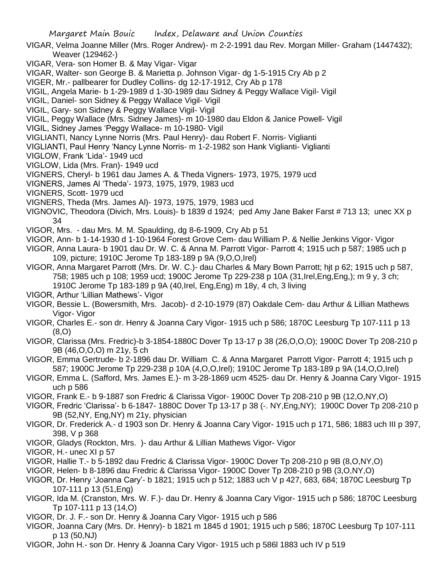- VIGAR, Velma Joanne Miller (Mrs. Roger Andrew)- m 2-2-1991 dau Rev. Morgan Miller- Graham (1447432); Weaver (129462-)
- VIGAR, Vera- son Homer B. & May Vigar- Vigar
- VIGAR, Walter- son George B. & Marietta p. Johnson Vigar- dg 1-5-1915 Cry Ab p 2
- VIGER, Mr.- pallbearer for Dudley Collins- dg 12-17-1912, Cry Ab p 178
- VIGIL, Angela Marie- b 1-29-1989 d 1-30-1989 dau Sidney & Peggy Wallace Vigil- Vigil
- VIGIL, Daniel- son Sidney & Peggy Wallace Vigil- Vigil
- VIGIL, Gary- son Sidney & Peggy Wallace Vigil- Vigil
- VIGIL, Peggy Wallace (Mrs. Sidney James)- m 10-1980 dau Eldon & Janice Powell- Vigil
- VIGIL, Sidney James 'Peggy Wallace- m 10-1980- Vigil
- VIGLIANTI, Nancy Lynne Norris (Mrs. Paul Henry)- dau Robert F. Norris- Viglianti
- VIGLIANTI, Paul Henry 'Nancy Lynne Norris- m 1-2-1982 son Hank Viglianti- Viglianti
- VIGLOW, Frank 'Lida'- 1949 ucd
- VIGLOW, Lida (Mrs. Fran)- 1949 ucd
- VIGNERS, Cheryl- b 1961 dau James A. & Theda Vigners- 1973, 1975, 1979 ucd
- VIGNERS, James Al 'Theda'- 1973, 1975, 1979, 1983 ucd
- VIGNERS, Scott- 1979 ucd
- VIGNERS, Theda (Mrs. James Al)- 1973, 1975, 1979, 1983 ucd
- VIGNOVIC, Theodora (Divich, Mrs. Louis)- b 1839 d 1924; ped Amy Jane Baker Farst # 713 13; unec XX p 34
- VIGOR, Mrs. dau Mrs. M. M. Spaulding, dg 8-6-1909, Cry Ab p 51
- VIGOR, Ann- b 1-14-1930 d 1-10-1964 Forest Grove Cem- dau William P. & Nellie Jenkins Vigor- Vigor
- VIGOR, Anna Laura- b 1901 dau Dr. W. C. & Anna M. Parrott Vigor- Parrott 4; 1915 uch p 587; 1985 uch p 109, picture; 1910C Jerome Tp 183-189 p 9A (9,O,O,Irel)
- VIGOR, Anna Margaret Parrott (Mrs. Dr. W. C.)- dau Charles & Mary Bown Parrott; hjt p 62; 1915 uch p 587, 758; 1985 uch p 108; 1959 ucd; 1900C Jerome Tp 229-238 p 10A (31,Irel,Eng,Eng,); m 9 y, 3 ch; 1910C Jerome Tp 183-189 p 9A (40,Irel, Eng,Eng) m 18y, 4 ch, 3 living
- VIGOR, Arthur 'Lillian Mathews'- Vigor
- VIGOR, Bessie L. (Bowersmith, Mrs. Jacob)- d 2-10-1979 (87) Oakdale Cem- dau Arthur & Lillian Mathews Vigor- Vigor
- VIGOR, Charles E.- son dr. Henry & Joanna Cary Vigor- 1915 uch p 586; 1870C Leesburg Tp 107-111 p 13 (8,O)
- VIGOR, Clarissa (Mrs. Fredric)-b 3-1854-1880C Dover Tp 13-17 p 38 (26,O,O,O); 1900C Dover Tp 208-210 p 9B (46,O,O,O) m 21y, 5 ch
- VIGOR, Emma Gertrude- b 2-1896 dau Dr. William C. & Anna Margaret Parrott Vigor- Parrott 4; 1915 uch p 587; 1900C Jerome Tp 229-238 p 10A (4,O,O,Irel); 1910C Jerome Tp 183-189 p 9A (14,O,O,Irel)
- VIGOR, Emma L. (Safford, Mrs. James E.)- m 3-28-1869 ucm 4525- dau Dr. Henry & Joanna Cary Vigor- 1915 uch p 586
- VIGOR, Frank E.- b 9-1887 son Fredric & Clarissa Vigor- 1900C Dover Tp 208-210 p 9B (12,O,NY,O)
- VIGOR, Fredric 'Clarissa'- b 6-1847- 1880C Dover Tp 13-17 p 38 (-. NY,Eng,NY); 1900C Dover Tp 208-210 p 9B (52,NY, Eng,NY) m 21y, physician
- VIGOR, Dr. Frederick A.- d 1903 son Dr. Henry & Joanna Cary Vigor- 1915 uch p 171, 586; 1883 uch III p 397, 398, V p 368
- VIGOR, Gladys (Rockton, Mrs. )- dau Arthur & Lillian Mathews Vigor- Vigor
- VIGOR, H.- unec XI p 57
- VIGOR, Hallie T.- b 5-1892 dau Fredric & Clarissa Vigor- 1900C Dover Tp 208-210 p 9B (8,O,NY,O)
- VIGOR, Helen- b 8-1896 dau Fredric & Clarissa Vigor- 1900C Dover Tp 208-210 p 9B (3,O,NY,O)
- VIGOR, Dr. Henry 'Joanna Cary'- b 1821; 1915 uch p 512; 1883 uch V p 427, 683, 684; 1870C Leesburg Tp 107-111 p 13 (51,Eng)
- VIGOR, Ida M. (Cranston, Mrs. W. F.)- dau Dr. Henry & Joanna Cary Vigor- 1915 uch p 586; 1870C Leesburg Tp 107-111 p 13 (14,O)
- VIGOR, Dr. J. F.- son Dr. Henry & Joanna Cary Vigor- 1915 uch p 586
- VIGOR, Joanna Cary (Mrs. Dr. Henry)- b 1821 m 1845 d 1901; 1915 uch p 586; 1870C Leesburg Tp 107-111 p 13 (50,NJ)
- VIGOR, John H.- son Dr. Henry & Joanna Cary Vigor- 1915 uch p 586l 1883 uch IV p 519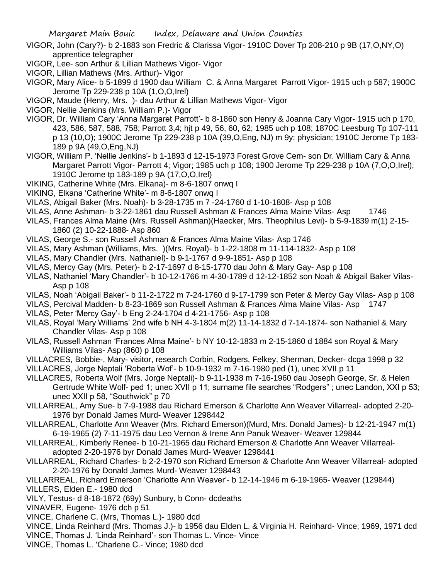- VIGOR, John (Cary?)- b 2-1883 son Fredric & Clarissa Vigor- 1910C Dover Tp 208-210 p 9B (17,O,NY,O) apprentice telegrapher
- VIGOR, Lee- son Arthur & Lillian Mathews Vigor- Vigor
- VIGOR, Lillian Mathews (Mrs. Arthur)- Vigor
- VIGOR, Mary Alice- b 5-1899 d 1900 dau William C. & Anna Margaret Parrott Vigor- 1915 uch p 587; 1900C Jerome Tp 229-238 p 10A (1,O,O,Irel)
- VIGOR, Maude (Henry, Mrs. )- dau Arthur & Lillian Mathews Vigor- Vigor
- VIGOR, Nellie Jenkins (Mrs. William P.)- Vigor
- VIGOR, Dr. William Cary 'Anna Margaret Parrott'- b 8-1860 son Henry & Joanna Cary Vigor- 1915 uch p 170, 423, 586, 587, 588, 758; Parrott 3,4; hjt p 49, 56, 60, 62; 1985 uch p 108; 1870C Leesburg Tp 107-111 p 13 (10,O); 1900C Jerome Tp 229-238 p 10A (39,O,Eng, NJ) m 9y; physician; 1910C Jerome Tp 183- 189 p 9A (49,O,Eng,NJ)
- VIGOR, William P. 'Nellie Jenkins'- b 1-1893 d 12-15-1973 Forest Grove Cem- son Dr. William Cary & Anna Margaret Parrott Vigor- Parrott 4; Vigor; 1985 uch p 108; 1900 Jerome Tp 229-238 p 10A (7,O,O,Irel); 1910C Jerome tp 183-189 p 9A (17,O,O,Irel)
- VIKING, Catherine White (Mrs. Elkana)- m 8-6-1807 onwq I
- VIKING, Elkana 'Catherine White'- m 8-6-1807 onwq I
- VILAS, Abigail Baker (Mrs. Noah)- b 3-28-1735 m 7 -24-1760 d 1-10-1808- Asp p 108
- VILAS, Anne Ashman- b 3-22-1861 dau Russell Ashman & Frances Alma Maine Vilas- Asp 1746
- VILAS, Frances Alma Maine (Mrs. Russell Ashman)(Haecker, Mrs. Theophilus Levi)- b 5-9-1839 m(1) 2-15- 1860 (2) 10-22-1888- Asp 860
- VILAS, George S.- son Russell Ashman & Frances Alma Maine Vilas- Asp 1746
- VILAS, Mary Ashman (Williams, Mrs. )(Mrs. Royal)- b 1-22-1808 m 11-114-1832- Asp p 108
- VILAS, Mary Chandler (Mrs. Nathaniel)- b 9-1-1767 d 9-9-1851- Asp p 108
- VILAS, Mercy Gay (Mrs. Peter)- b 2-17-1697 d 8-15-1770 dau John & Mary Gay- Asp p 108
- VILAS, Nathaniel 'Mary Chandler'- b 10-12-1766 m 4-30-1789 d 12-12-1852 son Noah & Abigail Baker Vilas-Asp p 108
- VILAS, Noah 'Abigail Baker'- b 11-2-1722 m 7-24-1760 d 9-17-1799 son Peter & Mercy Gay Vilas- Asp p 108
- VILAS, Percival Madden- b 8-23-1869 son Russell Ashman & Frances Alma Maine Vilas- Asp 1747
- VILAS, Peter 'Mercy Gay'- b Eng 2-24-1704 d 4-21-1756- Asp p 108
- VILAS, Royal 'Mary Williams' 2nd wife b NH 4-3-1804 m(2) 11-14-1832 d 7-14-1874- son Nathaniel & Mary Chandler Vilas- Asp p 108
- VILAS, Russell Ashman 'Frances Alma Maine'- b NY 10-12-1833 m 2-15-1860 d 1884 son Royal & Mary Williams Vilas- Asp (860) p 108
- VILLACRES, Bobbie-, Mary- visitor, research Corbin, Rodgers, Felkey, Sherman, Decker- dcga 1998 p 32 VILLACRES, Jorge Neptali 'Roberta Wof'- b 10-9-1932 m 7-16-1980 ped (1), unec XVII p 11
- VILLACRES, Roberta Wolf (Mrs. Jorge Neptali)- b 9-11-1938 m 7-16-1960 dau Joseph George, Sr. & Helen Gertrude White Wolf- ped 1; unec XVII p 11; surname file searches "Rodgers" ; unec Landon, XXI p 53; unec XXII p 58, "Southwick" p 70
- VILLARREAL, Amy Sue- b 7-9-1988 dau Richard Emerson & Charlotte Ann Weaver Villarreal- adopted 2-20- 1976 byr Donald James Murd- Weaver 1298442
- VILLARREAL, Charlotte Ann Weaver (Mrs. Richard Emerson)(Murd, Mrs. Donald James)- b 12-21-1947 m(1) 6-19-1965 (2) 7-11-1975 dau Leo Vernon & Irene Ann Panuk Weaver- Weaver 129844
- VILLARREAL, Kimberly Renee- b 10-21-1965 dau Richard Emerson & Charlotte Ann Weaver Villarrealadopted 2-20-1976 byr Donald James Murd- Weaver 1298441
- VILLARREAL, Richard Charles- b 2-2-1970 son Richard Emerson & Charlotte Ann Weaver Villarreal- adopted 2-20-1976 by Donald James Murd- Weaver 1298443
- VILLARREAL, Richard Emerson 'Charlotte Ann Weaver'- b 12-14-1946 m 6-19-1965- Weaver (129844) VILLERS, Elden E.- 1980 dcd
- VILY, Testus- d 8-18-1872 (69y) Sunbury, b Conn- dcdeaths
- VINAVER, Eugene- 1976 dch p 51
- VINCE, Charlene C. (Mrs, Thomas L.)- 1980 dcd
- VINCE, Linda Reinhard (Mrs. Thomas J.)- b 1956 dau Elden L. & Virginia H. Reinhard- Vince; 1969, 1971 dcd VINCE, Thomas J. 'Linda Reinhard'- son Thomas L. Vince- Vince
- VINCE, Thomas L. 'Charlene C.- Vince; 1980 dcd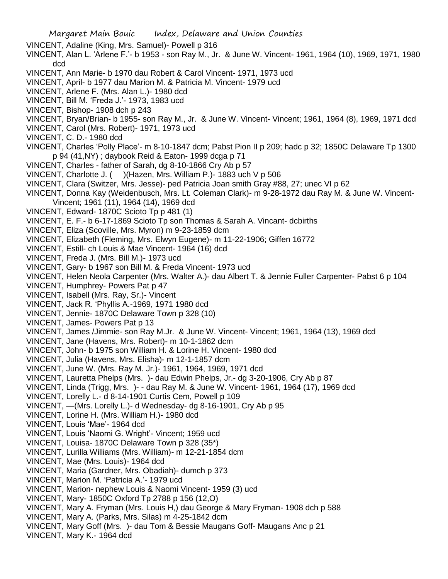VINCENT, Adaline (King, Mrs. Samuel)- Powell p 316

- VINCENT, Alan L. 'Arlene F.'- b 1953 son Ray M., Jr. & June W. Vincent- 1961, 1964 (10), 1969, 1971, 1980 dcd
- VINCENT, Ann Marie- b 1970 dau Robert & Carol Vincent- 1971, 1973 ucd
- VINCENT, April- b 1977 dau Marion M. & Patricia M. Vincent- 1979 ucd
- VINCENT, Arlene F. (Mrs. Alan L.)- 1980 dcd
- VINCENT, Bill M. 'Freda J.'- 1973, 1983 ucd
- VINCENT, Bishop- 1908 dch p 243
- VINCENT, Bryan/Brian- b 1955- son Ray M., Jr. & June W. Vincent- Vincent; 1961, 1964 (8), 1969, 1971 dcd
- VINCENT, Carol (Mrs. Robert)- 1971, 1973 ucd
- VINCENT, C. D.- 1980 dcd
- VINCENT, Charles 'Polly Place'- m 8-10-1847 dcm; Pabst Pion II p 209; hadc p 32; 1850C Delaware Tp 1300 p 94 (41,NY) ; daybook Reid & Eaton- 1999 dcga p 71
- VINCENT, Charles father of Sarah, dg 8-10-1866 Cry Ab p 57
- VINCENT, Charlotte J. ( )(Hazen, Mrs. William P.)- 1883 uch V p 506
- VINCENT, Clara (Switzer, Mrs. Jesse)- ped Patricia Joan smith Gray #88, 27; unec VI p 62
- VINCENT, Donna Kay (Weidenbusch, Mrs. Lt. Coleman Clark)- m 9-28-1972 dau Ray M. & June W. Vincent-Vincent; 1961 (11), 1964 (14), 1969 dcd
- VINCENT, Edward- 1870C Scioto Tp p 481 (1)
- VINCENT, E. F.- b 6-17-1869 Scioto Tp son Thomas & Sarah A. Vincant- dcbirths
- VINCENT, Eliza (Scoville, Mrs. Myron) m 9-23-1859 dcm
- VINCENT, Elizabeth (Fleming, Mrs. Elwyn Eugene)- m 11-22-1906; Giffen 16772
- VINCENT, Estill- ch Louis & Mae Vincent- 1964 (16) dcd
- VINCENT, Freda J. (Mrs. Bill M.)- 1973 ucd
- VINCENT, Gary- b 1967 son Bill M. & Freda Vincent- 1973 ucd
- VINCENT, Helen Neola Carpenter (Mrs. Walter A.)- dau Albert T. & Jennie Fuller Carpenter- Pabst 6 p 104
- VINCENT, Humphrey- Powers Pat p 47
- VINCENT, Isabell (Mrs. Ray, Sr.)- Vincent
- VINCENT, Jack R. 'Phyllis A.-1969, 1971 1980 dcd
- VINCENT, Jennie- 1870C Delaware Town p 328 (10)
- VINCENT, James- Powers Pat p 13
- VINCENT, James /Jimmie- son Ray M.Jr. & June W. Vincent- Vincent; 1961, 1964 (13), 1969 dcd
- VINCENT, Jane (Havens, Mrs. Robert)- m 10-1-1862 dcm
- VINCENT, John- b 1975 son William H. & Lorine H. Vincent- 1980 dcd
- VINCENT, Julia (Havens, Mrs. Elisha)- m 12-1-1857 dcm
- VINCENT, June W. (Mrs. Ray M. Jr.)- 1961, 1964, 1969, 1971 dcd
- VINCENT, Lauretta Phelps (Mrs. )- dau Edwin Phelps, Jr.- dg 3-20-1906, Cry Ab p 87
- VINCENT, Linda (Trigg, Mrs. )- dau Ray M. & June W. Vincent- 1961, 1964 (17), 1969 dcd
- VINCENT, Lorelly L.- d 8-14-1901 Curtis Cem, Powell p 109
- VINCENT, —(Mrs. Lorelly L.)- d Wednesday- dg 8-16-1901, Cry Ab p 95
- VINCENT, Lorine H. (Mrs. William H.)- 1980 dcd
- VINCENT, Louis 'Mae'- 1964 dcd
- VINCENT, Louis 'Naomi G. Wright'- Vincent; 1959 ucd
- VINCENT, Louisa- 1870C Delaware Town p 328 (35\*)
- VINCENT, Lurilla Williams (Mrs. William)- m 12-21-1854 dcm
- VINCENT, Mae (Mrs. Louis)- 1964 dcd
- VINCENT, Maria (Gardner, Mrs. Obadiah)- dumch p 373
- VINCENT, Marion M. 'Patricia A.'- 1979 ucd
- VINCENT, Marion- nephew Louis & Naomi Vincent- 1959 (3) ucd
- VINCENT, Mary- 1850C Oxford Tp 2788 p 156 (12,O)
- VINCENT, Mary A. Fryman (Mrs. Louis H,) dau George & Mary Fryman- 1908 dch p 588
- VINCENT, Mary A. (Parks, Mrs. Silas) m 4-25-1842 dcm
- VINCENT, Mary Goff (Mrs. )- dau Tom & Bessie Maugans Goff- Maugans Anc p 21
- VINCENT, Mary K.- 1964 dcd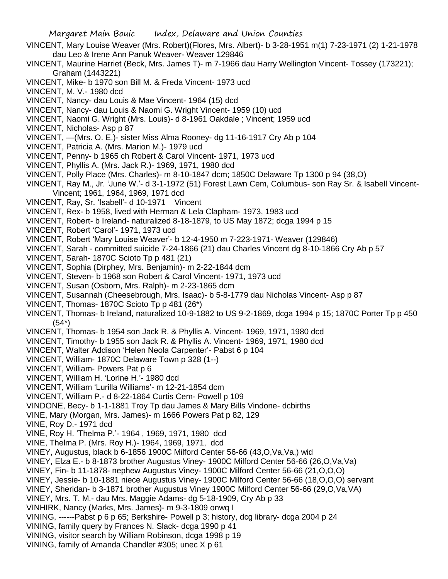- VINCENT, Mary Louise Weaver (Mrs. Robert)(Flores, Mrs. Albert)- b 3-28-1951 m(1) 7-23-1971 (2) 1-21-1978 dau Leo & Irene Ann Panuk Weaver- Weaver 129846
- VINCENT, Maurine Harriet (Beck, Mrs. James T)- m 7-1966 dau Harry Wellington Vincent- Tossey (173221); Graham (1443221)
- VINCENT, Mike- b 1970 son Bill M. & Freda Vincent- 1973 ucd
- VINCENT, M. V.- 1980 dcd
- VINCENT, Nancy- dau Louis & Mae Vincent- 1964 (15) dcd
- VINCENT, Nancy- dau Louis & Naomi G. Wright Vincent- 1959 (10) ucd
- VINCENT, Naomi G. Wright (Mrs. Louis)- d 8-1961 Oakdale ; Vincent; 1959 ucd
- VINCENT, Nicholas- Asp p 87
- VINCENT, —(Mrs. O. E.)- sister Miss Alma Rooney- dg 11-16-1917 Cry Ab p 104
- VINCENT, Patricia A. (Mrs. Marion M.)- 1979 ucd
- VINCENT, Penny- b 1965 ch Robert & Carol Vincent- 1971, 1973 ucd
- VINCENT, Phyllis A. (Mrs. Jack R.)- 1969, 1971, 1980 dcd
- VINCENT, Polly Place (Mrs. Charles)- m 8-10-1847 dcm; 1850C Delaware Tp 1300 p 94 (38,O)
- VINCENT, Ray M., Jr. 'June W.'- d 3-1-1972 (51) Forest Lawn Cem, Columbus- son Ray Sr. & Isabell Vincent-Vincent; 1961, 1964, 1969, 1971 dcd
- VINCENT, Ray, Sr. 'Isabell'- d 10-1971 Vincent
- VINCENT, Rex- b 1958, lived with Herman & Lela Clapham- 1973, 1983 ucd
- VINCENT, Robert- b Ireland- naturalized 8-18-1879, to US May 1872; dcga 1994 p 15
- VINCENT, Robert 'Carol'- 1971, 1973 ucd
- VINCENT, Robert 'Mary Louise Weaver'- b 12-4-1950 m 7-223-1971- Weaver (129846)
- VINCENT, Sarah committed suicide 7-24-1866 (21) dau Charles Vincent dg 8-10-1866 Cry Ab p 57
- VINCENT, Sarah- 1870C Scioto Tp p 481 (21)
- VINCENT, Sophia (Dirphey, Mrs. Benjamin)- m 2-22-1844 dcm
- VINCENT, Steven- b 1968 son Robert & Carol Vincent- 1971, 1973 ucd
- VINCENT, Susan (Osborn, Mrs. Ralph)- m 2-23-1865 dcm
- VINCENT, Susannah (Cheesebrough, Mrs. Isaac)- b 5-8-1779 dau Nicholas Vincent- Asp p 87
- VINCENT, Thomas- 1870C Scioto Tp p 481 (26\*)
- VINCENT, Thomas- b Ireland, naturalized 10-9-1882 to US 9-2-1869, dcga 1994 p 15; 1870C Porter Tp p 450 (54\*)
- VINCENT, Thomas- b 1954 son Jack R. & Phyllis A. Vincent- 1969, 1971, 1980 dcd
- VINCENT, Timothy- b 1955 son Jack R. & Phyllis A. Vincent- 1969, 1971, 1980 dcd
- VINCENT, Walter Addison 'Helen Neola Carpenter'- Pabst 6 p 104
- VINCENT, William- 1870C Delaware Town p 328 (1--)
- VINCENT, William- Powers Pat p 6
- VINCENT, William H. 'Lorine H.'- 1980 dcd
- VINCENT, William 'Lurilla Williams'- m 12-21-1854 dcm
- VINCENT, William P.- d 8-22-1864 Curtis Cem- Powell p 109
- VINDONE, Becy- b 1-1-1881 Troy Tp dau James & Mary Bills Vindone- dcbirths
- VINE, Mary (Morgan, Mrs. James)- m 1666 Powers Pat p 82, 129
- VINE, Roy D.- 1971 dcd
- VINE, Roy H. 'Thelma P.'- 1964 , 1969, 1971, 1980 dcd
- VINE, Thelma P. (Mrs. Roy H.)- 1964, 1969, 1971, dcd
- VINEY, Augustus, black b 6-1856 1900C Milford Center 56-66 (43, O, Va, Va, ) wid
- VINEY, Elza E.- b 8-1873 brother Augustus Viney- 1900C Milford Center 56-66 (26,O,Va,Va)
- VINEY, Fin- b 11-1878- nephew Augustus Viney- 1900C Milford Center 56-66 (21,O,O,O)
- VINEY, Jessie- b 10-1881 niece Augustus Viney- 1900C Milford Center 56-66 (18,O,O,O) servant
- VINEY, Sheridan- b 3-1871 brother Augustus Viney 1900C Milford Center 56-66 (29,O,Va,VA)
- VINEY, Mrs. T. M.- dau Mrs. Maggie Adams- dg 5-18-1909, Cry Ab p 33
- VINHIRK, Nancy (Marks, Mrs. James)- m 9-3-1809 onwq I
- VINING, ------Pabst p 6 p 65; Berkshire- Powell p 3; history, dcg library- dcga 2004 p 24
- VINING, family query by Frances N. Slack- dcga 1990 p 41
- VINING, visitor search by William Robinson, dcga 1998 p 19
- VINING, family of Amanda Chandler #305; unec X p 61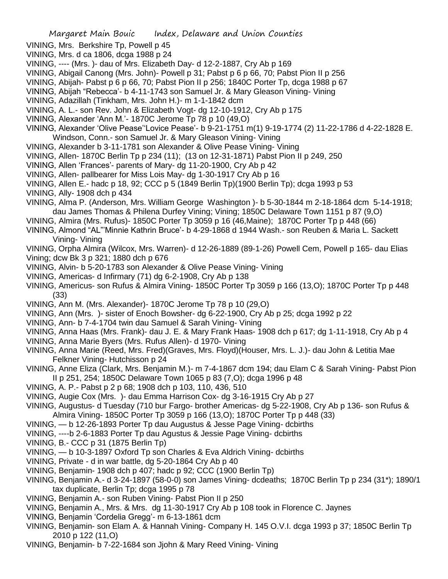- VINING, Mrs. Berkshire Tp, Powell p 45
- VINING, Mrs. d ca 1806, dcga 1988 p 24
- VINING, ---- (Mrs. )- dau of Mrs. Elizabeth Day- d 12-2-1887, Cry Ab p 169
- VINING, Abigail Canong (Mrs. John)- Powell p 31; Pabst p 6 p 66, 70; Pabst Pion II p 256
- VINING, Abijah- Pabst p 6 p 66, 70; Pabst Pion II p 256; 1840C Porter Tp, dcga 1988 p 67
- VINING, Abijah "Rebecca'- b 4-11-1743 son Samuel Jr. & Mary Gleason Vining- Vining
- VINING, Adazillah (Tinkham, Mrs. John H.)- m 1-1-1842 dcm
- VINING, A. L.- son Rev. John & Elizabeth Vogt- dg 12-10-1912, Cry Ab p 175
- VINING, Alexander 'Ann M.'- 1870C Jerome Tp 78 p 10 (49,O)
- VINING, Alexander 'Olive Pease''Lovice Pease'- b 9-21-1751 m(1) 9-19-1774 (2) 11-22-1786 d 4-22-1828 E. Windson, Conn.- son Samuel Jr. & Mary Gleason Vining- Vining
- VINING, Alexander b 3-11-1781 son Alexander & Olive Pease Vining- Vining
- VINING, Allen- 1870C Berlin Tp p 234 (11); (13 on 12-31-1871) Pabst Pion II p 249, 250
- VINING, Allen 'Frances'- parents of Mary- dg 11-20-1900, Cry Ab p 42
- VINING, Allen- pallbearer for Miss Lois May- dg 1-30-1917 Cry Ab p 16
- VINING, Allen E.- hadc p 18, 92; CCC p 5 (1849 Berlin Tp)(1900 Berlin Tp); dcga 1993 p 53
- VINING, Ally- 1908 dch p 434
- VINING, Alma P. (Anderson, Mrs. William George Washington )- b 5-30-1844 m 2-18-1864 dcm 5-14-1918; dau James Thomas & Philena Durfey Vining; Vining; 1850C Delaware Town 1151 p 87 (9,O)
- VINING, Almira (Mrs. Rufus)- 1850C Porter Tp 3059 p 16 (46,Maine); 1870C Porter Tp p 448 (66)
- VINING, Almond "AL"'Minnie Kathrin Bruce'- b 4-29-1868 d 1944 Wash.- son Reuben & Maria L. Sackett Vining- Vining
- VINING, Orpha Almira (Wilcox, Mrs. Warren)- d 12-26-1889 (89-1-26) Powell Cem, Powell p 165- dau Elias Vining; dcw Bk 3 p 321; 1880 dch p 676
- VINING, Alvin- b 5-20-1783 son Alexander & Olive Pease Vining- Vining
- VINING, Americas- d Infirmary (71) dg 6-2-1908, Cry Ab p 138
- VINING, Americus- son Rufus & Almira Vining- 1850C Porter Tp 3059 p 166 (13,O); 1870C Porter Tp p 448 (33)
- VINING, Ann M. (Mrs. Alexander)- 1870C Jerome Tp 78 p 10 (29,O)
- VINING, Ann (Mrs. )- sister of Enoch Bowsher- dg 6-22-1900, Cry Ab p 25; dcga 1992 p 22
- VINING, Ann- b 7-4-1704 twin dau Samuel & Sarah Vining- Vining
- VINING, Anna Haas (Mrs. Frank)- dau J. E. & Mary Frank Haas- 1908 dch p 617; dg 1-11-1918, Cry Ab p 4
- VINING, Anna Marie Byers (Mrs. Rufus Allen)- d 1970- Vining
- VINING, Anna Marie (Reed, Mrs. Fred)(Graves, Mrs. Floyd)(Houser, Mrs. L. J.)- dau John & Letitia Mae Felkner Vining- Hutchisson p 24
- VINING, Anne Eliza (Clark, Mrs. Benjamin M.)- m 7-4-1867 dcm 194; dau Elam C & Sarah Vining- Pabst Pion II p 251, 254; 1850C Delaware Town 1065 p 83 (7,O); dcga 1996 p 48
- VINING, A. P.- Pabst p 2 p 68; 1908 dch p 103, 110, 436, 510
- VINING, Augie Cox (Mrs. )- dau Emma Harrison Cox- dg 3-16-1915 Cry Ab p 27
- VINING, Augustus- d Tuesday (710 bur Fargo- brother Americas- dg 5-22-1908, Cry Ab p 136- son Rufus & Almira Vining- 1850C Porter Tp 3059 p 166 (13,O); 1870C Porter Tp p 448 (33)
- VINING, b 12-26-1893 Porter Tp dau Augustus & Jesse Page Vining- dcbirths
- VINING, ----b 2-6-1883 Porter Tp dau Agustus & Jessie Page Vining- dcbirths
- VINING, B.- CCC p 31 (1875 Berlin Tp)
- VINING, b 10-3-1897 Oxford Tp son Charles & Eva Aldrich Vining- dcbirths
- VINING, Private d in war battle, dg 5-20-1864 Cry Ab p 40
- VINING, Benjamin- 1908 dch p 407; hadc p 92; CCC (1900 Berlin Tp)
- VINING, Benjamin A.- d 3-24-1897 (58-0-0) son James Vining- dcdeaths; 1870C Berlin Tp p 234 (31\*); 1890/1 tax duplicate, Berlin Tp; dcga 1995 p 78
- VINING, Benjamin A.- son Ruben Vining- Pabst Pion II p 250
- VINING, Benjamin A., Mrs. & Mrs. dg 11-30-1917 Cry Ab p 108 took in Florence C. Jaynes
- VINING, Benjamin 'Cordelia Gregg'- m 6-13-1861 dcm
- VINING, Benjamin- son Elam A. & Hannah Vining- Company H. 145 O.V.I. dcga 1993 p 37; 1850C Berlin Tp 2010 p 122 (11,O)
- VINING, Benjamin- b 7-22-1684 son Jjohn & Mary Reed Vining- Vining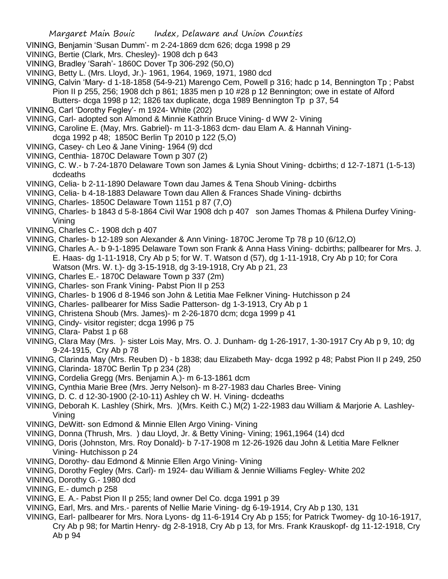- VINING, Benjamin 'Susan Dumm'- m 2-24-1869 dcm 626; dcga 1998 p 29
- VINING, Bertie (Clark, Mrs. Chesley)- 1908 dch p 643
- VINING, Bradley 'Sarah'- 1860C Dover Tp 306-292 (50,O)
- VINING, Betty L. (Mrs. Lloyd, Jr.)- 1961, 1964, 1969, 1971, 1980 dcd

VINING, Calvin 'Mary- d 1-18-1858 (54-9-21) Marengo Cem, Powell p 316; hadc p 14, Bennington Tp ; Pabst Pion II p 255, 256; 1908 dch p 861; 1835 men p 10 #28 p 12 Bennington; owe in estate of Alford

Butters- dcga 1998 p 12; 1826 tax duplicate, dcga 1989 Bennington Tp p 37, 54

- VINING, Carl 'Dorothy Fegley'- m 1924- White (202)
- VINING, Carl- adopted son Almond & Minnie Kathrin Bruce Vining- d WW 2- Vining
- VINING, Caroline E. (May, Mrs. Gabriel)- m 11-3-1863 dcm- dau Elam A. & Hannah Vining-

dcga 1992 p 48; 1850C Berlin Tp 2010 p 122 (5,O)

- VINING, Casey- ch Leo & Jane Vining- 1964 (9) dcd
- VINING, Centhia- 1870C Delaware Town p 307 (2)
- VINING, C. W.- b 7-24-1870 Delaware Town son James & Lynia Shout Vining- dcbirths; d 12-7-1871 (1-5-13) dcdeaths
- VINING, Celia- b 2-11-1890 Delaware Town dau James & Tena Shoub Vining- dcbirths
- VINING, Celia- b 4-18-1883 Delaware Town dau Allen & Frances Shade Vining- dcbirths
- VINING, Charles- 1850C Delaware Town 1151 p 87 (7,O)
- VINING, Charles- b 1843 d 5-8-1864 Civil War 1908 dch p 407 son James Thomas & Philena Durfey Vining-Vining
- VINING, Charles C.- 1908 dch p 407
- VINING, Charles- b 12-189 son Alexander & Ann Vining- 1870C Jerome Tp 78 p 10 (6/12,O)
- VINING, Charles A.- b 9-1-1895 Delaware Town son Frank & Anna Hass Vining- dcbirths; pallbearer for Mrs. J. E. Haas- dg 1-11-1918, Cry Ab p 5; for W. T. Watson d (57), dg 1-11-1918, Cry Ab p 10; for Cora Watson (Mrs. W. t.)- dg 3-15-1918, dg 3-19-1918, Cry Ab p 21, 23
- VINING, Charles E.- 1870C Delaware Town p 337 (2m)
- VINING, Charles- son Frank Vining- Pabst Pion II p 253
- VINING, Charles- b 1906 d 8-1946 son John & Letitia Mae Felkner Vining- Hutchisson p 24
- VINING, Charles- pallbearer for Miss Sadie Patterson- dg 1-3-1913, Cry Ab p 1
- VINING, Christena Shoub (Mrs. James)- m 2-26-1870 dcm; dcga 1999 p 41
- VINING, Cindy- visitor register; dcga 1996 p 75
- VINING, Clara- Pabst 1 p 68
- VINING, Clara May (Mrs. )- sister Lois May, Mrs. O. J. Dunham- dg 1-26-1917, 1-30-1917 Cry Ab p 9, 10; dg 9-24-1915, Cry Ab p 78
- VINING, Clarinda May (Mrs. Reuben D) b 1838; dau Elizabeth May- dcga 1992 p 48; Pabst Pion II p 249, 250
- VINING, Clarinda- 1870C Berlin Tp p 234 (28)
- VINING, Cordelia Gregg (Mrs. Benjamin A.)- m 6-13-1861 dcm
- VINING, Cynthia Marie Bree (Mrs. Jerry Nelson)- m 8-27-1983 dau Charles Bree- Vining
- VINING, D. C. d 12-30-1900 (2-10-11) Ashley ch W. H. Vining- dcdeaths
- VINING, Deborah K. Lashley (Shirk, Mrs. )(Mrs. Keith C.) M(2) 1-22-1983 dau William & Marjorie A. Lashley-Vining
- VINING, DeWitt- son Edmond & Minnie Ellen Argo Vining- Vining
- VINING, Donna (Thrush, Mrs. ) dau Lloyd, Jr. & Betty Vining- Vining; 1961,1964 (14) dcd
- VINING, Doris (Johnston, Mrs. Roy Donald)- b 7-17-1908 m 12-26-1926 dau John & Letitia Mare Felkner Vining- Hutchisson p 24
- VINING, Dorothy- dau Edmond & Minnie Ellen Argo Vining- Vining
- VINING, Dorothy Fegley (Mrs. Carl)- m 1924- dau William & Jennie Williams Fegley- White 202
- VINING, Dorothy G.- 1980 dcd
- VINING, E.- dumch p 258
- VINING, E. A.- Pabst Pion II p 255; land owner Del Co. dcga 1991 p 39
- VINING, Earl, Mrs. and Mrs.- parents of Nellie Marie Vining- dg 6-19-1914, Cry Ab p 130, 131
- VINING, Earl- pallbearer for Mrs. Nora Lyons- dg 11-6-1914 Cry Ab p 155; for Patrick Twomey- dg 10-16-1917, Cry Ab p 98; for Martin Henry- dg 2-8-1918, Cry Ab p 13, for Mrs. Frank Krauskopf- dg 11-12-1918, Cry Ab p 94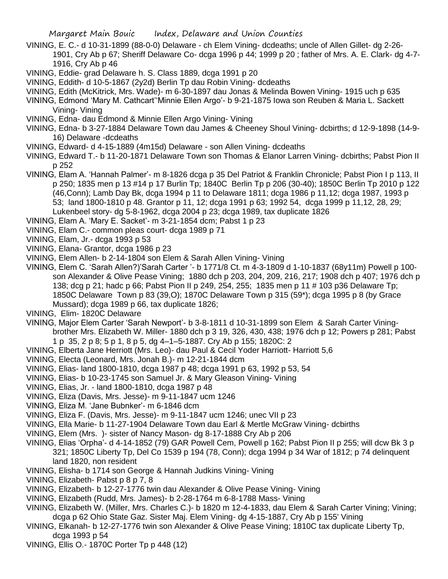- VINING, E. C.- d 10-31-1899 (88-0-0) Delaware ch Elem Vining- dcdeaths; uncle of Allen Gillet- dg 2-26- 1901, Cry Ab p 67; Sheriff Delaware Co- dcga 1996 p 44; 1999 p 20 ; father of Mrs. A. E. Clark- dg 4-7- 1916, Cry Ab p 46
- VINING, Eddie- grad Delaware h. S. Class 1889, dcga 1991 p 20
- VINING, Eddith- d 10-5-1867 (2y2d) Berlin Tp dau Robin Vining- dcdeaths
- VINING, Edith (McKitrick, Mrs. Wade)- m 6-30-1897 dau Jonas & Melinda Bowen Vining- 1915 uch p 635
- VINING, Edmond 'Mary M. Cathcart''Minnie Ellen Argo'- b 9-21-1875 Iowa son Reuben & Maria L. Sackett Vining- Vining
- VINING, Edna- dau Edmond & Minnie Ellen Argo Vining- Vining
- VINING, Edna- b 3-27-1884 Delaware Town dau James & Cheeney Shoul Vining- dcbirths; d 12-9-1898 (14-9- 16) Delaware -dcdeaths
- VINING, Edward- d 4-15-1889 (4m15d) Delaware son Allen Vining- dcdeaths
- VINING, Edward T.- b 11-20-1871 Delaware Town son Thomas & Elanor Larren Vining- dcbirths; Pabst Pion II p 252
- VINING, Elam A. 'Hannah Palmer'- m 8-1826 dcga p 35 Del Patriot & Franklin Chronicle; Pabst Pion I p 113, II p 250; 1835 men p 13 #14 p 17 Burlin Tp; 1840C Berlin Tp p 206 (30-40); 1850C Berlin Tp 2010 p 122 (46,Conn); Lamb Day Bk, dcga 1994 p 11 to Delaware 1811; dcga 1986 p 11,12; dcga 1987, 1993 p 53; land 1800-1810 p 48. Grantor p 11, 12; dcga 1991 p 63; 1992 54, dcga 1999 p 11,12, 28, 29; Lukenbeel story- dg 5-8-1962, dcga 2004 p 23; dcga 1989, tax duplicate 1826
- VINING, Elam A. 'Mary E. Sacket'- m 3-21-1854 dcm; Pabst 1 p 23
- VINING, Elam C.- common pleas court- dcga 1989 p 71
- VINING, Elam, Jr.- dcga 1993 p 53
- VINING, Elana- Grantor, dcga 1986 p 23
- VINING, Elem Allen- b 2-14-1804 son Elem & Sarah Allen Vining- Vining
- VINING, Elem C. 'Sarah Allen?)'Sarah Carter '- b 1771/8 Ct. m 4-3-1809 d 1-10-1837 (68y11m) Powell p 100 son Alexander & Olive Pease Vining; 1880 dch p 203, 204, 209, 216, 217; 1908 dch p 407; 1976 dch p 138; dcg p 21; hadc p 66; Pabst Pion II p 249, 254, 255; 1835 men p 11 # 103 p36 Delaware Tp; 1850C Delaware Town p 83 (39,O); 1870C Delaware Town p 315 (59\*); dcga 1995 p 8 (by Grace Mussard); dcga 1989 p 66, tax duplicate 1826;
- VINING, Elim- 1820C Delaware
- VINING, Major Elem Carter 'Sarah Newport'- b 3-8-1811 d 10-31-1899 son Elem & Sarah Carter Viningbrother Mrs. Elizabeth W. Miller- 1880 dch p 3 19, 326, 430, 438; 1976 dch p 12; Powers p 281; Pabst 1 p 35, 2 p 8; 5 p 1, 8 p 5, dg 4–1–5-1887. Cry Ab p 155; 1820C: 2
- VINING, Elberta Jane Herriott (Mrs. Leo)- dau Paul & Cecil Yoder Harriott- Harriott 5,6
- VINING, Electa (Leonard, Mrs. Jonah B.)- m 12-21-1844 dcm
- VINING, Elias- land 1800-1810, dcga 1987 p 48; dcga 1991 p 63, 1992 p 53, 54
- VINING, Elias- b 10-23-1745 son Samuel Jr. & Mary Gleason Vining- Vining
- VINING, Elias, Jr. land 1800-1810, dcga 1987 p 48
- VINING, Eliza (Davis, Mrs. Jesse)- m 9-11-1847 ucm 1246
- VINING, Eliza M. 'Jane Bubnker'- m 6-1846 dcm
- VINING, Eliza F. (Davis, Mrs. Jesse)- m 9-11-1847 ucm 1246; unec VII p 23
- VINING, Ella Marie- b 11-27-1904 Delaware Town dau Earl & Mertle McGraw Vining- dcbirths
- VINING, Elem (Mrs. )- sister of Nancy Mason- dg 8-17-1888 Cry Ab p 206
- VINING, Elias 'Orpha'- d 4-14-1852 (79) GAR Powell Cem, Powell p 162; Pabst Pion II p 255; will dcw Bk 3 p 321; 1850C Liberty Tp, Del Co 1539 p 194 (78, Conn); dcga 1994 p 34 War of 1812; p 74 delinquent land 1820, non resident
- VINING, Elisha- b 1714 son George & Hannah Judkins Vining- Vining
- VINING, Elizabeth- Pabst p 8 p 7, 8
- VINING, Elizabeth- b 12-27-1776 twin dau Alexander & Olive Pease Vining- Vining
- VINING, Elizabeth (Rudd, Mrs. James)- b 2-28-1764 m 6-8-1788 Mass- Vining
- VINING, Elizabeth W. (Miller, Mrs. Charles C.)- b 1820 m 12-4-1833, dau Elem & Sarah Carter Vining; Vining; dcga p 62 Ohio State Gaz. Sister Maj. Elem Vining- dg 4-15-1887, Cry Ab p 155' Vining
- VINING, Elkanah- b 12-27-1776 twin son Alexander & Olive Pease Vining; 1810C tax duplicate Liberty Tp, dcga 1993 p 54
- VINING, Ellis O.- 1870C Porter Tp p 448 (12)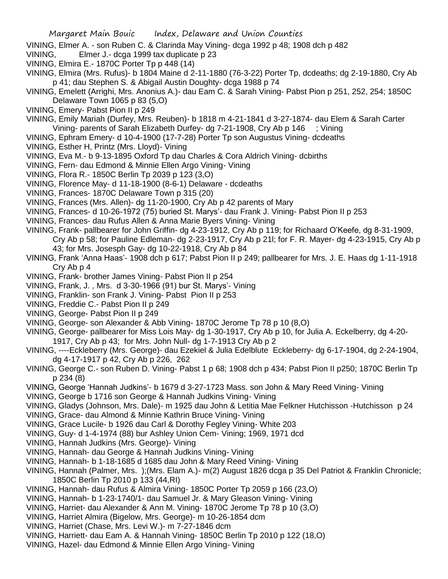- VINING, Elmer A. son Ruben C. & Clarinda May Vining- dcga 1992 p 48; 1908 dch p 482
- VINING, Elmer J.- dcga 1999 tax duplicate p 23
- VINING, Elmira E.- 1870C Porter Tp p 448 (14)
- VINING, Elmira (Mrs. Rufus)- b 1804 Maine d 2-11-1880 (76-3-22) Porter Tp, dcdeaths; dg 2-19-1880, Cry Ab p 41; dau Stephen S. & Abigail Austin Doughty- dcga 1988 p 74
- VINING, Emelett (Arrighi, Mrs. Anonius A.)- dau Eam C. & Sarah Vining- Pabst Pion p 251, 252, 254; 1850C Delaware Town 1065 p 83 (5,O)
- VINING, Emery- Pabst Pion II p 249
- VINING, Emily Mariah (Durfey, Mrs. Reuben)- b 1818 m 4-21-1841 d 3-27-1874- dau Elem & Sarah Carter Vining- parents of Sarah Elizabeth Durfey- dg 7-21-1908, Cry Ab p 146 ; Vining
- VINING, Ephram Emery- d 10-4-1900 (17-7-28) Porter Tp son Augustus Vining- dcdeaths
- VINING, Esther H, Printz (Mrs. Lloyd)- Vining
- VINING, Eva M.- b 9-13-1895 Oxford Tp dau Charles & Cora Aldrich Vining- dcbirths
- VINING, Fern- dau Edmond & Minnie Ellen Argo Vining- Vining
- VINING, Flora R.- 1850C Berlin Tp 2039 p 123 (3,O)
- VINING, Florence May- d 11-18-1900 (8-6-1) Delaware dcdeaths
- VINING, Frances- 1870C Delaware Town p 315 (20)
- VINING, Frances (Mrs. Allen)- dg 11-20-1900, Cry Ab p 42 parents of Mary
- VINING, Frances- d 10-26-1972 (75) buried St. Marys'- dau Frank J. Vining- Pabst Pion II p 253
- VINING, Frances- dau Rufus Allen & Anna Marie Byers Vining- Vining
- VINING, Frank- pallbearer for John Griffin- dg 4-23-1912, Cry Ab p 119; for Richaard O'Keefe, dg 8-31-1909, Cry Ab p 58; for Pauline Edleman- dg 2-23-1917, Cry Ab p 21l; for F. R. Mayer- dg 4-23-1915, Cry Ab p 43; for Mrs. Josesph Gay- dg 10-22-1918, Cry Ab p 84
- VINING, Frank 'Anna Haas'- 1908 dch p 617; Pabst Pion II p 249; pallbearer for Mrs. J. E. Haas dg 1-11-1918 Cry Ab p 4
- VINING, Frank- brother James Vining- Pabst Pion II p 254
- VINING, Frank, J. , Mrs. d 3-30-1966 (91) bur St. Marys'- Vining
- VINING, Franklin- son Frank J. Vining- Pabst Pion II p 253
- VINING, Freddie C.- Pabst Pion II p 249
- VINING, George- Pabst Pion II p 249
- VINING, George- son Alexander & Abb Vining- 1870C Jerome Tp 78 p 10 (8,O)
- VINING, George- pallbearer for Miss Lois May- dg 1-30-1917, Cry Ab p 10, for Julia A. Eckelberry, dg 4-20- 1917, Cry Ab p 43; for Mrs. John Null- dg 1-7-1913 Cry Ab p 2
- VINING, ----Eckleberry (Mrs. George)- dau Ezekiel & Julia Edelblute Eckleberry- dg 6-17-1904, dg 2-24-1904, dg 4-17-1917 p 42, Cry Ab p 226, 262
- VINING, George C.- son Ruben D. Vining- Pabst 1 p 68; 1908 dch p 434; Pabst Pion II p250; 1870C Berlin Tp p 234 (8)
- VINING, George 'Hannah Judkins'- b 1679 d 3-27-1723 Mass. son John & Mary Reed Vining- Vining
- VINING, George b 1716 son George & Hannah Judkins Vining- Vining
- VINING, Gladys (Johnson, Mrs. Dale)- m 1925 dau John & Letitia Mae Felkner Hutchisson -Hutchisson p 24
- VINING, Grace- dau Almond & Minnie Kathrin Bruce Vining- Vining
- VINING, Grace Lucile- b 1926 dau Carl & Dorothy Fegley Vining- White 203
- VINING, Guy- d 1-4-1974 (88) bur Ashley Union Cem- Vining; 1969, 1971 dcd
- VINING, Hannah Judkins (Mrs. George)- Vining
- VINING, Hannah- dau George & Hannah Judkins Vining- Vining
- VINING, Hannah- b 1-18-1685 d 1685 dau John & Mary Reed Vining- Vining
- VINING, Hannah (Palmer, Mrs. );(Mrs. Elam A.)- m(2) August 1826 dcga p 35 Del Patriot & Franklin Chronicle; 1850C Berlin Tp 2010 p 133 (44,RI)
- VINING, Hannah- dau Rufus & Almira Vining- 1850C Porter Tp 2059 p 166 (23,O)
- VINING, Hannah- b 1-23-1740/1- dau Samuel Jr. & Mary Gleason Vining- Vining
- VINING, Harriet- dau Alexander & Ann M. Vining- 1870C Jerome Tp 78 p 10 (3,O)
- VINING, Harriet Almira (Bigelow, Mrs. George)- m 10-26-1854 dcm
- VINING, Harriet (Chase, Mrs. Levi W.)- m 7-27-1846 dcm
- VINING, Harriett- dau Eam A. & Hannah Vining- 1850C Berlin Tp 2010 p 122 (18,O)
- VINING, Hazel- dau Edmond & Minnie Ellen Argo Vining- Vining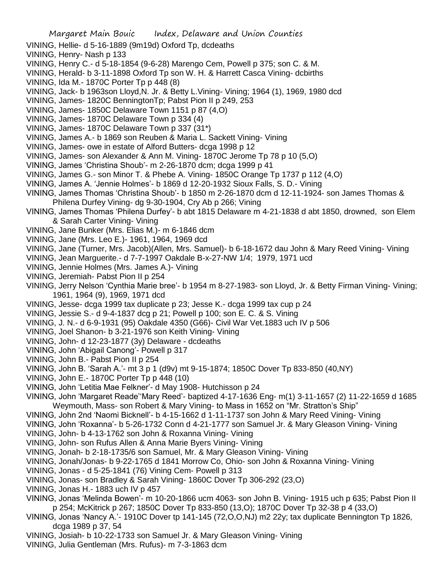- VINING, Hellie- d 5-16-1889 (9m19d) Oxford Tp, dcdeaths
- VINING, Henry- Nash p 133
- VINING, Henry C.- d 5-18-1854 (9-6-28) Marengo Cem, Powell p 375; son C. & M.
- VINING, Herald- b 3-11-1898 Oxford Tp son W. H. & Harrett Casca Vining- dcbirths
- VINING, Ida M.- 1870C Porter Tp p 448 (8)
- VINING, Jack- b 1963son Lloyd,N. Jr. & Betty L.Vining- Vining; 1964 (1), 1969, 1980 dcd
- VINING, James- 1820C BenningtonTp; Pabst Pion II p 249, 253
- VINING, James- 1850C Delaware Town 1151 p 87 (4,O)
- VINING, James- 1870C Delaware Town p 334 (4)
- VINING, James- 1870C Delaware Town p 337 (31\*)
- VINING, James A.- b 1869 son Reuben & Maria L. Sackett Vining- Vining
- VINING, James- owe in estate of Alford Butters- dcga 1998 p 12
- VINING, James- son Alexander & Ann M. Vining- 1870C Jerome Tp 78 p 10 (5,O)
- VINING, James 'Christina Shoub'- m 2-26-1870 dcm; dcga 1999 p 41
- VINING, James G.- son Minor T. & Phebe A. Vining- 1850C Orange Tp 1737 p 112 (4,O)
- VINING, James A. 'Jennie Holmes'- b 1869 d 12-20-1932 Sioux Falls, S. D.- Vining
- VINING, James Thomas 'Christina Shoub'- b 1850 m 2-26-1870 dcm d 12-11-1924- son James Thomas & Philena Durfey Vining- dg 9-30-1904, Cry Ab p 266; Vining
- VINING, James Thomas 'Philena Durfey'- b abt 1815 Delaware m 4-21-1838 d abt 1850, drowned, son Elem & Sarah Carter Vining- Vining
- VINING, Jane Bunker (Mrs. Elias M.)- m 6-1846 dcm
- VINING, Jane (Mrs. Leo E.)- 1961, 1964, 1969 dcd
- VINING, Jane (Turner, Mrs. Jacob)(Allen, Mrs. Samuel)- b 6-18-1672 dau John & Mary Reed Vining- Vining
- VINING, Jean Marguerite.- d 7-7-1997 Oakdale B-x-27-NW 1/4; 1979, 1971 ucd
- VINING, Jennie Holmes (Mrs. James A.)- Vining
- VINING, Jeremiah- Pabst Pion II p 254
- VINING, Jerry Nelson 'Cynthia Marie bree'- b 1954 m 8-27-1983- son Lloyd, Jr. & Betty Firman Vining- Vining; 1961, 1964 (9), 1969, 1971 dcd
- VINING, Jesse- dcga 1999 tax duplicate p 23; Jesse K.- dcga 1999 tax cup p 24
- VINING, Jessie S.- d 9-4-1837 dcg p 21; Powell p 100; son E. C. & S. Vining
- VINING, J. N.- d 6-9-1931 (95) Oakdale 4350 (G66)- Civil War Vet.1883 uch IV p 506
- VINING, Joel Shanon- b 3-21-1976 son Keith Vining- Vining
- VINING, John- d 12-23-1877 (3y) Delaware dcdeaths
- VINING, John 'Abigail Canong'- Powell p 317
- VINING, John B.- Pabst Pion II p 254
- VINING, John B. 'Sarah A.'- mt 3 p 1 (d9v) mt 9-15-1874; 1850C Dover Tp 833-850 (40,NY)
- VINING, John E.- 1870C Porter Tp p 448 (10)
- VINING, John 'Letitia Mae Felkner'- d May 1908- Hutchisson p 24
- VINING, John 'Margaret Reade''Mary Reed'- baptized 4-17-1636 Eng- m(1) 3-11-1657 (2) 11-22-1659 d 1685 Weymouth, Mass- son Robert & Mary Vining- to Mass in 1652 on "Mr. Stratton's Ship"
- VINING, John 2nd 'Naomi Bicknell'- b 4-15-1662 d 1-11-1737 son John & Mary Reed Vining- Vining
- VINING, John 'Roxanna'- b 5-26-1732 Conn d 4-21-1777 son Samuel Jr. & Mary Gleason Vining- Vining
- VINING, John- b 4-13-1762 son John & Roxanna Vining- Vining
- VINING, John- son Rufus Allen & Anna Marie Byers Vining- Vining
- VINING, Jonah- b 2-18-1735/6 son Samuel, Mr. & Mary Gleason Vining- Vining
- VINING, Jonah/Jonas- b 9-22-1765 d 1841 Morrow Co, Ohio- son John & Roxanna Vining- Vining
- VINING, Jonas d 5-25-1841 (76) Vining Cem- Powell p 313
- VINING, Jonas- son Bradley & Sarah Vining- 1860C Dover Tp 306-292 (23,O)
- VINING, Jonas H.- 1883 uch IV p 457
- VINING, Jonas 'Melinda Bowen'- m 10-20-1866 ucm 4063- son John B. Vining- 1915 uch p 635; Pabst Pion II p 254; McKitrick p 267; 1850C Dover Tp 833-850 (13,O); 1870C Dover Tp 32-38 p 4 (33,O)
- VINING, Jonas 'Nancy A.'- 1910C Dover tp 141-145 (72,O,O,NJ) m2 22y; tax duplicate Bennington Tp 1826, dcga 1989 p 37, 54
- VINING, Josiah- b 10-22-1733 son Samuel Jr. & Mary Gleason Vining- Vining
- VINING, Julia Gentleman (Mrs. Rufus)- m 7-3-1863 dcm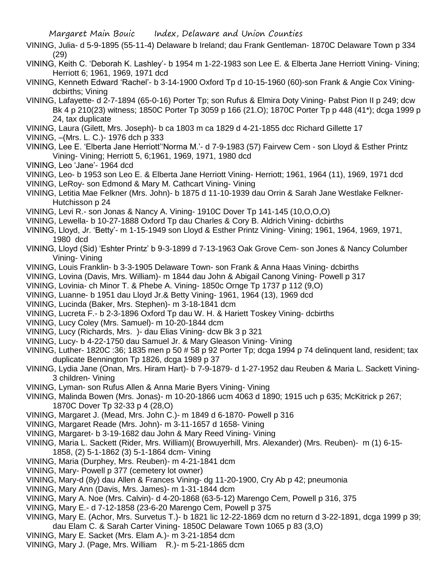- VINING, Julia- d 5-9-1895 (55-11-4) Delaware b Ireland; dau Frank Gentleman- 1870C Delaware Town p 334 (29)
- VINING, Keith C. 'Deborah K. Lashley'- b 1954 m 1-22-1983 son Lee E. & Elberta Jane Herriott Vining- Vining; Herriott 6; 1961, 1969, 1971 dcd
- VINING, Kenneth Edward 'Rachel'- b 3-14-1900 Oxford Tp d 10-15-1960 (60)-son Frank & Angie Cox Viningdcbirths; Vining
- VINING, Lafayette- d 2-7-1894 (65-0-16) Porter Tp; son Rufus & Elmira Doty Vining- Pabst Pion II p 249; dcw Bk 4 p 210(23) witness; 1850C Porter Tp 3059 p 166 (21.O); 1870C Porter Tp p 448 (41\*); dcga 1999 p 24, tax duplicate
- VINING, Laura (Gilett, Mrs. Joseph)- b ca 1803 m ca 1829 d 4-21-1855 dcc Richard Gillette 17
- VINING, –(Mrs. L. C.)- 1976 dch p 333
- VINING, Lee E. 'Elberta Jane Herriott''Norma M.'- d 7-9-1983 (57) Fairvew Cem son Lloyd & Esther Printz Vining- Vining; Herriott 5, 6;1961, 1969, 1971, 1980 dcd
- VINING, Leo 'Jane'- 1964 dcd
- VINING, Leo- b 1953 son Leo E. & Elberta Jane Herriott Vining- Herriott; 1961, 1964 (11), 1969, 1971 dcd
- VINING, LeRoy- son Edmond & Mary M. Cathcart Vining- Vining
- VINING, Letitia Mae Felkner (Mrs. John)- b 1875 d 11-10-1939 dau Orrin & Sarah Jane Westlake Felkner-Hutchisson p 24
- VINING, Levi R.- son Jonas & Nancy A. Vining- 1910C Dover Tp 141-145 (10,O,O,O)
- VINING, Lewella- b 10-27-1888 Oxford Tp dau Charles & Cory B. Aldrich Vining- dcbirths
- VINING, Lloyd, Jr. 'Betty'- m 1-15-1949 son Lloyd & Esther Printz Vining- Vining; 1961, 1964, 1969, 1971, 1980 dcd
- VINING, Lloyd (Sid) 'Eshter Printz' b 9-3-1899 d 7-13-1963 Oak Grove Cem- son Jones & Nancy Columber Vining- Vining
- VINING, Louis Franklin- b 3-3-1905 Delaware Town- son Frank & Anna Haas Vining- dcbirths
- VINING, Lovina (Davis, Mrs. William)- m 1844 dau John & Abigail Canong Vining- Powell p 317
- VINING, Lovinia- ch Minor T. & Phebe A. Vining- 1850c Ornge Tp 1737 p 112 (9,O)
- VINING, Luanne- b 1951 dau Lloyd Jr.& Betty Vining- 1961, 1964 (13), 1969 dcd
- VINING, Lucinda (Baker, Mrs. Stephen)- m 3-18-1841 dcm
- VINING, Lucreta F.- b 2-3-1896 Oxford Tp dau W. H. & Hariett Toskey Vining- dcbirths
- VINING, Lucy Coley (Mrs. Samuel)- m 10-20-1844 dcm
- VINING, Lucy (Richards, Mrs. )- dau Elias Vining- dcw Bk 3 p 321
- VINING, Lucy- b 4-22-1750 dau Samuel Jr. & Mary Gleason Vining- Vining
- VINING, Luther- 1820C :36; 1835 men p 50 # 58 p 92 Porter Tp; dcga 1994 p 74 delinquent land, resident; tax duplicate Bennington Tp 1826, dcga 1989 p 37
- VINING, Lydia Jane (Onan, Mrs. Hiram Hart)- b 7-9-1879- d 1-27-1952 dau Reuben & Maria L. Sackett Vining-3 children- Vining
- VINING, Lyman- son Rufus Allen & Anna Marie Byers Vining- Vining
- VINING, Malinda Bowen (Mrs. Jonas)- m 10-20-1866 ucm 4063 d 1890; 1915 uch p 635; McKitrick p 267; 1870C Dover Tp 32-33 p 4 (28,O)
- VINING, Margaret J. (Mead, Mrs. John C.)- m 1849 d 6-1870- Powell p 316
- VINING, Margaret Reade (Mrs. John)- m 3-11-1657 d 1658- Vining
- VINING, Margaret- b 3-19-1682 dau John & Mary Reed Vining- Vining
- VINING, Maria L. Sackett (Rider, Mrs. William)( Browuyerhill, Mrs. Alexander) (Mrs. Reuben)- m (1) 6-15- 1858, (2) 5-1-1862 (3) 5-1-1864 dcm- Vining
- VINING, Maria (Durphey, Mrs. Reuben)- m 4-21-1841 dcm
- VINING, Mary- Powell p 377 (cemetery lot owner)
- VINING, Mary-d (8y) dau Allen & Frances Vining- dg 11-20-1900, Cry Ab p 42; pneumonia
- VINING, Mary Ann (Davis, Mrs. James)- m 1-31-1844 dcm
- VINING, Mary A. Noe (Mrs. Calvin)- d 4-20-1868 (63-5-12) Marengo Cem, Powell p 316, 375
- VINING, Mary E.- d 7-12-1858 (23-6-20 Marengo Cem, Powell p 375
- VINING, Mary E. (Achor, Mrs. Survetus T.)- b 1821 lic 12-22-1869 dcm no return d 3-22-1891, dcga 1999 p 39;
- dau Elam C. & Sarah Carter Vining- 1850C Delaware Town 1065 p 83 (3,O)
- VINING, Mary E. Sacket (Mrs. Elam A.)- m 3-21-1854 dcm
- VINING, Mary J. (Page, Mrs. William R.)- m 5-21-1865 dcm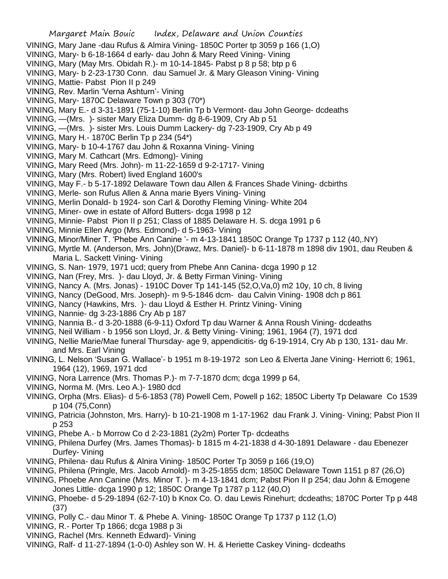- VINING, Mary Jane -dau Rufus & Almira Vining- 1850C Porter tp 3059 p 166 (1,O)
- VINING, Mary- b 6-18-1664 d early- dau John & Mary Reed Vining- Vining
- VINING, Mary (May Mrs. Obidah R.)- m 10-14-1845- Pabst p 8 p 58; btp p 6
- VINING, Mary- b 2-23-1730 Conn. dau Samuel Jr. & Mary Gleason Vining- Vining
- VINING, Mattie- Pabst Pion II p 249
- VINING, Rev. Marlin 'Verna Ashturn'- Vining
- VINING, Mary- 1870C Delaware Town p 303 (70\*)
- VINING, Mary E.- d 3-31-1891 (75-1-10) Berlin Tp b Vermont- dau John George- dcdeaths
- VINING, —(Mrs. )- sister Mary Eliza Dumm- dg 8-6-1909, Cry Ab p 51
- VINING, —(Mrs. )- sister Mrs. Louis Dumm Lackery- dg 7-23-1909, Cry Ab p 49
- VINING, Mary H.- 1870C Berlin Tp p 234 (54\*)
- VINING, Mary- b 10-4-1767 dau John & Roxanna Vining- Vining
- VINING, Mary M. Cathcart (Mrs. Edmong)- Vining
- VINING, Mary Reed (Mrs. John)- m 11-22-1659 d 9-2-1717- Vining
- VINING, Mary (Mrs. Robert) lived England 1600's
- VINING, May F.- b 5-17-1892 Delaware Town dau Allen & Frances Shade Vining- dcbirths
- VINING, Merle- son Rufus Allen & Anna marie Byers Vining- Vining
- VINING, Merlin Donald- b 1924- son Carl & Dorothy Fleming Vining- White 204
- VINING, Miner- owe in estate of Alford Butters- dcga 1998 p 12
- VINING, Minnie- Pabst Pion II p 251; Class of 1885 Delaware H. S. dcga 1991 p 6
- VINING, Minnie Ellen Argo (Mrs. Edmond)- d 5-1963- Vining
- VINING, Minor/Miner T. 'Phebe Ann Canine '- m 4-13-1841 1850C Orange Tp 1737 p 112 (40,.NY)
- VINING, Myrtle M. (Anderson, Mrs. John)(Drawz, Mrs. Daniel)- b 6-11-1878 m 1898 div 1901, dau Reuben & Maria L. Sackett Vining- Vining
- VINING, S. Nan- 1979, 1971 ucd; query from Phebe Ann Canina- dcga 1990 p 12
- VINING, Nan (Frey, Mrs. )- dau Lloyd, Jr. & Betty Firman Vining- Vining
- VINING, Nancy A. (Mrs. Jonas) 1910C Dover Tp 141-145 (52,O,Va,0) m2 10y, 10 ch, 8 living
- VINING, Nancy (DeGood, Mrs. Joseph)- m 9-5-1846 dcm- dau Calvin Vining- 1908 dch p 861
- VINING, Nancy (Hawkins, Mrs. )- dau Lloyd & Esther H. Printz Vining- Vining
- VINING, Nannie- dg 3-23-1886 Cry Ab p 187
- VINING, Nannia B.- d 3-20-1888 (6-9-11) Oxford Tp dau Warner & Anna Roush Vining- dcdeaths
- VINING, Neil William b 1956 son Lloyd, Jr. & Betty Vining- Vining; 1961, 1964 (7), 1971 dcd
- VINING, Nellie Marie/Mae funeral Thursday- age 9, appendicitis- dg 6-19-1914, Cry Ab p 130, 131- dau Mr. and Mrs. Earl Vining
- VINING, L. Nelson 'Susan G. Wallace'- b 1951 m 8-19-1972 son Leo & Elverta Jane Vining- Herriott 6; 1961, 1964 (12), 1969, 1971 dcd
- VINING, Nora Larrence (Mrs. Thomas P.)- m 7-7-1870 dcm; dcga 1999 p 64,
- VINING, Norma M. (Mrs. Leo A.)- 1980 dcd
- VINING, Orpha (Mrs. Elias)- d 5-6-1853 (78) Powell Cem, Powell p 162; 1850C Liberty Tp Delaware Co 1539 p 104 (75,Conn)
- VINING, Patricia (Johnston, Mrs. Harry)- b 10-21-1908 m 1-17-1962 dau Frank J. Vining- Vining; Pabst Pion II p 253
- VINING, Phebe A.- b Morrow Co d 2-23-1881 (2y2m) Porter Tp- dcdeaths
- VINING, Philena Durfey (Mrs. James Thomas)- b 1815 m 4-21-1838 d 4-30-1891 Delaware dau Ebenezer Durfey- Vining
- VINING, Philena- dau Rufus & Alnira Vining- 1850C Porter Tp 3059 p 166 (19,O)
- VINING, Philena (Pringle, Mrs. Jacob Arnold)- m 3-25-1855 dcm; 1850C Delaware Town 1151 p 87 (26,O)
- VINING, Phoebe Ann Canine (Mrs. Minor T. )- m 4-13-1841 dcm; Pabst Pion II p 254; dau John & Emogene Jones Little- dcga 1990 p 12; 1850C Orange Tp 1787 p 112 (40,O)
- VINING, Phoebe- d 5-29-1894 (62-7-10) b Knox Co. O. dau Lewis Rinehurt; dcdeaths; 1870C Porter Tp p 448 (37)
- VINING, Polly C.- dau Minor T. & Phebe A. Vining- 1850C Orange Tp 1737 p 112 (1,O)
- VINING, R.- Porter Tp 1866; dcga 1988 p 3i
- VINING, Rachel (Mrs. Kenneth Edward)- Vining
- VINING, Ralf- d 11-27-1894 (1-0-0) Ashley son W. H. & Heriette Caskey Vining- dcdeaths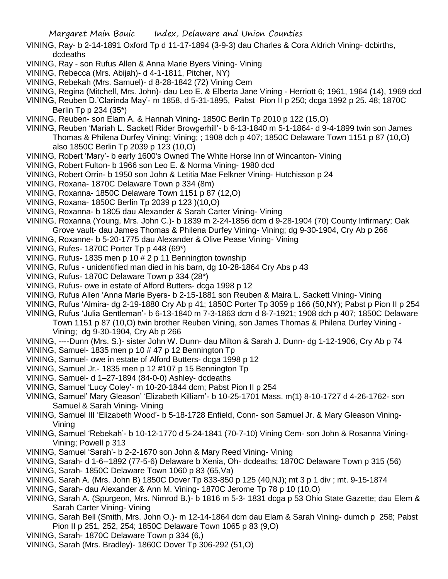VINING, Ray- b 2-14-1891 Oxford Tp d 11-17-1894 (3-9-3) dau Charles & Cora Aldrich Vining- dcbirths, dcdeaths

- VINING, Ray son Rufus Allen & Anna Marie Byers Vining- Vining
- VINING, Rebecca (Mrs. Abijah)- d 4-1-1811, Pitcher, NY)
- VINING, Rebekah (Mrs. Samuel)- d 8-28-1842 (72) Vining Cem
- VINING, Regina (Mitchell, Mrs. John)- dau Leo E. & Elberta Jane Vining Herriott 6; 1961, 1964 (14), 1969 dcd
- VINING, Reuben D.'Clarinda May'- m 1858, d 5-31-1895, Pabst Pion II p 250; dcga 1992 p 25. 48; 1870C Berlin Tp p 234 (35\*)
- VINING, Reuben- son Elam A. & Hannah Vining- 1850C Berlin Tp 2010 p 122 (15,O)
- VINING, Reuben 'Mariah L. Sackett Rider Browgerhill'- b 6-13-1840 m 5-1-1864- d 9-4-1899 twin son James Thomas & Philena Durfey Vining; Vining; ; 1908 dch p 407; 1850C Delaware Town 1151 p 87 (10,O) also 1850C Berlin Tp 2039 p 123 (10,O)
- VINING, Robert 'Mary'- b early 1600's Owned The White Horse Inn of Wincanton- Vining
- VINING, Robert Fulton- b 1966 son Leo E. & Norma Vining- 1980 dcd
- VINING, Robert Orrin- b 1950 son John & Letitia Mae Felkner Vining- Hutchisson p 24
- VINING, Roxana- 1870C Delaware Town p 334 (8m)
- VINING, Roxanna- 1850C Delaware Town 1151 p 87 (12,O)
- VINING, Roxana- 1850C Berlin Tp 2039 p 123 )(10,O)
- VINING, Roxanna- b 1805 dau Alexander & Sarah Carter Vining- Vining
- VINING, Roxanna (Young, Mrs. John C.)- b 1839 m 2-24-1856 dcm d 9-28-1904 (70) County Infirmary; Oak Grove vault- dau James Thomas & Philena Durfey Vining- Vining; dg 9-30-1904, Cry Ab p 266
- VINING, Roxanne- b 5-20-1775 dau Alexander & Olive Pease Vining- Vining
- VINING, Rufes- 1870C Porter Tp p 448 (69\*)
- VINING, Rufus- 1835 men p 10 # 2 p 11 Bennington township
- VINING, Rufus unidentified man died in his barn, dg 10-28-1864 Cry Abs p 43
- VINING, Rufus- 1870C Delaware Town p 334 (28\*)
- VINING, Rufus- owe in estate of Alford Butters- dcga 1998 p 12
- VINING, Rufus Allen 'Anna Marie Byers- b 2-15-1881 son Reuben & Maira L. Sackett Vining- Vining
- VINING, Rufus 'Almira- dg 2-19-1880 Cry Ab p 41; 1850C Porter Tp 3059 p 166 (50,NY); Pabst p Pion II p 254
- VINING, Rufus 'Julia Gentleman'- b 6-13-1840 m 7-3-1863 dcm d 8-7-1921; 1908 dch p 407; 1850C Delaware Town 1151 p 87 (10,O) twin brother Reuben Vining, son James Thomas & Philena Durfey Vining - Vining; dg 9-30-1904, Cry Ab p 266
- VINING, ----Dunn (Mrs. S.)- sister John W. Dunn- dau Milton & Sarah J. Dunn- dg 1-12-1906, Cry Ab p 74
- VINING, Samuel- 1835 men p 10 # 47 p 12 Bennington Tp
- VINING, Samuel- owe in estate of Alford Butters- dcga 1998 p 12
- VINING, Samuel Jr.- 1835 men p 12 #107 p 15 Bennington Tp
- VINING, Samuel- d 1–27-1894 (84-0-0) Ashley- dcdeaths
- VINING, Samuel 'Lucy Coley'- m 10-20-1844 dcm; Pabst Pion II p 254
- VINING, Samuel' Mary Gleason' 'Elizabeth Killiam'- b 10-25-1701 Mass. m(1) 8-10-1727 d 4-26-1762- son Samuel & Sarah Vining- Vining
- VINING, Samuel III 'Elizabeth Wood'- b 5-18-1728 Enfield, Conn- son Samuel Jr. & Mary Gleason Vining-Vining
- VINING, Samuel 'Rebekah'- b 10-12-1770 d 5-24-1841 (70-7-10) Vining Cem- son John & Rosanna Vining-Vining; Powell p 313
- VINING, Samuel 'Sarah'- b 2-2-1670 son John & Mary Reed Vining- Vining
- VINING, Sarah- d 1-6--1892 (77-5-6) Delaware b Xenia, Oh- dcdeaths; 1870C Delaware Town p 315 (56)
- VINING, Sarah- 1850C Delaware Town 1060 p 83 (65,Va)
- VINING, Sarah A. (Mrs. John B) 1850C Dover Tp 833-850 p 125 (40,NJ); mt 3 p 1 div ; mt. 9-15-1874
- VINING, Sarah- dau Alexander & Ann M. Vining- 1870C Jerome Tp 78 p 10 (10,O)
- VINING, Sarah A. (Spurgeon, Mrs. Nimrod B.)- b 1816 m 5-3- 1831 dcga p 53 Ohio State Gazette; dau Elem & Sarah Carter Vining- Vining
- VINING, Sarah Bell (Smith, Mrs. John O.)- m 12-14-1864 dcm dau Elam & Sarah Vining- dumch p 258; Pabst Pion II p 251, 252, 254; 1850C Delaware Town 1065 p 83 (9,O)
- VINING, Sarah- 1870C Delaware Town p 334 (6,)
- VINING, Sarah (Mrs. Bradley)- 1860C Dover Tp 306-292 (51,O)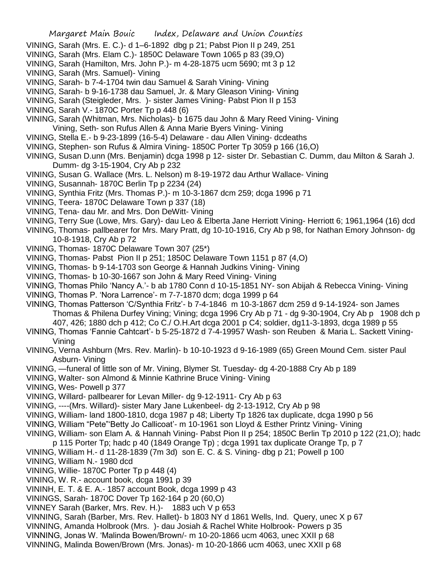- VINING, Sarah (Mrs. E. C.)- d 1–6-1892 dbg p 21; Pabst Pion II p 249, 251
- VINING, Sarah (Mrs. Elam C.)- 1850C Delaware Town 1065 p 83 (39,O)
- VINING, Sarah (Hamilton, Mrs. John P.)- m 4-28-1875 ucm 5690; mt 3 p 12
- VINING, Sarah (Mrs. Samuel)- Vining
- VINING, Sarah- b 7-4-1704 twin dau Samuel & Sarah Vining- Vining
- VINING, Sarah- b 9-16-1738 dau Samuel, Jr. & Mary Gleason Vining- Vining
- VINING, Sarah (Steigleder, Mrs. )- sister James Vining- Pabst Pion II p 153
- VINING, Sarah V.- 1870C Porter Tp p 448 (6)
- VINING, Sarah (Whitman, Mrs. Nicholas)- b 1675 dau John & Mary Reed Vining- Vining
- Vining, Seth- son Rufus Allen & Anna Marie Byers Vining- Vining
- VINING, Stella E.- b 9-23-1899 (16-5-4) Delaware dau Allen Vining- dcdeaths
- VINING, Stephen- son Rufus & Almira Vining- 1850C Porter Tp 3059 p 166 (16,O)
- VINING, Susan D.unn (Mrs. Benjamin) dcga 1998 p 12- sister Dr. Sebastian C. Dumm, dau Milton & Sarah J. Dumm- dg 3-15-1904, Cry Ab p 232
- VINING, Susan G. Wallace (Mrs. L. Nelson) m 8-19-1972 dau Arthur Wallace- Vining
- VINING, Susannah- 1870C Berlin Tp p 2234 (24)
- VINING, Synthia Fritz (Mrs. Thomas P.)- m 10-3-1867 dcm 259; dcga 1996 p 71
- VINING, Teera- 1870C Delaware Town p 337 (18)
- VINING, Tena- dau Mr. and Mrs. Don DeWitt- Vining
- VINING, Terry Sue (Lowe, Mrs. Gary)- dau Leo & Elberta Jane Herriott Vining- Herriott 6; 1961,1964 (16) dcd
- VINING, Thomas- pallbearer for Mrs. Mary Pratt, dg 10-10-1916, Cry Ab p 98, for Nathan Emory Johnson- dg 10-8-1918, Cry Ab p 72
- VINING, Thomas- 1870C Delaware Town 307 (25\*)
- VINING, Thomas- Pabst Pion II p 251; 1850C Delaware Town 1151 p 87 (4,O)
- VINING, Thomas- b 9-14-1703 son George & Hannah Judkins Vining- Vining
- VINING, Thomas- b 10-30-1667 son John & Mary Reed Vining- Vining
- VINING, Thomas Philo 'Nancy A.'- b ab 1780 Conn d 10-15-1851 NY- son Abijah & Rebecca Vining- Vining
- VINING, Thomas P. 'Nora Larrence'- m 7-7-1870 dcm; dcga 1999 p 64
- VINING, Thomas Patterson 'C/Synthia Fritz'- b 7-4-1846 m 10-3-1867 dcm 259 d 9-14-1924- son James Thomas & Philena Durfey Vining; Vining; dcga 1996 Cry Ab p 71 - dg 9-30-1904, Cry Ab p 1908 dch p 407, 426; 1880 dch p 412; Co C./ O.H.Art dcga 2001 p C4; soldier, dg11-3-1893, dcga 1989 p 55
- VINING, Thomas 'Fannie Cahtcart'- b 5-25-1872 d 7-4-19957 Wash- son Reuben & Maria L. Sackett Vining-Vining
- VINING, Verna Ashburn (Mrs. Rev. Marlin)- b 10-10-1923 d 9-16-1989 (65) Green Mound Cem. sister Paul Asburn- Vining
- VINING, —funeral of little son of Mr. Vining, Blymer St. Tuesday- dg 4-20-1888 Cry Ab p 189
- VINING, Walter- son Almond & Minnie Kathrine Bruce Vining- Vining
- VINING, Wes- Powell p 377
- VINING, Willard- pallbearer for Levan Miller- dg 9-12-1911- Cry Ab p 63
- VINING, ----(Mrs. Willard)- sister Mary Jane Lukenbeel- dg 2-13-1912, Cry Ab p 98
- VINING, William- land 1800-1810, dcga 1987 p 48; Liberty Tp 1826 tax duplicate, dcga 1990 p 56
- VINING, William "Pete"'Betty Jo Callicoat'- m 10-1961 son Lloyd & Esther Printz Vining- Vining
- VINING, William- son Elam A. & Hannah Vining- Pabst Pion II p 254; 1850C Berlin Tp 2010 p 122 (21,O); hadc
- p 115 Porter Tp; hadc p 40 (1849 Orange Tp) ; dcga 1991 tax duplicate Orange Tp, p 7
- VINING, William H.- d 11-28-1839 (7m 3d) son E. C. & S. Vining- dbg p 21; Powell p 100
- VINING, William N.- 1980 dcd
- VINING, Willie- 1870C Porter Tp p 448 (4)
- VINING, W. R.- account book, dcga 1991 p 39
- VININH, E. T. & E. A.- 1857 account Book, dcga 1999 p 43
- VININGS, Sarah- 1870C Dover Tp 162-164 p 20 (60,O)
- VINNEY Sarah (Barker, Mrs. Rev. H.)- 1883 uch V p 653
- VINNING, Sarah (Barber, Mrs. Rev. Hallet)- b 1803 NY d 1861 Wells, Ind. Query, unec X p 67
- VINNING, Amanda Holbrook (Mrs. )- dau Josiah & Rachel White Holbrook- Powers p 35
- VINNING, Jonas W. 'Malinda Bowen/Brown/- m 10-20-1866 ucm 4063, unec XXII p 68
- VINNING, Malinda Bowen/Brown (Mrs. Jonas)- m 10-20-1866 ucm 4063, unec XXII p 68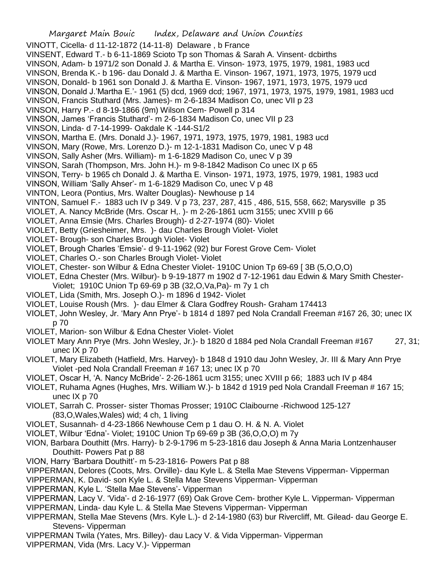VINOTT, Cicella- d 11-12-1872 (14-11-8) Delaware , b France

- VINSENT, Edward T.- b 6-11-1869 Scioto Tp son Thomas & Sarah A. Vinsent- dcbirths
- VINSON, Adam- b 1971/2 son Donald J. & Martha E. Vinson- 1973, 1975, 1979, 1981, 1983 ucd
- VINSON, Brenda K.- b 196- dau Donald J. & Martha E. Vinson- 1967, 1971, 1973, 1975, 1979 ucd
- VINSON, Donald- b 1961 son Donald J. & Martha E. Vinson- 1967, 1971, 1973, 1975, 1979 ucd
- VINSON, Donald J.'Martha E.'- 1961 (5) dcd, 1969 dcd; 1967, 1971, 1973, 1975, 1979, 1981, 1983 ucd
- VINSON, Francis Stuthard (Mrs. James)- m 2-6-1834 Madison Co, unec VII p 23
- VINSON, Harry P.- d 8-19-1866 (9m) Wilson Cem- Powell p 314
- VINSON, James 'Francis Stuthard'- m 2-6-1834 Madison Co, unec VII p 23
- VINSON, Linda- d 7-14-1999- Oakdale K -144-S1/2
- VINSON, Martha E. (Mrs. Donald J.)- 1967, 1971, 1973, 1975, 1979, 1981, 1983 ucd
- VINSON, Mary (Rowe, Mrs. Lorenzo D.)- m 12-1-1831 Madison Co, unec V p 48
- VINSON, Sally Asher (Mrs. William)- m 1-6-1829 Madison Co, unec V p 39
- VINSON, Sarah (Thompson, Mrs. John H.)- m 9-8-1842 Madison Co unec IX p 65
- VINSON, Terry- b 1965 ch Donald J. & Martha E. Vinson- 1971, 1973, 1975, 1979, 1981, 1983 ucd
- VINSON, William 'Sally Ahser'- m 1-6-1829 Madison Co, unec V p 48
- VINTON, Leora (Pontius, Mrs. Walter Douglas)- Newhouse p 14
- VINTON, Samuel F.- 1883 uch IV p 349. V p 73, 237, 287, 415 , 486, 515, 558, 662; Marysville p 35
- VIOLET, A. Nancy McBride (Mrs. Oscar H,. )- m 2-26-1861 ucm 3155; unec XVIII p 66
- VIOLET, Anna Emsie (Mrs. Charles Brough)- d 2-27-1974 (80)- Violet
- VIOLET, Betty (Griesheimer, Mrs. )- dau Charles Brough Violet- Violet
- VIOLET- Brough- son Charles Brough Violet- Violet
- VIOLET, Brough Charles 'Emsie'- d 9-11-1962 (92) bur Forest Grove Cem- Violet
- VIOLET, Charles O.- son Charles Brough Violet- Violet
- VIOLET, Chester- son Wilbur & Edna Chester Violet- 1910C Union Tp 69-69 [ 3B (5,O,O,O)
- VIOLET, Edna Chester (Mrs. Wilbur)- b 9-19-1877 m 1902 d 7-12-1961 dau Edwin & Mary Smith Chester-
- Violet; 1910C Union Tp 69-69 p 3B (32,O,Va,Pa)- m 7y 1 ch
- VIOLET, Lida (Smith, Mrs. Joseph O.)- m 1896 d 1942- Violet
- VIOLET, Louise Roush (Mrs. )- dau Elmer & Clara Godfrey Roush- Graham 174413
- VIOLET, John Wesley, Jr. 'Mary Ann Prye'- b 1814 d 1897 ped Nola Crandall Freeman #167 26, 30; unec IX p 70
- VIOLET, Marion- son Wilbur & Edna Chester Violet- Violet
- VIOLET Mary Ann Prye (Mrs. John Wesley, Jr.)- b 1820 d 1884 ped Nola Crandall Freeman #167 27, 31; unec IX p 70
- VIOLET, Mary Elizabeth (Hatfield, Mrs. Harvey)- b 1848 d 1910 dau John Wesley, Jr. III & Mary Ann Prye Violet -ped Nola Crandall Freeman # 167 13; unec IX p 70
- VIOLET, Oscar H, 'A. Nancy McBride'- 2-26-1861 ucm 3155; unec XVIII p 66; 1883 uch IV p 484
- VIOLET, Ruhama Agnes (Hughes, Mrs. William W.)- b 1842 d 1919 ped Nola Crandall Freeman # 167 15; unec IX p 70
- VIOLET, Sarrah C. Prosser- sister Thomas Prosser; 1910C Claibourne -Richwood 125-127 (83,O,Wales,Wales) wid; 4 ch, 1 living
- VIOLET, Susannah- d 4-23-1866 Newhouse Cem p 1 dau O. H. & N. A. Violet
- VIOLET, Wilbur 'Edna'- Violet; 1910C Union Tp 69-69 p 3B (36,O,O,O) m 7y
- VION, Barbara Douthitt (Mrs. Harry)- b 2-9-1796 m 5-23-1816 dau Joseph & Anna Maria Lontzenhauser Douthitt- Powers Pat p 88
- VION, Harry 'Barbara Douthitt'- m 5-23-1816- Powers Pat p 88
- VIPPERMAN, Delores (Coots, Mrs. Orville)- dau Kyle L. & Stella Mae Stevens Vipperman- Vipperman
- VIPPERMAN, K. David- son Kyle L. & Stella Mae Stevens Vipperman- Vipperman
- VIPPERMAN, Kyle L. 'Stella Mae Stevens'- Vipperman
- VIPPERMAN, Lacy V. 'Vida'- d 2-16-1977 (69) Oak Grove Cem- brother Kyle L. Vipperman- Vipperman
- VIPPERMAN, Linda- dau Kyle L. & Stella Mae Stevens Vipperman- Vipperman
- VIPPERMAN, Stella Mae Stevens (Mrs. Kyle L.)- d 2-14-1980 (63) bur Rivercliff, Mt. Gilead- dau George E. Stevens- Vipperman
- VIPPERMAN Twila (Yates, Mrs. Billey)- dau Lacy V. & Vida Vipperman- Vipperman
- VIPPERMAN, Vida (Mrs. Lacy V.)- Vipperman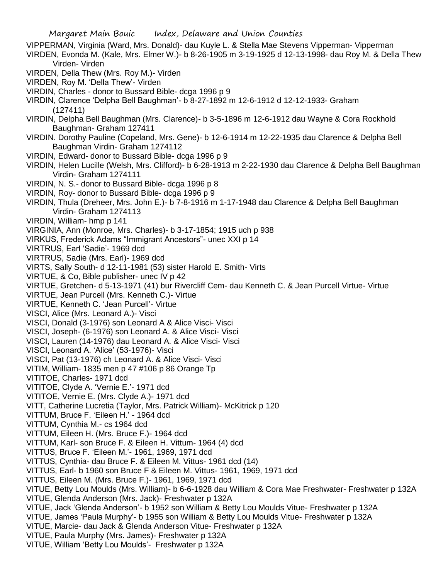Margaret Main Bouic Index, Delaware and Union Counties VIPPERMAN, Virginia (Ward, Mrs. Donald)- dau Kuyle L. & Stella Mae Stevens Vipperman- Vipperman VIRDEN, Evonda M. (Kale, Mrs. Elmer W.)- b 8-26-1905 m 3-19-1925 d 12-13-1998- dau Roy M. & Della Thew Virden- Virden VIRDEN, Della Thew (Mrs. Roy M.)- Virden VIRDEN, Roy M. 'Della Thew'- Virden VIRDIN, Charles - donor to Bussard Bible- dcga 1996 p 9 VIRDIN, Clarence 'Delpha Bell Baughman'- b 8-27-1892 m 12-6-1912 d 12-12-1933- Graham (127411) VIRDIN, Delpha Bell Baughman (Mrs. Clarence)- b 3-5-1896 m 12-6-1912 dau Wayne & Cora Rockhold Baughman- Graham 127411 VIRDIN. Dorothy Pauline (Copeland, Mrs. Gene)- b 12-6-1914 m 12-22-1935 dau Clarence & Delpha Bell Baughman Virdin- Graham 1274112 VIRDIN, Edward- donor to Bussard Bible- dcga 1996 p 9 VIRDIN, Helen Lucille (Welsh, Mrs. Clifford)- b 6-28-1913 m 2-22-1930 dau Clarence & Delpha Bell Baughman Virdin- Graham 1274111 VIRDIN, N. S.- donor to Bussard Bible- dcga 1996 p 8 VIRDIN, Roy- donor to Bussard Bible- dcga 1996 p 9 VIRDIN, Thula (Dreheer, Mrs. John E.)- b 7-8-1916 m 1-17-1948 dau Clarence & Delpha Bell Baughman Virdin- Graham 1274113 VIRDIN, William- hmp p 141 VIRGINIA, Ann (Monroe, Mrs. Charles)- b 3-17-1854; 1915 uch p 938 VIRKUS, Frederick Adams "Immigrant Ancestors"- unec XXI p 14 VIRTRUS, Earl 'Sadie'- 1969 dcd VIRTRUS, Sadie (Mrs. Earl)- 1969 dcd VIRTS, Sally South- d 12-11-1981 (53) sister Harold E. Smith- Virts VIRTUE, & Co, Bible publisher- unec IV p 42 VIRTUE, Gretchen- d 5-13-1971 (41) bur Rivercliff Cem- dau Kenneth C. & Jean Purcell Virtue- Virtue VIRTUE, Jean Purcell (Mrs. Kenneth C.)- Virtue VIRTUE, Kenneth C. 'Jean Purcell'- Virtue VISCI, Alice (Mrs. Leonard A.)- Visci VISCI, Donald (3-1976) son Leonard A & Alice Visci- Visci VISCI, Joseph- (6-1976) son Leonard A. & Alice Visci- Visci VISCI, Lauren (14-1976) dau Leonard A. & Alice Visci- Visci VISCI, Leonard A. 'Alice' (53-1976)- Visci VISCI, Pat (13-1976) ch Leonard A. & Alice Visci- Visci VITIM, William- 1835 men p 47 #106 p 86 Orange Tp VITITOE, Charles- 1971 dcd VITITOE, Clyde A. 'Vernie E.'- 1971 dcd VITITOE, Vernie E. (Mrs. Clyde A.)- 1971 dcd VITT, Catherine Lucretia (Taylor, Mrs. Patrick William)- McKitrick p 120 VITTUM, Bruce F. 'Eileen H.' - 1964 dcd VITTUM, Cynthia M.- cs 1964 dcd VITTUM, Eileen H. (Mrs. Bruce F.)- 1964 dcd VITTUM, Karl- son Bruce F. & Eileen H. Vittum- 1964 (4) dcd VITTUS, Bruce F. 'Eileen M.'- 1961, 1969, 1971 dcd VITTUS, Cynthia- dau Bruce F. & Eileen M. Vittus- 1961 dcd (14) VITTUS, Earl- b 1960 son Bruce F & Eileen M. Vittus- 1961, 1969, 1971 dcd VITTUS, Eileen M. (Mrs. Bruce F.)- 1961, 1969, 1971 dcd VITUE, Betty Lou Moulds (Mrs. William)- b 6-6-1928 dau William & Cora Mae Freshwater- Freshwater p 132A VITUE, Glenda Anderson (Mrs. Jack)- Freshwater p 132A VITUE, Jack 'Glenda Anderson'- b 1952 son William & Betty Lou Moulds Vitue- Freshwater p 132A VITUE, James 'Paula Murphy'- b 1955 son William & Betty Lou Moulds Vitue- Freshwater p 132A VITUE, Marcie- dau Jack & Glenda Anderson Vitue- Freshwater p 132A VITUE, Paula Murphy (Mrs. James)- Freshwater p 132A

VITUE, William 'Betty Lou Moulds'- Freshwater p 132A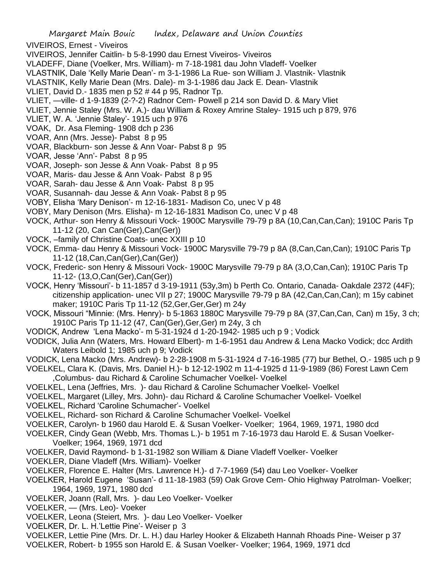VIVEIROS, Ernest - Viveiros

- VIVEIROS, Jennifer Caitlin- b 5-8-1990 dau Ernest Viveiros- Viveiros
- VLADEFF, Diane (Voelker, Mrs. William)- m 7-18-1981 dau John Vladeff- Voelker
- VLASTNIK, Dale 'Kelly Marie Dean'- m 3-1-1986 La Rue- son William J. Vlastnik- Vlastnik
- VLASTNIK, Kelly Marie Dean (Mrs. Dale)- m 3-1-1986 dau Jack E. Dean- Vlastnik
- VLIET, David D.- 1835 men p 52 # 44 p 95, Radnor Tp.
- VLIET, —ville- d 1-9-1839 (2-?-2) Radnor Cem- Powell p 214 son David D. & Mary Vliet
- VLIET, Jennie Staley (Mrs. W. A.)- dau William & Roxey Amrine Staley- 1915 uch p 879, 976
- VLIET, W. A. 'Jennie Staley'- 1915 uch p 976
- VOAK, Dr. Asa Fleming- 1908 dch p 236
- VOAR, Ann (Mrs. Jesse)- Pabst 8 p 95
- VOAR, Blackburn- son Jesse & Ann Voar- Pabst 8 p 95
- VOAR, Jesse 'Ann'- Pabst 8 p 95
- VOAR, Joseph- son Jesse & Ann Voak- Pabst 8 p 95
- VOAR, Maris- dau Jesse & Ann Voak- Pabst 8 p 95
- VOAR, Sarah- dau Jesse & Ann Voak- Pabst 8 p 95
- VOAR, Susannah- dau Jesse & Ann Voak- Pabst 8 p 95
- VOBY, Elisha 'Mary Denison'- m 12-16-1831- Madison Co, unec V p 48
- VOBY, Mary Denison (Mrs. Elisha)- m 12-16-1831 Madison Co, unec V p 48
- VOCK, Arthur- son Henry & Missouri Vock- 1900C Marysville 79-79 p 8A (10,Can,Can,Can); 1910C Paris Tp 11-12 (20, Can Can(Ger),Can(Ger))
- VOCK, –family of Christine Coats- unec XXIII p 10
- VOCK, Emma- dau Henry & Missouri Vock- 1900C Marysville 79-79 p 8A (8,Can,Can,Can); 1910C Paris Tp 11-12 (18,Can,Can(Ger),Can(Ger))
- VOCK, Frederic- son Henry & Missouri Vock- 1900C Marysville 79-79 p 8A (3,O,Can,Can); 1910C Paris Tp 11-12- (13,O,Can(Ger),Can(Ger))
- VOCK, Henry 'Missouri'- b 11-1857 d 3-19-1911 (53y,3m) b Perth Co. Ontario, Canada- Oakdale 2372 (44F); citizenship application- unec VII p 27; 1900C Marysville 79-79 p 8A (42,Can,Can,Can); m 15y cabinet maker; 1910C Paris Tp 11-12 (52,Ger,Ger,Ger) m 24y
- VOCK, Missouri "Minnie: (Mrs. Henry)- b 5-1863 1880C Marysville 79-79 p 8A (37,Can,Can, Can) m 15y, 3 ch; 1910C Paris Tp 11-12 (47, Can(Ger),Ger,Ger) m 24y, 3 ch
- VODICK, Andrew 'Lena Macko'- m 5-31-1924 d 1-20-1942- 1985 uch p 9 ; Vodick
- VODICK, Julia Ann (Waters, Mrs. Howard Elbert)- m 1-6-1951 dau Andrew & Lena Macko Vodick; dcc Ardith Waters Leibold 1; 1985 uch p 9; Vodick
- VODICK, Lena Macko (Mrs. Andrew)- b 2-28-1908 m 5-31-1924 d 7-16-1985 (77) bur Bethel, O.- 1985 uch p 9
- VOELKEL, Clara K. (Davis, Mrs. Daniel H.)- b 12-12-1902 m 11-4-1925 d 11-9-1989 (86) Forest Lawn Cem ,Columbus- dau Richard & Caroline Schumacher Voelkel- Voelkel
- VOELKEL, Lena (Jeffries, Mrs. )- dau Richard & Caroline Schumacher Voelkel- Voelkel
- VOELKEL, Margaret (Lilley, Mrs. John)- dau Richard & Caroline Schumacher Voelkel- Voelkel
- VOELKEL, Richard 'Caroline Schumacher'- Voelkel
- VOELKEL, Richard- son Richard & Caroline Schumacher Voelkel- Voelkel
- VOELKER, Carolyn- b 1960 dau Harold E. & Susan Voelker- Voelker; 1964, 1969, 1971, 1980 dcd
- VOELKER, Cindy Gean (Webb, Mrs. Thomas L.)- b 1951 m 7-16-1973 dau Harold E. & Susan Voelker-Voelker; 1964, 1969, 1971 dcd
- VOELKER, David Raymond- b 1-31-1982 son William & Diane Vladeff Voelker- Voelker
- VOEKLER, Diane Vladeff (Mrs. William)- Voelker
- VOELKER, Florence E. Halter (Mrs. Lawrence H.)- d 7-7-1969 (54) dau Leo Voelker- Voelker
- VOELKER, Harold Eugene 'Susan'- d 11-18-1983 (59) Oak Grove Cem- Ohio Highway Patrolman- Voelker; 1964, 1969, 1971, 1980 dcd
- VOELKER, Joann (Rall, Mrs. )- dau Leo Voelker- Voelker
- VOELKER, (Mrs. Leo)- Voeker
- VOELKER, Leona (Steiert, Mrs. )- dau Leo Voelker- Voelker
- VOELKER, Dr. L. H.'Lettie Pine'- Weiser p 3
- VOELKER, Lettie Pine (Mrs. Dr. L. H.) dau Harley Hooker & Elizabeth Hannah Rhoads Pine- Weiser p 37
- VOELKER, Robert- b 1955 son Harold E. & Susan Voelker- Voelker; 1964, 1969, 1971 dcd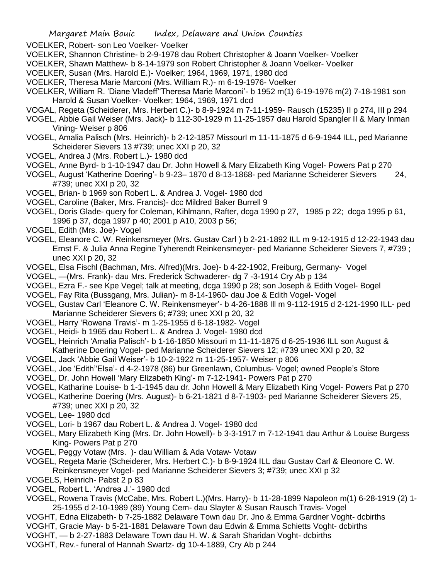VOELKER, Robert- son Leo Voelker- Voelker

- VOELKER, Shannon Christine- b 2-9-1978 dau Robert Christopher & Joann Voelker- Voelker
- VOELKER, Shawn Matthew- b 8-14-1979 son Robert Christopher & Joann Voelker- Voelker
- VOELKER, Susan (Mrs. Harold E.)- Voelker; 1964, 1969, 1971, 1980 dcd
- VOELKER, Theresa Marie Marconi (Mrs. William R.)- m 6-19-1976- Voelker
- VOELKER, William R. 'Diane Vladeff''Theresa Marie Marconi'- b 1952 m(1) 6-19-1976 m(2) 7-18-1981 son Harold & Susan Voelker- Voelker; 1964, 1969, 1971 dcd
- VOGAL, Regeta (Scheiderer, Mrs. Herbert C.)- b 8-9-1924 m 7-11-1959- Rausch (15235) II p 274, III p 294
- VOGEL, Abbie Gail Weiser (Mrs. Jack)- b 112-30-1929 m 11-25-1957 dau Harold Spangler II & Mary Inman Vining- Weiser p 806
- VOGEL, Amalia Palisch (Mrs. Heinrich)- b 2-12-1857 MissourI m 11-11-1875 d 6-9-1944 ILL, ped Marianne Scheiderer Sievers 13 #739; unec XXI p 20, 32
- VOGEL, Andrea J (Mrs. Robert L.)- 1980 dcd
- VOGEL, Anne Byrd- b 1-10-1947 dau Dr. John Howell & Mary Elizabeth King Vogel- Powers Pat p 270
- VOGEL, August 'Katherine Doering'- b 9-23– 1870 d 8-13-1868- ped Marianne Scheiderer Sievers 24, #739; unec XXI p 20, 32
- VOGEL, Brian- b 1969 son Robert L. & Andrea J. Vogel- 1980 dcd
- VOGEL, Caroline (Baker, Mrs. Francis)- dcc Mildred Baker Burrell 9
- VOGEL, Doris Glade- query for Coleman, Kihlmann, Rafter, dcga 1990 p 27, 1985 p 22; dcga 1995 p 61, 1996 p 37, dcga 1997 p 40; 2001 p A10, 2003 p 56;
- VOGEL, Edith (Mrs. Joe)- Vogel
- VOGEL, Eleanore C. W. Reinkensmeyer (Mrs. Gustav Carl ) b 2-21-1892 ILL m 9-12-1915 d 12-22-1943 dau Ernst F. & Julia Anna Regine Tyherendt Reinkensmeyer- ped Marianne Scheiderer Sievers 7, #739 ; unec XXI p 20, 32
- VOGEL, Elsa Fischl (Bachman, Mrs. Alfred)(Mrs. Joe)- b 4-22-1902, Freiburg, Germany- Vogel
- VOGEL, —(Mrs. Frank)- dau Mrs. Frederick Schwaderer- dg 7 -3-1914 Cry Ab p 134
- VOGEL, Ezra F.- see Kpe Vegel; talk at meeting, dcga 1990 p 28; son Joseph & Edith Vogel- Bogel
- VOGEL, Fay Rita (Bussgang, Mrs. Julian)- m 8-14-1960- dau Joe & Edith Vogel- Vogel
- VOGEL, Gustav Carl 'Eleanore C. W. Reinkensmeyer'- b 4-26-1888 Ill m 9-112-1915 d 2-121-1990 ILL- ped Marianne Scheiderer Sievers 6; #739; unec XXI p 20, 32
- VOGEL, Harry 'Rowena Travis'- m 1-25-1955 d 6-18-1982- Vogel
- VOGEL, Heidi- b 1965 dau Robert L. & Andrea J. Vogel- 1980 dcd
- VOGEL, Heinrich 'Amalia Palisch'- b 1-16-1850 Missouri m 11-11-1875 d 6-25-1936 ILL son August & Katherine Doering Vogel- ped Marianne Scheiderer Sievers 12; #739 unec XXI p 20, 32
- VOGEL, Jack 'Abbie Gail Weiser'- b 10-2-1922 m 11-25-1957- Weiser p 806
- VOGEL, Joe 'Edith''Elsa'- d 4-2-1978 (86) bur Greenlawn, Columbus- Vogel; owned People's Store
- VOGEL, Dr. John Howell 'Mary Elizabeth King'- m 7-12-1941- Powers Pat p 270
- VOGEL, Katharine Louise- b 1-1-1945 dau dr. John Howell & Mary Elizabeth King Vogel- Powers Pat p 270
- VOGEL, Katherine Doering (Mrs. August)- b 6-21-1821 d 8-7-1903- ped Marianne Scheiderer Sievers 25, #739; unec XXI p 20, 32
- VOGEL, Lee- 1980 dcd
- VOGEL, Lori- b 1967 dau Robert L. & Andrea J. Vogel- 1980 dcd
- VOGEL, Mary Elizabeth King (Mrs. Dr. John Howell)- b 3-3-1917 m 7-12-1941 dau Arthur & Louise Burgess King- Powers Pat p 270
- VOGEL, Peggy Votaw (Mrs. )- dau William & Ada Votaw- Votaw
- VOGEL, Regeta Marie (Scheiderer, Mrs. Herbert C.)- b 8-9-1924 ILL dau Gustav Carl & Eleonore C. W. Reinkensmeyer Vogel- ped Marianne Scheiderer Sievers 3; #739; unec XXI p 32
- VOGELS, Heinrich- Pabst 2 p 83
- VOGEL, Robert L. 'Andrea J.'- 1980 dcd
- VOGEL, Rowena Travis (McCabe, Mrs. Robert L.)(Mrs. Harry)- b 11-28-1899 Napoleon m(1) 6-28-1919 (2) 1- 25-1955 d 2-10-1989 (89) Young Cem- dau Slayter & Susan Rausch Travis- Vogel
- VOGHT, Edna Elizabeth- b 7-25-1882 Delaware Town dau Dr. Jno & Emma Gardner Voght- dcbirths
- VOGHT, Gracie May- b 5-21-1881 Delaware Town dau Edwin & Emma Schietts Voght- dcbirths
- VOGHT, b 2-27-1883 Delaware Town dau H. W. & Sarah Sharidan Voght- dcbirths
- VOGHT, Rev.- funeral of Hannah Swartz- dg 10-4-1889, Cry Ab p 244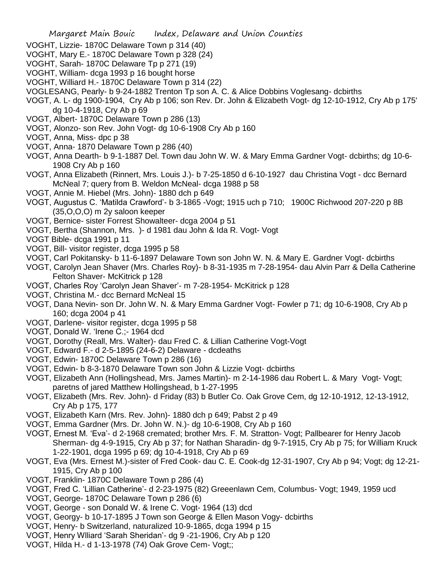- VOGHT, Lizzie- 1870C Delaware Town p 314 (40)
- VOGHT, Mary E.- 1870C Delaware Town p 328 (24)
- VOGHT, Sarah- 1870C Delaware Tp p 271 (19)
- VOGHT, William- dcga 1993 p 16 bought horse
- VOGHT, Williard H.- 1870C Delaware Town p 314 (22)
- VOGLESANG, Pearly- b 9-24-1882 Trenton Tp son A. C. & Alice Dobbins Voglesang- dcbirths
- VOGT, A. L- dg 1900-1904, Cry Ab p 106; son Rev. Dr. John & Elizabeth Vogt- dg 12-10-1912, Cry Ab p 175' dg 10-4-1918, Cry Ab p 69
- VOGT, Albert- 1870C Delaware Town p 286 (13)
- VOGT, Alonzo- son Rev. John Vogt- dg 10-6-1908 Cry Ab p 160
- VOGT, Anna, Miss- dpc p 38
- VOGT, Anna- 1870 Delaware Town p 286 (40)
- VOGT, Anna Dearth- b 9-1-1887 Del. Town dau John W. W. & Mary Emma Gardner Vogt- dcbirths; dg 10-6- 1908 Cry Ab p 160
- VOGT, Anna Elizabeth (Rinnert, Mrs. Louis J.)- b 7-25-1850 d 6-10-1927 dau Christina Vogt dcc Bernard McNeal 7; query from B. Weldon McNeal- dcga 1988 p 58
- VOGT, Annie M. Hiebel (Mrs. John)- 1880 dch p 649
- VOGT, Augustus C. 'Matilda Crawford'- b 3-1865 -Vogt; 1915 uch p 710; 1900C Richwood 207-220 p 8B (35,O,O,O) m 2y saloon keeper
- VOGT, Bernice- sister Forrest Showalteer- dcga 2004 p 51
- VOGT, Bertha (Shannon, Mrs. )- d 1981 dau John & Ida R. Vogt- Vogt
- VOGT Bible- dcga 1991 p 11
- VOGT, Bill- visitor register, dcga 1995 p 58
- VOGT, Carl Pokitansky- b 11-6-1897 Delaware Town son John W. N. & Mary E. Gardner Vogt- dcbirths
- VOGT, Carolyn Jean Shaver (Mrs. Charles Roy)- b 8-31-1935 m 7-28-1954- dau Alvin Parr & Della Catherine Felton Shaver- McKitrick p 128
- VOGT, Charles Roy 'Carolyn Jean Shaver'- m 7-28-1954- McKitrick p 128
- VOGT, Christina M.- dcc Bernard McNeal 15
- VOGT, Dana Nevin- son Dr. John W. N. & Mary Emma Gardner Vogt- Fowler p 71; dg 10-6-1908, Cry Ab p 160; dcga 2004 p 41
- VOGT, Darlene- visitor register, dcga 1995 p 58
- VOGT, Donald W. 'Irene C.;- 1964 dcd
- VOGT, Dorothy (Reall, Mrs. Walter)- dau Fred C. & Lillian Catherine Vogt-Vogt
- VOGT, Edward F.- d 2-5-1895 (24-6-2) Delaware dcdeaths
- VOGT, Edwin- 1870C Delaware Town p 286 (16)
- VOGT, Edwin- b 8-3-1870 Delaware Town son John & Lizzie Vogt- dcbirths
- VOGT, Elizabeth Ann (Hollingshead, Mrs. James Martin)- m 2-14-1986 dau Robert L. & Mary Vogt- Vogt; paretns of jared Matthew Hollingshead, b 1-27-1995
- VOGT, Elizabeth (Mrs. Rev. John)- d Friday (83) b Butler Co. Oak Grove Cem, dg 12-10-1912, 12-13-1912, Cry Ab p 175, 177
- VOGT, Elizabeth Karn (Mrs. Rev. John)- 1880 dch p 649; Pabst 2 p 49
- VOGT, Emma Gardner (Mrs. Dr. John W. N.)- dg 10-6-1908, Cry Ab p 160
- VOGT, Ernest M. 'Eva'- d 2-1968 cremated; brother Mrs. F. M. Stratton- Vogt; Pallbearer for Henry Jacob Sherman- dg 4-9-1915, Cry Ab p 37; for Nathan Sharadin- dg 9-7-1915, Cry Ab p 75; for William Kruck 1-22-1901, dcga 1995 p 69; dg 10-4-1918, Cry Ab p 69
- VOGT, Eva (Mrs. Ernest M.)-sister of Fred Cook- dau C. E. Cook-dg 12-31-1907, Cry Ab p 94; Vogt; dg 12-21- 1915, Cry Ab p 100
- VOGT, Franklin- 1870C Delaware Town p 286 (4)
- VOGT, Fred C. 'Lillian Catherine'- d 2-23-1975 (82) Greeenlawn Cem, Columbus- Vogt; 1949, 1959 ucd
- VOGT, George- 1870C Delaware Town p 286 (6)
- VOGT, George son Donald W. & Irene C. Vogt- 1964 (13) dcd
- VOGT, Georgy- b 10-17-1895 J Town son George & Ellen Mason Vogy- dcbirths
- VOGT, Henry- b Switzerland, naturalized 10-9-1865, dcga 1994 p 15
- VOGT, Henry Wlliard 'Sarah Sheridan'- dg 9 -21-1906, Cry Ab p 120
- VOGT, Hilda H.- d 1-13-1978 (74) Oak Grove Cem- Vogt;;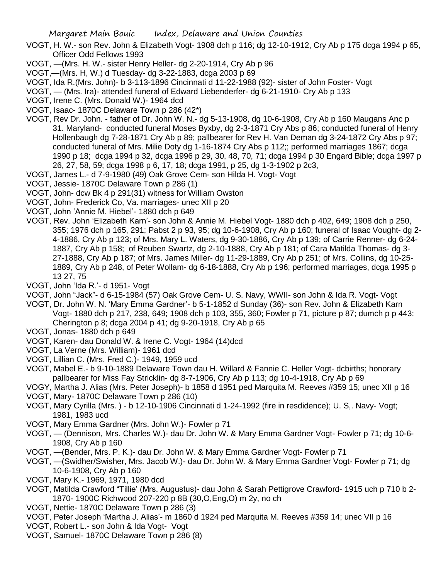- VOGT, H. W.- son Rev. John & Elizabeth Vogt- 1908 dch p 116; dg 12-10-1912, Cry Ab p 175 dcga 1994 p 65, Officer Odd Fellows 1993
- VOGT, —(Mrs. H. W.- sister Henry Heller- dg 2-20-1914, Cry Ab p 96
- VOGT,—(Mrs. H, W.) d Tuesday- dg 3-22-1883, dcga 2003 p 69
- VOGT, Ida R.(Mrs. John)- b 3-113-1896 Cincinnati d 11-22-1988 (92)- sister of John Foster- Vogt
- VOGT, (Mrs. Ira)- attended funeral of Edward Liebenderfer- dg 6-21-1910- Cry Ab p 133
- VOGT, Irene C. (Mrs. Donald W.)- 1964 dcd
- VOGT, Isaac- 1870C Delaware Town p 286 (42\*)
- VOGT, Rev Dr. John. father of Dr. John W. N.- dg 5-13-1908, dg 10-6-1908, Cry Ab p 160 Maugans Anc p 31. Maryland- conducted funeral Moses Byxby, dg 2-3-1871 Cry Abs p 86; conducted funeral of Henry Hollenbaugh dg 7-28-1871 Cry Ab p 89; pallbearer for Rev H. Van Deman dg 3-24-1872 Cry Abs p 97; conducted funeral of Mrs. Milie Doty dg 1-16-1874 Cry Abs p 112;; performed marriages 1867; dcga 1990 p 18; dcga 1994 p 32, dcga 1996 p 29, 30, 48, 70, 71; dcga 1994 p 30 Engard Bible; dcga 1997 p 26, 27, 58, 59; dcga 1998 p 6, 17, 18; dcga 1991, p 25, dg 1-3-1902 p 2c3,
- VOGT, James L.- d 7-9-1980 (49) Oak Grove Cem- son Hilda H. Vogt- Vogt
- VOGT, Jessie- 1870C Delaware Town p 286 (1)
- VOGT, John- dcw Bk 4 p 291(31) witness for William Owston
- VOGT, John- Frederick Co, Va. marriages- unec XII p 20
- VOGT, John 'Annie M. Hiebel'- 1880 dch p 649
- VOGT, Rev. John 'Elizabeth Karn'- son John & Annie M. Hiebel Vogt- 1880 dch p 402, 649; 1908 dch p 250, 355; 1976 dch p 165, 291; Pabst 2 p 93, 95; dg 10-6-1908, Cry Ab p 160; funeral of Isaac Vought- dg 2- 4-1886, Cry Ab p 123; of Mrs. Mary L. Waters, dg 9-30-1886, Cry Ab p 139; of Carrie Renner- dg 6-24- 1887, Cry Ab p 158; of Reuben Swartz, dg 2-10-1888, Cry Ab p 181; of Cara Matilda Thomas- dg 3- 27-1888, Cry Ab p 187; of Mrs. James Miller- dg 11-29-1889, Cry Ab p 251; of Mrs. Collins, dg 10-25- 1889, Cry Ab p 248, of Peter Wollam- dg 6-18-1888, Cry Ab p 196; performed marriages, dcga 1995 p 13 27, 75
- VOGT, John 'Ida R.'- d 1951- Vogt
- VOGT, John "Jack"- d 6-15-1984 (57) Oak Grove Cem- U. S. Navy, WWII- son John & Ida R. Vogt- Vogt
- VOGT, Dr. John W. N. 'Mary Emma Gardner'- b 5-1-1852 d Sunday (36)- son Rev. John & Elizabeth Karn Vogt- 1880 dch p 217, 238, 649; 1908 dch p 103, 355, 360; Fowler p 71, picture p 87; dumch p p 443; Cherington p 8; dcga 2004 p 41; dg 9-20-1918, Cry Ab p 65
- VOGT, Jonas- 1880 dch p 649
- VOGT, Karen- dau Donald W. & Irene C. Vogt- 1964 (14)dcd
- VOGT, La Verne (Mrs. William)- 1961 dcd
- VOGT, Lillian C. (Mrs. Fred C.)- 1949, 1959 ucd
- VOGT, Mabel E.- b 9-10-1889 Delaware Town dau H. Willard & Fannie C. Heller Vogt- dcbirths; honorary pallbearer for Miss Fay Stricklin- dg 8-7-1906, Cry Ab p 113; dg 10-4-1918, Cry Ab p 69
- VOGY, Martha J. Alias (Mrs. Peter Joseph)- b 1858 d 1951 ped Marquita M. Reeves #359 15; unec XII p 16
- VOGT, Mary- 1870C Delaware Town p 286 (10)
- VOGT, Mary Cyrilla (Mrs. ) b 12-10-1906 Cincinnati d 1-24-1992 (fire in resdidence); U. S,. Navy- Vogt; 1981, 1983 ucd
- VOGT, Mary Emma Gardner (Mrs. John W.)- Fowler p 71
- VOGT, (Dennison, Mrs. Charles W.)- dau Dr. John W. & Mary Emma Gardner Vogt- Fowler p 71; dg 10-6- 1908, Cry Ab p 160
- VOGT, —(Bender, Mrs. P. K.)- dau Dr. John W. & Mary Emma Gardner Vogt- Fowler p 71
- VOGT, —(Swidher/Swisher, Mrs. Jacob W.)- dau Dr. John W. & Mary Emma Gardner Vogt- Fowler p 71; dg 10-6-1908, Cry Ab p 160
- VOGT, Mary K.- 1969, 1971, 1980 dcd
- VOGT, Matilda Crawford "Tillie' (Mrs. Augustus)- dau John & Sarah Pettigrove Crawford- 1915 uch p 710 b 2- 1870- 1900C Richwood 207-220 p 8B (30,O,Eng,O) m 2y, no ch
- VOGT, Nettie- 1870C Delaware Town p 286 (3)
- VOGT, Peter Joseph 'Martha J. Alias'- m 1860 d 1924 ped Marquita M. Reeves #359 14; unec VII p 16
- VOGT, Robert L.- son John & Ida Vogt- Vogt
- VOGT, Samuel- 1870C Delaware Town p 286 (8)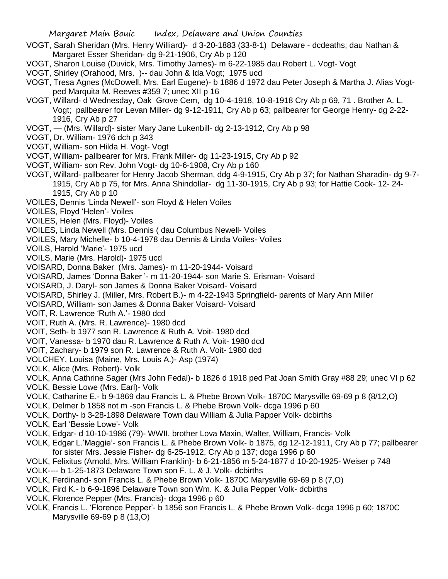- VOGT, Sarah Sheridan (Mrs. Henry Williard)- d 3-20-1883 (33-8-1) Delaware dcdeaths; dau Nathan & Margaret Esser Sheridan- dg 9-21-1906, Cry Ab p 120
- VOGT, Sharon Louise (Duvick, Mrs. Timothy James)- m 6-22-1985 dau Robert L. Vogt- Vogt
- VOGT, Shirley (Orahood, Mrs. )-- dau John & Ida Vogt; 1975 ucd
- VOGT, Tresa Agnes (McDowell, Mrs. Earl Eugene)- b 1886 d 1972 dau Peter Joseph & Martha J. Alias Vogtped Marquita M. Reeves #359 7; unec XII p 16
- VOGT, Willard- d Wednesday, Oak Grove Cem, dg 10-4-1918, 10-8-1918 Cry Ab p 69, 71 . Brother A. L. Vogt; pallbearer for Levan Miller- dg 9-12-1911, Cry Ab p 63; pallbearer for George Henry- dg 2-22- 1916, Cry Ab p 27
- VOGT, (Mrs. Willard)- sister Mary Jane Lukenbill- dg 2-13-1912, Cry Ab p 98
- VOGT, Dr. William- 1976 dch p 343
- VOGT, William- son Hilda H. Vogt- Vogt
- VOGT, William- pallbearer for Mrs. Frank Miller- dg 11-23-1915, Cry Ab p 92
- VOGT, William- son Rev. John Vogt- dg 10-6-1908, Cry Ab p 160
- VOGT, Willard- pallbearer for Henry Jacob Sherman, ddg 4-9-1915, Cry Ab p 37; for Nathan Sharadin- dg 9-7- 1915, Cry Ab p 75, for Mrs. Anna Shindollar- dg 11-30-1915, Cry Ab p 93; for Hattie Cook- 12- 24- 1915, Cry Ab p 10
- VOILES, Dennis 'Linda Newell'- son Floyd & Helen Voiles
- VOILES, Floyd 'Helen'- Voiles
- VOILES, Helen (Mrs. Floyd)- Voiles
- VOILES, Linda Newell (Mrs. Dennis ( dau Columbus Newell- Voiles
- VOILES, Mary Michelle- b 10-4-1978 dau Dennis & Linda Voiles- Voiles
- VOILS, Harold 'Marie'- 1975 ucd
- VOILS, Marie (Mrs. Harold)- 1975 ucd
- VOISARD, Donna Baker (Mrs. James)- m 11-20-1944- Voisard
- VOISARD, James 'Donna Baker '- m 11-20-1944- son Marie S. Erisman- Voisard
- VOISARD, J. Daryl- son James & Donna Baker Voisard- Voisard
- VOISARD, Shirley J. (Miller, Mrs. Robert B.)- m 4-22-1943 Springfield- parents of Mary Ann Miller
- VOISARD, William- son James & Donna Baker Voisard- Voisard
- VOIT, R. Lawrence 'Ruth A.'- 1980 dcd
- VOIT, Ruth A. (Mrs. R. Lawrence)- 1980 dcd
- VOIT, Seth- b 1977 son R. Lawrence & Ruth A. Voit- 1980 dcd
- VOIT, Vanessa- b 1970 dau R. Lawrence & Ruth A. Voit- 1980 dcd
- VOIT, Zachary- b 1979 son R. Lawrence & Ruth A. Voit- 1980 dcd
- VOLCHEY, Louisa (Maine, Mrs. Louis A.)- Asp (1974)
- VOLK, Alice (Mrs. Robert)- Volk
- VOLK, Anna Cathrine Sager (Mrs John Fedal)- b 1826 d 1918 ped Pat Joan Smith Gray #88 29; unec VI p 62
- VOLK, Bessie Lowe (Mrs. Earl)- Volk
- VOLK, Catharine E.- b 9-1869 dau Francis L. & Phebe Brown Volk- 1870C Marysville 69-69 p 8 (8/12,O)
- VOLK, Delmer b 1858 not m -son Francis L. & Phebe Brown Volk- dcga 1996 p 60
- VOLK, Dorthy- b 3-28-1898 Delaware Town dau William & Julia Papper Volk- dcbirths
- VOLK, Earl 'Bessie Lowe'- Volk
- VOLK, Edgar- d 10-10-1986 (79)- WWII, brother Lova Maxin, Walter, William, Francis- Volk
- VOLK, Edgar L.'Maggie'- son Francis L. & Phebe Brown Volk- b 1875, dg 12-12-1911, Cry Ab p 77; pallbearer for sister Mrs. Jessie Fisher- dg 6-25-1912, Cry Ab p 137; dcga 1996 p 60
- VOLK, Felixitus (Arnold, Mrs. William Franklin)- b 6-21-1856 m 5-24-1877 d 10-20-1925- Weiser p 748
- VOLK---- b 1-25-1873 Delaware Town son F. L. & J. Volk- dcbirths
- VOLK, Ferdinand- son Francis L. & Phebe Brown Volk- 1870C Marysville 69-69 p 8 (7,O)
- VOLK, Fird K.- b 6-9-1896 Delaware Town son Wm. K. & Julia Pepper Volk- dcbirths
- VOLK, Florence Pepper (Mrs. Francis)- dcga 1996 p 60
- VOLK, Francis L. 'Florence Pepper'- b 1856 son Francis L. & Phebe Brown Volk- dcga 1996 p 60; 1870C Marysville 69-69 p 8 (13,O)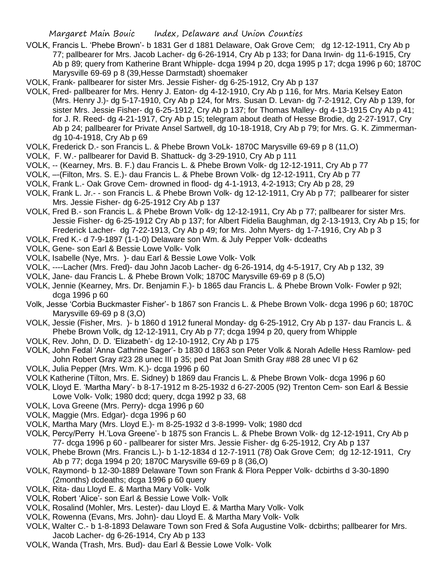- VOLK, Francis L. 'Phebe Brown'- b 1831 Ger d 1881 Delaware, Oak Grove Cem; dg 12-12-1911, Cry Ab p 77; pallbearer for Mrs. Jacob Lacher- dg 6-26-1914, Cry Ab p 133; for Dana Irwin- dg 11-6-1915, Cry Ab p 89; query from Katherine Brant Whipple- dcga 1994 p 20, dcga 1995 p 17; dcga 1996 p 60; 1870C Marysville 69-69 p 8 (39,Hesse Darmstadt) shoemaker
- VOLK, Frank- pallbearer for sister Mrs. Jessie Fisher- dg 6-25-1912, Cry Ab p 137
- VOLK, Fred- pallbearer for Mrs. Henry J. Eaton- dg 4-12-1910, Cry Ab p 116, for Mrs. Maria Kelsey Eaton (Mrs. Henry J.)- dg 5-17-1910, Cry Ab p 124, for Mrs. Susan D. Levan- dg 7-2-1912, Cry Ab p 139, for sister Mrs. Jessie Fisher- dg 6-25-1912, Cry Ab p 137; for Thomas Malley- dg 4-13-1915 Cry Ab p 41; for J. R. Reed- dg 4-21-1917, Cry Ab p 15; telegram about death of Hesse Brodie, dg 2-27-1917, Cry Ab p 24; pallbearer for Private Ansel Sartwell, dg 10-18-1918, Cry Ab p 79; for Mrs. G. K. Zimmermandg 10-4-1918, Cry Ab p 69
- VOLK, Frederick D.- son Francis L. & Phebe Brown VoLk- 1870C Marysville 69-69 p 8 (11,O)
- VOLK, F. W.- pallbearer for David B. Shattuck- dg 3-29-1910, Cry Ab p 111
- VOLK, -- (Kearney, Mrs. B. F.) dau Francis L. & Phebe Brown Volk- dg 12-12-1911, Cry Ab p 77
- VOLK, –-(Filton, Mrs. S. E.)- dau Francis L. & Phebe Brown Volk- dg 12-12-1911, Cry Ab p 77
- VOLK, Frank L.- Oak Grove Cem- drowned in flood- dg 4-1-1913, 4-2-1913; Cry Ab p 28, 29
- VOLK, Frank L. Jr.- son Francis L. & Phebe Brown Volk- dg 12-12-1911, Cry Ab p 77; pallbearer for sister Mrs. Jessie Fisher- dg 6-25-1912 Cry Ab p 137
- VOLK, Fred B.- son Francis L. & Phebe Brown Volk- dg 12-12-1911, Cry Ab p 77; pallbearer for sister Mrs. Jessie Fisher- dg 6-25-1912 Cry Ab p 137; for Albert Fidelia Baughman, dg 2-13-1913, Cry Ab p 15; for Frederick Lacher- dg 7-22-1913, Cry Ab p 49; for Mrs. John Myers- dg 1-7-1916, Cry Ab p 3
- VOLK, Fred K.- d 7-9-1897 (1-1-0) Delaware son Wm. & July Pepper Volk- dcdeaths
- VOLK, Gene- son Earl & Bessie Lowe Volk- Volk
- VOLK, Isabelle (Nye, Mrs. )- dau Earl & Bessie Lowe Volk- Volk
- VOLK, ----Lacher (Mrs. Fred)- dau John Jacob Lacher- dg 6-26-1914, dg 4-5-1917, Cry Ab p 132, 39
- VOLK, Jane- dau Francis L. & Phebe Brown Volk; 1870C Marysville 69-69 p 8 (5,O)
- VOLK, Jennie (Kearney, Mrs. Dr. Benjamin F.)- b 1865 dau Francis L. & Phebe Brown Volk- Fowler p 92l; dcga 1996 p 60
- Volk, Jesse 'Corbia Buckmaster Fisher'- b 1867 son Francis L. & Phebe Brown Volk- dcga 1996 p 60; 1870C Marysville 69-69 p 8 (3,O)
- VOLK, Jessie (Fisher, Mrs. )- b 1860 d 1912 funeral Monday- dg 6-25-1912, Cry Ab p 137- dau Francis L. & Phebe Brown Volk, dg 12-12-1911, Cry Ab p 77; dcga 1994 p 20, query from Whipple
- VOLK, Rev. John, D. D. 'Elizabeth'- dg 12-10-1912, Cry Ab p 175
- VOLK, John Fedal 'Anna Cathrine Sager'- b 1830 d 1863 son Peter Volk & Norah Adelle Hess Ramlow- ped John Robert Gray #23 28 unec III p 35; ped Pat Joan Smith Gray #88 28 unec VI p 62
- VOLK, Julia Pepper (Mrs. Wm. K.)- dcga 1996 p 60
- VOLK Katherine (Tilton, Mrs. E. Sidney) b 1869 dau Francis L. & Phebe Brown Volk- dcga 1996 p 60
- VOLK, Lloyd E. 'Martha Mary'- b 8-17-1912 m 8-25-1932 d 6-27-2005 (92) Trenton Cem- son Earl & Bessie Lowe Volk- Volk; 1980 dcd; query, dcga 1992 p 33, 68
- VOLK, Lova Greene (Mrs. Perry)- dcga 1996 p 60
- VOLK, Maggie (Mrs. Edgar)- dcga 1996 p 60
- VOLK, Martha Mary (Mrs. Lloyd E.)- m 8-25-1932 d 3-8-1999- Volk; 1980 dcd
- VOLK, Percy/Perry H.'Lova Greene'- b 1875 son Francis L. & Phebe Brown Volk- dg 12-12-1911, Cry Ab p 77- dcga 1996 p 60 - pallbearer for sister Mrs. Jessie Fisher- dg 6-25-1912, Cry Ab p 137
- VOLK, Phebe Brown (Mrs. Francis L.)- b 1-12-1834 d 12-7-1911 (78) Oak Grove Cem; dg 12-12-1911, Cry Ab p 77; dcga 1994 p 20; 1870C Marysville 69-69 p 8 (36,O)
- VOLK, Raymond- b 12-30-1889 Delaware Town son Frank & Flora Pepper Volk- dcbirths d 3-30-1890 (2months) dcdeaths; dcga 1996 p 60 query
- VOLK, Rita- dau Lloyd E. & Martha Mary Volk- Volk
- VOLK, Robert 'Alice'- son Earl & Bessie Lowe Volk- Volk
- VOLK, Rosalind (Mohler, Mrs. Lester)- dau Lloyd E. & Martha Mary Volk- Volk
- VOLK, Rowenna (Evans, Mrs. John)- dau Lloyd E. & Martha Mary Volk- Volk
- VOLK, Walter C.- b 1-8-1893 Delaware Town son Fred & Sofa Augustine Volk- dcbirths; pallbearer for Mrs. Jacob Lacher- dg 6-26-1914, Cry Ab p 133
- VOLK, Wanda (Trash, Mrs. Bud)- dau Earl & Bessie Lowe Volk- Volk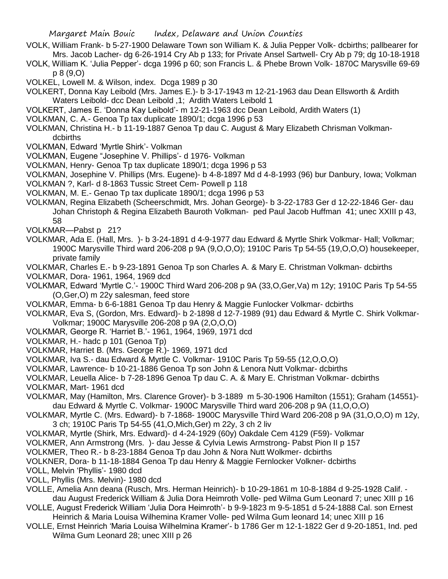- VOLK, William Frank- b 5-27-1900 Delaware Town son William K. & Julia Pepper Volk- dcbirths; pallbearer for Mrs. Jacob Lacher- dg 6-26-1914 Cry Ab p 133; for Private Ansel Sartwell- Cry Ab p 79; dg 10-18-1918
- VOLK, William K. 'Julia Pepper'- dcga 1996 p 60; son Francis L. & Phebe Brown Volk- 1870C Marysville 69-69 p 8 (9,O)
- VOLKEL, Lowell M. & Wilson, index. Dcga 1989 p 30
- VOLKERT, Donna Kay Leibold (Mrs. James E.)- b 3-17-1943 m 12-21-1963 dau Dean Ellsworth & Ardith Waters Leibold- dcc Dean Leibold ,1; Ardith Waters Leibold 1
- VOLKERT, James E. 'Donna Kay Leibold'- m 12-21-1963 dcc Dean Leibold, Ardith Waters (1)
- VOLKMAN, C. A.- Genoa Tp tax duplicate 1890/1; dcga 1996 p 53
- VOLKMAN, Christina H.- b 11-19-1887 Genoa Tp dau C. August & Mary Elizabeth Chrisman Volkmandcbirths
- VOLKMAN, Edward 'Myrtle Shirk'- Volkman
- VOLKMAN, Eugene "Josephine V. Phillips'- d 1976- Volkman
- VOLKMAN, Henry- Genoa Tp tax duplicate 1890/1; dcga 1996 p 53
- VOLKMAN, Josephine V. Phillips (Mrs. Eugene)- b 4-8-1897 Md d 4-8-1993 (96) bur Danbury, Iowa; Volkman
- VOLKMAN ?, Karl- d 8-1863 Tussic Street Cem- Powell p 118
- VOLKMAN, M. E.- Genao Tp tax duplicate 1890/1; dcga 1996 p 53
- VOLKMAN, Regina Elizabeth (Scheerschmidt, Mrs. Johan George)- b 3-22-1783 Ger d 12-22-1846 Ger- dau Johan Christoph & Regina Elizabeth Bauroth Volkman- ped Paul Jacob Huffman 41; unec XXIII p 43, 58
- VOLKMAR—Pabst p 21?
- VOLKMAR, Ada E. (Hall, Mrs. )- b 3-24-1891 d 4-9-1977 dau Edward & Myrtle Shirk Volkmar- Hall; Volkmar; 1900C Marysville Third ward 206-208 p 9A (9,O,O,O); 1910C Paris Tp 54-55 (19,O,O,O) housekeeper, private family
- VOLKMAR, Charles E.- b 9-23-1891 Genoa Tp son Charles A. & Mary E. Christman Volkman- dcbirths
- VOLKMAR, Dora- 1961, 1964, 1969 dcd
- VOLKMAR, Edward 'Myrtle C.'- 1900C Third Ward 206-208 p 9A (33,O,Ger,Va) m 12y; 1910C Paris Tp 54-55 (O,Ger,O) m 22y salesman, feed store
- VOLKMAR, Emma- b 6-6-1881 Genoa Tp dau Henry & Maggie Funlocker Volkmar- dcbirths
- VOLKMAR, Eva S, (Gordon, Mrs. Edward)- b 2-1898 d 12-7-1989 (91) dau Edward & Myrtle C. Shirk Volkmar-Volkmar; 1900C Marysville 206-208 p 9A (2,O,O,O)
- VOLKMAR, George R. 'Harriet B.'- 1961, 1964, 1969, 1971 dcd
- VOLKMAR, H.- hadc p 101 (Genoa Tp)
- VOLKMAR, Harriet B. (Mrs. George R.)- 1969, 1971 dcd
- VOLKMAR, Iva S.- dau Edward & Myrtle C. Volkmar- 1910C Paris Tp 59-55 (12,O,O,O)
- VOLKMAR, Lawrence- b 10-21-1886 Genoa Tp son John & Lenora Nutt Volkmar- dcbirths
- VOLKMAR, Leuella Alice- b 7-28-1896 Genoa Tp dau C. A. & Mary E. Christman Volkmar- dcbirths
- VOLKMAR, Mart- 1961 dcd
- VOLKMAR, May (Hamilton, Mrs. Clarence Grover)- b 3-1889 m 5-30-1906 Hamilton (1551); Graham (14551) dau Edward & Myrtle C. Volkmar- 1900C Marysville Third ward 206-208 p 9A (11,O,O,O)
- VOLKMAR, Myrtle C. (Mrs. Edward)- b 7-1868- 1900C Marysville Third Ward 206-208 p 9A (31,O,O,O) m 12y, 3 ch; 1910C Paris Tp 54-55 (41,O,Mich,Ger) m 22y, 3 ch 2 liv
- VOLKMAR, Myrtle (Shirk, Mrs. Edward)- d 4-24-1929 (60y) Oakdale Cem 4129 (F59)- Volkmar
- VOLKMER, Ann Armstrong (Mrs. )- dau Jesse & Cylvia Lewis Armstrong- Pabst Pion II p 157
- VOLKMER, Theo R.- b 8-23-1884 Genoa Tp dau John & Nora Nutt Wolkmer- dcbirths
- VOLKNER, Dora- b 11-18-1884 Genoa Tp dau Henry & Maggie Fernlocker Volkner- dcbirths
- VOLL, Melvin 'Phyllis'- 1980 dcd
- VOLL, Phyllis (Mrs. Melvin)- 1980 dcd
- VOLLE, Amelia Ann deana (Rusch, Mrs. Herman Heinrich)- b 10-29-1861 m 10-8-1884 d 9-25-1928 Calif. dau August Frederick William & Julia Dora Heimroth Volle- ped Wilma Gum Leonard 7; unec XIII p 16
- VOLLE, August Frederick William 'Julia Dora Heimroth'- b 9-9-1823 m 9-5-1851 d 5-24-1888 Cal. son Ernest Heinrich & Maria Louisa Wilhemina Kramer Volle- ped Wilma Gum leonard 14; unec XIII p 16
- VOLLE, Ernst Heinrich 'Maria Louisa Wilhelmina Kramer'- b 1786 Ger m 12-1-1822 Ger d 9-20-1851, Ind. ped Wilma Gum Leonard 28; unec XIII p 26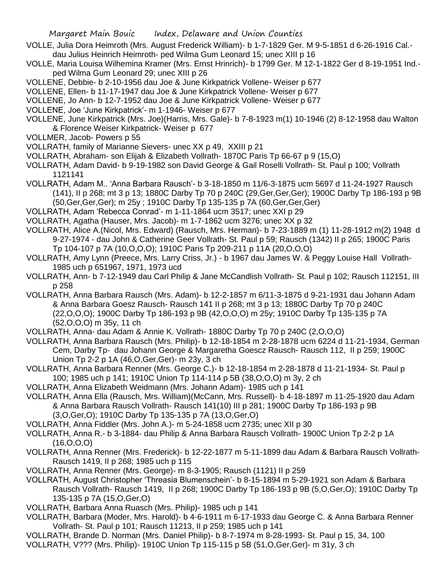- VOLLE, Julia Dora Heimroth (Mrs. August Frederick William)- b 1-7-1829 Ger. M 9-5-1851 d 6-26-1916 Cal. dau Julius Heinrich Heimroth- ped Wilma Gum Leonard 15; unec XIII p 16
- VOLLE, Maria Louisa Wilhemina Kramer (Mrs. Ernst Hrinrich)- b 1799 Ger. M 12-1-1822 Ger d 8-19-1951 Ind. ped Wilma Gum Leonard 29; unec XIII p 26
- VOLLENE, Debbie- b 2-10-1956 dau Joe & June Kirkpatrick Vollene- Weiser p 677
- VOLLENE, Ellen- b 11-17-1947 dau Joe & June Kirkpatrick Vollene- Weiser p 677
- VOLLENE, Jo Ann- b 12-7-1952 dau Joe & June Kirkpatrick Vollene- Weiser p 677
- VOLLENE, Joe 'June Kirkpatrick'- m 1-1946- Weiser p 677
- VOLLENE, June Kirkpatrick (Mrs. Joe)(Harris, Mrs. Gale)- b 7-8-1923 m(1) 10-1946 (2) 8-12-1958 dau Walton & Florence Weiser Kirkpatrick- Weiser p 677
- VOLLMER, Jacob- Powers p 55
- VOLLRATH, family of Marianne Sievers- unec XX p 49, XXIII p 21
- VOLLRATH, Abraham- son Elijah & Elizabeth Vollrath- 1870C Paris Tp 66-67 p 9 (15,O)
- VOLLRATH, Adam David- b 9-19-1982 son David George & Gail Roselli Vollrath- St. Paul p 100; Vollrath 1121141
- VOLLRATH, Adam M.. 'Anna Barbara Rausch'- b 3-18-1850 m 11/6-3-1875 ucm 5697 d 11-24-1927 Rausch (141), II p 268; mt 3 p 13; 1880C Darby Tp 70 p 240C (29,Ger,Ger,Ger); 1900C Darby Tp 186-193 p 9B (50,Ger,Ger,Ger); m 25y ; 1910C Darby Tp 135-135 p 7A (60,Ger,Ger,Ger)
- VOLLRATH, Adam 'Rebecca Conrad'- m 1-11-1864 ucm 3517; unec XXI p 29
- VOLLRATH, Agatha (Hauser, Mrs. Jacob)- m 1-7-1862 ucm 3276; unec XX p 32
- VOLLRATH, Alice A.(Nicol, Mrs. Edward) (Rausch, Mrs. Herman)- b 7-23-1889 m (1) 11-28-1912 m(2) 1948 d 9-27-1974 - dau John & Catherine Geer Vollrath- St. Paul p 59; Rausch (1342) II p 265; 1900C Paris Tp 104-107 p 7A (10,O,O,O); 1910C Paris Tp 209-211 p 11A (20,O,O,O)
- VOLLRATH, Amy Lynn (Preece, Mrs. Larry Criss, Jr.) b 1967 dau James W. & Peggy Louise Hall Vollrath-1985 uch p 651967, 1971, 1973 ucd
- VOLLRATH, Ann- b 7-12-1949 dau Carl Philip & Jane McCandlish Vollrath- St. Paul p 102; Rausch 112151, III p 258
- VOLLRATH, Anna Barbara Rausch (Mrs. Adam)- b 12-2-1857 m 6/11-3-1875 d 9-21-1931 dau Johann Adam & Anna Barbara Goesz Rausch- Rausch 141 II p 268; mt 3 p 13; 1880C Darby Tp 70 p 240C (22,O,O,O); 1900C Darby Tp 186-193 p 9B (42,O,O,O) m 25y; 1910C Darby Tp 135-135 p 7A (52,O,O,O) m 35y, 11 ch
- VOLLRATH, Anna- dau Adam & Annie K. Vollrath- 1880C Darby Tp 70 p 240C (2,O,O,O)
- VOLLRATH, Anna Barbara Rausch (Mrs. Philip)- b 12-18-1854 m 2-28-1878 ucm 6224 d 11-21-1934, German Cem, Darby Tp- dau Johann George & Margaretha Goescz Rausch- Rausch 112, II p 259; 1900C Union Tp 2-2 p 1A (46,O,Ger,Ger)- m 23y, 3 ch
- VOLLRATH, Anna Barbara Renner (Mrs. George C.)- b 12-18-1854 m 2-28-1878 d 11-21-1934- St. Paul p 100; 1985 uch p 141; 1910C Union Tp 114-114 p 5B (38,O,O,O) m 3y, 2 ch
- VOLLRATH, Anna Elizabeth Weidmann (Mrs. Johann Adam)- 1985 uch p 141
- VOLLRATH, Anna Ella (Rausch, Mrs. William)(McCann, Mrs. Russell)- b 4-18-1897 m 11-25-1920 dau Adam & Anna Barbara Rausch Vollrath- Rausch 141(10) III p 281; 1900C Darby Tp 186-193 p 9B (3,O,Ger,O); 1910C Darby Tp 135-135 p 7A (13,O,Ger,O)
- VOLLRATH, Anna Fiddler (Mrs. John A.)- m 5-24-1858 ucm 2735; unec XII p 30
- VOLLRATH, Anna R.- b 3-1884- dau Philip & Anna Barbara Rausch Vollrath- 1900C Union Tp 2-2 p 1A (16,O,O,O)
- VOLLRATH, Anna Renner (Mrs. Frederick)- b 12-22-1877 m 5-11-1899 dau Adam & Barbara Rausch Vollrath-Rausch 1419, II p 268; 1985 uch p 115
- VOLLRATH, Anna Renner (Mrs. George)- m 8-3-1905; Rausch (1121) II p 259
- VOLLRATH, August Christopher 'Threasia Blumenschein'- b 8-15-1894 m 5-29-1921 son Adam & Barbara Rausch Vollrath- Rausch 1419, II p 268; 1900C Darby Tp 186-193 p 9B (5,O,Ger,O); 1910C Darby Tp 135-135 p 7A (15,O,Ger,O)
- VOLLRATH, Barbara Anna Ruasch (Mrs. Philip)- 1985 uch p 141
- VOLLRATH, Barbara (Moder, Mrs. Harold)- b 4-6-1911 m 6-17-1933 dau George C. & Anna Barbara Renner Vollrath- St. Paul p 101; Rausch 11213, II p 259; 1985 uch p 141
- VOLLRATH, Brande D. Norman (Mrs. Daniel Philip)- b 8-7-1974 m 8-28-1993- St. Paul p 15, 34, 100 VOLLRATH, V??? (Mrs. Philip)- 1910C Union Tp 115-115 p 5B (51,O,Ger,Ger)- m 31y, 3 ch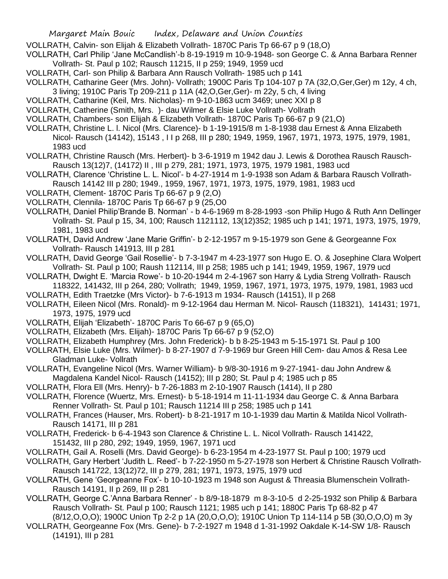VOLLRATH, Calvin- son Elijah & Elizabeth Vollrath- 1870C Paris Tp 66-67 p 9 (18,O)

VOLLRATH, Carl Philip 'Jane McCandlish'-b 8-19-1919 m 10-9-1948- son George C. & Anna Barbara Renner Vollrath- St. Paul p 102; Rausch 11215, II p 259; 1949, 1959 ucd

VOLLRATH, Carl- son Philip & Barbara Ann Rausch Vollrath- 1985 uch p 141

VOLLRATH, Catharine Geer (Mrs. John)- Vollrath; 1900C Paris Tp 104-107 p 7A (32,O,Ger,Ger) m 12y, 4 ch, 3 living; 1910C Paris Tp 209-211 p 11A (42,O,Ger,Ger)- m 22y, 5 ch, 4 living

- VOLLRATH, Catharine (Keil, Mrs. Nicholas)- m 9-10-1863 ucm 3469; unec XXI p 8
- VOLLRATH, Catherine (Smith, Mrs. )- dau Wilmer & Elsie Luke Vollrath- Vollrath
- VOLLRATH, Chambers- son Elijah & Elizabeth Vollrath- 1870C Paris Tp 66-67 p 9 (21,O)
- VOLLRATH, Christine L. l. Nicol (Mrs. Clarence)- b 1-19-1915/8 m 1-8-1938 dau Ernest & Anna Elizabeth Nicol- Rausch (14142), 15143 , I I p 268, III p 280; 1949, 1959, 1967, 1971, 1973, 1975, 1979, 1981, 1983 ucd
- VOLLRATH, Christine Rausch (Mrs. Herbert)- b 3-6-1919 m 1942 dau J. Lewis & Dorothea Rausch Rausch-Rausch 13(12)7, (14172) II , III p 279, 281; 1971, 1973, 1975, 1979 1981, 1983 ucd
- VOLLRATH, Clarence 'Christine L. L. Nicol'- b 4-27-1914 m 1-9-1938 son Adam & Barbara Rausch Vollrath-Rausch 14142 III p 280; 1949., 1959, 1967, 1971, 1973, 1975, 1979, 1981, 1983 ucd
- VOLLRATH, Clement- 1870C Paris Tp 66-67 p 9 (2,O)
- VOLLRATH, Clennila- 1870C Paris Tp 66-67 p 9 (25,O0
- VOLLRATH, Daniel Philip'Brande B. Norman' b 4-6-1969 m 8-28-1993 -son Philip Hugo & Ruth Ann Dellinger Vollrath- St. Paul p 15, 34, 100; Rausch 1121112, 13(12)352; 1985 uch p 141; 1971, 1973, 1975, 1979, 1981, 1983 ucd
- VOLLRATH, David Andrew 'Jane Marie Griffin'- b 2-12-1957 m 9-15-1979 son Gene & Georgeanne Fox Vollrath- Rausch 141913, III p 281
- VOLLRATH, David George 'Gail Rosellie'- b 7-3-1947 m 4-23-1977 son Hugo E. O. & Josephine Clara Wolpert Vollrath- St. Paul p 100; Raush 112114, III p 258; 1985 uch p 141; 1949, 1959, 1967, 1979 ucd
- VOLLRATH, Dwight E. 'Marcia Rowe'- b 10-20-1944 m 2-4-1967 son Harry & Lydia Streng Vollrath- Rausch 118322, 141432, III p 264, 280; Vollrath; 1949, 1959, 1967, 1971, 1973, 1975, 1979, 1981, 1983 ucd
- VOLLRATH, Edith Traetzke (Mrs Victor)- b 7-6-1913 m 1934- Rausch (14151), II p 268
- VOLLRATH, Eileen Nicol (Mrs. Ronald)- m 9-12-1964 dau Herman M. Nicol- Rausch (118321), 141431; 1971, 1973, 1975, 1979 ucd
- VOLLRATH, Elijah 'Elizabeth'- 1870C Paris To 66-67 p 9 (65,O)
- VOLLRATH, Elizabeth (Mrs. Elijah)- 1870C Paris Tp 66-67 p 9 (52,O)
- VOLLRATH, Elizabeth Humphrey (Mrs. John Frederick)- b b 8-25-1943 m 5-15-1971 St. Paul p 100
- VOLLRATH, Elsie Luke (Mrs. Wilmer)- b 8-27-1907 d 7-9-1969 bur Green Hill Cem- dau Amos & Resa Lee Gladman Luke- Vollrath
- VOLLRATH, Evangeline Nicol (Mrs. Warner William)- b 9/8-30-1916 m 9-27-1941- dau John Andrew & Magdalena Kandel Nicol- Rausch (14152); III p 280; St. Paul p 4; 1985 uch p 85
- VOLLRATH, Flora Ell (Mrs. Henry)- b 7-26-1883 m 2-10-1907 Rausch (1414), II p 280
- VOLLRATH, Florence (Wuertz, Mrs. Ernest)- b 5-18-1914 m 11-11-1934 dau George C. & Anna Barbara Renner Vollrath- St. Paul p 101; Rausch 11214 III p 258; 1985 uch p 141
- VOLLRATH, Frances (Hauser, Mrs. Robert)- b 8-21-1917 m 10-1-1939 dau Martin & Matilda Nicol Vollrath-Rausch 14171, III p 281
- VOLLRATH, Frederick- b 6-4-1943 son Clarence & Christine L. L. Nicol Vollrath- Rausch 141422, 151432, III p 280, 292; 1949, 1959, 1967, 1971 ucd
- VOLLRATH, Gail A. Roselli (Mrs. David George)- b 6-23-1954 m 4-23-1977 St. Paul p 100; 1979 ucd
- VOLLRATH, Gary Herbert 'Judith L. Reed'- b 7-22-1950 m 5-27-1978 son Herbert & Christine Rausch Vollrath-Rausch 141722, 13(12)72, III p 279, 281; 1971, 1973, 1975, 1979 ucd
- VOLLRATH, Gene 'Georgeanne Fox'- b 10-10-1923 m 1948 son August & Threasia Blumenschein Vollrath-Rausch 14191, II p 269, III p 281
- VOLLRATH, George C.'Anna Barbara Renner' b 8/9-18-1879 m 8-3-10-5 d 2-25-1932 son Philip & Barbara Rausch Vollrath- St. Paul p 100; Rausch 1121; 1985 uch p 141; 1880C Paris Tp 68-82 p 47
- (8/12,O,O,O); 1900C Union Tp 2-2 p 1A (20,O,O,O); 1910C Union Tp 114-114 p 5B (30,O,O,O) m 3y VOLLRATH, Georgeanne Fox (Mrs. Gene)- b 7-2-1927 m 1948 d 1-31-1992 Oakdale K-14-SW 1/8- Rausch (14191), III p 281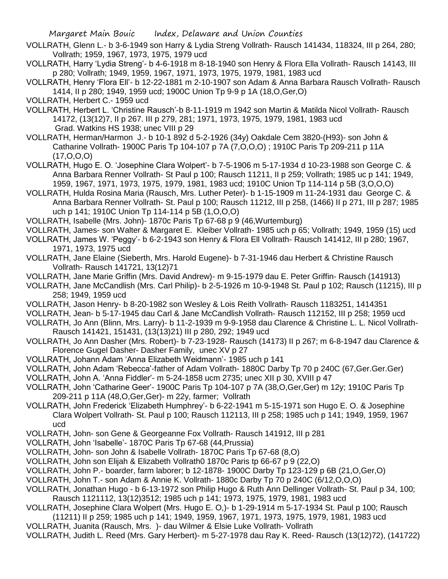- VOLLRATH, Glenn L.- b 3-6-1949 son Harry & Lydia Streng Vollrath- Rausch 141434, 118324, III p 264, 280; Vollrath; 1959, 1967, 1973, 1975, 1979 ucd
- VOLLRATH, Harry 'Lydia Streng'- b 4-6-1918 m 8-18-1940 son Henry & Flora Ella Vollrath- Rausch 14143, III p 280; Vollrath; 1949, 1959, 1967, 1971, 1973, 1975, 1979, 1981, 1983 ucd
- VOLLRATH, Henry 'Flora Ell'- b 12-22-1881 m 2-10-1907 son Adam & Anna Barbara Rausch Vollrath- Rausch 1414, II p 280; 1949, 1959 ucd; 1900C Union Tp 9-9 p 1A (18,O,Ger,O)
- VOLLRATH, Herbert C.- 1959 ucd
- VOLLRATH, Herbert L. 'Christine Rausch'-b 8-11-1919 m 1942 son Martin & Matilda Nicol Vollrath- Rausch 14172, (13(12)7, II p 267. III p 279, 281; 1971, 1973, 1975, 1979, 1981, 1983 ucd Grad. Watkins HS 1938; unec VIII p 29
- VOLLRATH, Herman/Harmon J.- b 10-1 892 d 5-2-1926 (34y) Oakdale Cem 3820-(H93)- son John & Catharine Vollrath- 1900C Paris Tp 104-107 p 7A (7,O,O,O) ; 1910C Paris Tp 209-211 p 11A (17,O,O,O)
- VOLLRATH, Hugo E. O. 'Josephine Clara Wolpert'- b 7-5-1906 m 5-17-1934 d 10-23-1988 son George C. & Anna Barbara Renner Vollrath- St Paul p 100; Rausch 11211, II p 259; Vollrath; 1985 uc p 141; 1949, 1959, 1967, 1971, 1973, 1975, 1979, 1981, 1983 ucd; 1910C Union Tp 114-114 p 5B (3,O,O,O)
- VOLLRATH, Hulda Rosina Maria (Rausch, Mrs. Luther Peter)- b 1-15-1909 m 11-24-1931 dau George C. & Anna Barbara Renner Vollrath- St. Paul p 100; Rausch 11212, III p 258, (1466) II p 271, III p 287; 1985 uch p 141; 1910C Union Tp 114-114 p 5B (1,O,O,O)
- VOLLRATH, Isabelle (Mrs. John)- 1870c Paris Tp 67-68 p 9 (46,Wurtemburg)
- VOLLRATH, James- son Walter & Margaret E. Kleiber Vollrath- 1985 uch p 65; Vollrath; 1949, 1959 (15) ucd
- VOLLRATH, James W. 'Peggy'- b 6-2-1943 son Henry & Flora Ell Vollrath- Rausch 141412, III p 280; 1967, 1971, 1973, 1975 ucd
- VOLLRATH, Jane Elaine (Sieberth, Mrs. Harold Eugene)- b 7-31-1946 dau Herbert & Christine Rausch Vollrath- Rausch 141721, 13(12)71
- VOLLRATH, Jane Marie Griffin (Mrs. David Andrew)- m 9-15-1979 dau E. Peter Griffin- Rausch (141913)
- VOLLRATH, Jane McCandlish (Mrs. Carl Philip)- b 2-5-1926 m 10-9-1948 St. Paul p 102; Rausch (11215), III p 258; 1949, 1959 ucd
- VOLLRATH, Jason Henry- b 8-20-1982 son Wesley & Lois Reith Vollrath- Rausch 1183251, 1414351
- VOLLRATH, Jean- b 5-17-1945 dau Carl & Jane McCandlish Vollrath- Rausch 112152, III p 258; 1959 ucd
- VOLLRATH, Jo Ann (Blinn, Mrs. Larry)- b 11-2-1939 m 9-9-1958 dau Clarence & Christine L. L. Nicol Vollrath-Rausch 141421, 151431, (13(13)21) III p 280, 292; 1949 ucd
- VOLLRATH, Jo Ann Dasher (Mrs. Robert)- b 7-23-1928- Rausch (14173) II p 267; m 6-8-1947 dau Clarence & Florence Gugel Dasher- Dasher Family, unec XV p 27
- VOLLRATH, Johann Adam 'Anna Elizabeth Weidmann'- 1985 uch p 141
- VOLLRATH, John Adam 'Rebecca'-father of Adam Vollrath- 1880C Darby Tp 70 p 240C (67,Ger.Ger.Ger)
- VOLLRATH, John A. 'Anna Fiddler'- m 5-24-1858 ucm 2735; unec XII p 30, XVIII p 47
- VOLLRATH, John 'Catharine Geer'- 1900C Paris Tp 104-107 p 7A (38,O,Ger,Ger) m 12y; 1910C Paris Tp 209-211 p 11A (48,O,Ger,Ger)- m 22y, farmer; Vollrath
- VOLLRATH, John Frederick 'Elizabeth Humphrey'- b 6-22-1941 m 5-15-1971 son Hugo E. O. & Josephine Clara Wolpert Vollrath- St. Paul p 100; Rausch 112113, III p 258; 1985 uch p 141; 1949, 1959, 1967 ucd
- VOLLRATH, John- son Gene & Georgeanne Fox Vollrath- Rausch 141912, III p 281
- VOLLRATH, John 'Isabelle'- 1870C Paris Tp 67-68 (44,Prussia)
- VOLLRATH, John- son John & Isabelle Vollrath- 1870C Paris Tp 67-68 (8,O)
- VOLLRATH, John son Elijah & Elizabeth Vollrath0 1870c Paris tp 66-67 p 9 (22,O)
- VOLLRATH, John P.- boarder, farm laborer; b 12-1878- 1900C Darby Tp 123-129 p 6B (21,O,Ger,O)
- VOLLRATH, John T.- son Adam & Annie K. Vollrath- 1880c Darby Tp 70 p 240C (6/12,O,O,O)
- VOLLRATH, Jonathan Hugo b 6-13-1972 son Philip Hugo & Ruth Ann Dellinger Vollrath- St. Paul p 34, 100; Rausch 1121112, 13(12)3512; 1985 uch p 141; 1973, 1975, 1979, 1981, 1983 ucd
- VOLLRATH, Josephine Clara Wolpert (Mrs. Hugo E. O,)- b 1-29-1914 m 5-17-1934 St. Paul p 100; Rausch (11211) II p 259; 1985 uch p 141; 1949, 1959, 1967, 1971, 1973, 1975, 1979, 1981, 1983 ucd
- VOLLRATH, Juanita (Rausch, Mrs. )- dau Wilmer & Elsie Luke Vollrath- Vollrath
- VOLLRATH, Judith L. Reed (Mrs. Gary Herbert)- m 5-27-1978 dau Ray K. Reed- Rausch (13(12)72), (141722)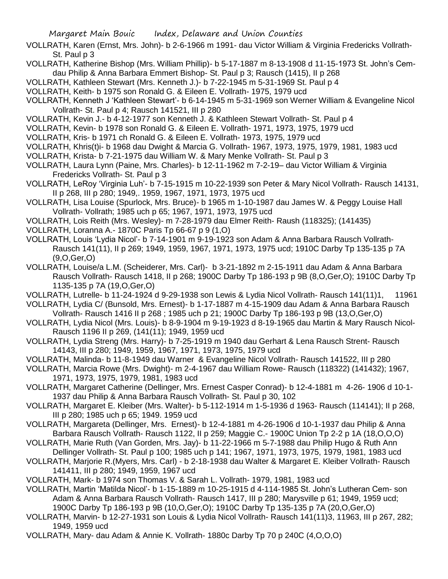- VOLLRATH, Karen (Ernst, Mrs. John)- b 2-6-1966 m 1991- dau Victor William & Virginia Fredericks Vollrath-St. Paul p 3
- VOLLRATH, Katherine Bishop (Mrs. William Phillip)- b 5-17-1887 m 8-13-1908 d 11-15-1973 St. John's Cemdau Philip & Anna Barbara Emmert Bishop- St. Paul p 3; Rausch (1415), II p 268
- VOLLRATH, Kathleen Stewart (Mrs. Kenneth J.)- b 7-22-1945 m 5-31-1969 St. Paul p 4
- VOLLRATH, Keith- b 1975 son Ronald G. & Eileen E. Vollrath- 1975, 1979 ucd
- VOLLRATH, Kenneth J 'Kathleen Stewart'- b 6-14-1945 m 5-31-1969 son Werner William & Evangeline Nicol Vollrath- St. Paul p 4; Rausch 141521, III p 280
- VOLLRATH, Kevin J.- b 4-12-1977 son Kenneth J. & Kathleen Stewart Vollrath- St. Paul p 4
- VOLLRATH, Kevin- b 1978 son Ronald G. & Eileen E. Vollrath- 1971, 1973, 1975, 1979 ucd
- VOLLRATH, Kris- b 1971 ch Ronald G. & Eileen E. Vollrath- 1973, 1975, 1979 ucd
- VOLLRATH, Khris(t)i- b 1968 dau Dwight & Marcia G. Vollrath- 1967, 1973, 1975, 1979, 1981, 1983 ucd
- VOLLRATH, Krista- b 7-21-1975 dau William W. & Mary Menke Vollrath- St. Paul p 3
- VOLLRATH, Laura Lynn (Paine, Mrs. Charles)- b 12-11-1962 m 7-2-19– dau Victor William & Virginia Fredericks Vollrath- St. Paul p 3
- VOLLRATH, LeRoy 'Virginia Luh'- b 7-15-1915 m 10-22-1939 son Peter & Mary Nicol Vollrath- Rausch 14131, II p 268, III p 280; 1949,. 1959, 1967, 1971, 1973, 1975 ucd
- VOLLRATH, Lisa Louise (Spurlock, Mrs. Bruce)- b 1965 m 1-10-1987 dau James W. & Peggy Louise Hall Vollrath- Vollrath; 1985 uch p 65; 1967, 1971, 1973, 1975 ucd
- VOLLRATH, Lois Reith (Mrs. Wesley)- m 7-28-1979 dau Elmer Reith- Raush (118325); (141435)
- VOLLRATH, Loranna A.- 1870C Paris Tp 66-67 p 9 (1,O)
- VOLLRATH, Louis 'Lydia Nicol'- b 7-14-1901 m 9-19-1923 son Adam & Anna Barbara Rausch Vollrath-Rausch 141(11), II p 269; 1949, 1959, 1967, 1971, 1973, 1975 ucd; 1910C Darby Tp 135-135 p 7A (9,O,Ger,O)
- VOLLRATH, Louise/a L.M. (Scheiderer, Mrs. Carl)- b 3-21-1892 m 2-15-1911 dau Adam & Anna Barbara Rausch Vollrath- Rausch 1418, II p 268; 1900C Darby Tp 186-193 p 9B (8,O,Ger,O); 1910C Darby Tp 1135-135 p 7A (19,O,Ger,O)
- VOLLRATH, Lutrelle- b 11-24-1924 d 9-29-1938 son Lewis & Lydia Nicol Vollrath- Rausch 141(11)1, 11961
- VOLLRATH, Lydia C/ (Bunsold, Mrs. Ernest)- b 1-17-1887 m 4-15-1909 dau Adam & Anna Barbara Rausch Vollrath- Rausch 1416 II p 268 ; 1985 uch p 21; 1900C Darby Tp 186-193 p 9B (13,O,Ger,O)
- VOLLRATH, Lydia Nicol (Mrs. Louis)- b 8-9-1904 m 9-19-1923 d 8-19-1965 dau Martin & Mary Rausch Nicol-Rausch 1196 II p 269, (141(11); 1949, 1959 ucd
- VOLLRATH, Lydia Streng (Mrs. Harry)- b 7-25-1919 m 1940 dau Gerhart & Lena Rausch Strent- Rausch 14143, III p 280; 1949, 1959, 1967, 1971, 1973, 1975, 1979 ucd
- VOLLRATH, Malinda- b 11-8-1949 dau Warner & Evangeline Nicol Vollrath- Rausch 141522, III p 280
- VOLLRATH, Marcia Rowe (Mrs. Dwight)- m 2-4-1967 dau William Rowe- Rausch (118322) (141432); 1967, 1971, 1973, 1975, 1979, 1981, 1983 ucd
- VOLLRATH, Margaret Catherine (Dellinger, Mrs. Ernest Casper Conrad)- b 12-4-1881 m 4-26- 1906 d 10-1- 1937 dau Philip & Anna Barbara Rausch Vollrath- St. Paul p 30, 102
- VOLLRATH, Margaret E. Kleiber (Mrs. Walter)- b 5-112-1914 m 1-5-1936 d 1963- Rausch (114141); II p 268, III p 280; 1985 uch p 65; 1949. 1959 ucd
- VOLLRATH, Margareta (Dellinger, Mrs. Ernest)- b 12-4-1881 m 4-26-1906 d 10-1-1937 dau Philip & Anna Barbara Rausch Vollrath- Rausch 1122, II p 259; Maggie C.- 1900C Union Tp 2-2 p 1A (18,O,O,O)
- VOLLRATH, Marie Ruth (Van Gorden, Mrs. Jay)- b 11-22-1966 m 5-7-1988 dau Philip Hugo & Ruth Ann Dellinger Vollrath- St. Paul p 100; 1985 uch p 141; 1967, 1971, 1973, 1975, 1979, 1981, 1983 ucd
- VOLLRATH, Marjorie R.(Myers, Mrs. Carl) b 2-18-1938 dau Walter & Margaret E. Kleiber Vollrath- Rausch 141411, III p 280; 1949, 1959, 1967 ucd
- VOLLRATH, Mark- b 1974 son Thomas V. & Sarah L. Vollrath- 1979, 1981, 1983 ucd
- VOLLRATH, Martin 'Matilda Nicol'- b 1-15-1889 m 10-25-1915 d 4-114-1985 St. John's Lutheran Cem- son Adam & Anna Barbara Rausch Vollrath- Rausch 1417, III p 280; Marysville p 61; 1949, 1959 ucd; 1900C Darby Tp 186-193 p 9B (10,O,Ger,O); 1910C Darby Tp 135-135 p 7A (20,O,Ger,O)
- VOLLRATH, Marvin- b 12-27-1931 son Louis & Lydia Nicol Vollrath- Rausch 141(11)3, 11963, III p 267, 282; 1949, 1959 ucd
- VOLLRATH, Mary- dau Adam & Annie K. Vollrath- 1880c Darby Tp 70 p 240C (4,O,O,O)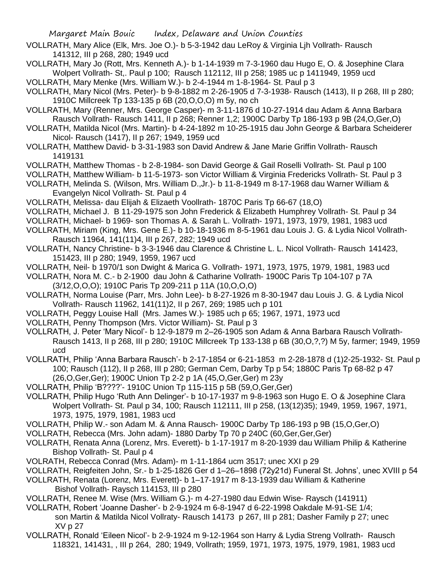- VOLLRATH, Mary Alice (Elk, Mrs. Joe O.)- b 5-3-1942 dau LeRoy & Virginia Ljh Vollrath- Rausch 141312, III p 268, 280; 1949 ucd
- VOLLRATH, Mary Jo (Rott, Mrs. Kenneth A.)- b 1-14-1939 m 7-3-1960 dau Hugo E, O. & Josephine Clara Wolpert Vollrath- St,. Paul p 100; Rausch 112112, III p 258; 1985 uc p 1411949, 1959 ucd
- VOLLRATH, Mary Menke (Mrs. William W.)- b 2-4-1944 m 1-8-1964- St. Paul p 3
- VOLLRATH, Mary Nicol (Mrs. Peter)- b 9-8-1882 m 2-26-1905 d 7-3-1938- Rausch (1413), II p 268, III p 280; 1910C Millcreek Tp 133-135 p 6B (20,O,O,O) m 5y, no ch
- VOLLRATH, Mary (Renner, Mrs. George Casper)- m 3-11-1876 d 10-27-1914 dau Adam & Anna Barbara Rausch Vollrath- Rausch 1411, II p 268; Renner 1,2; 1900C Darby Tp 186-193 p 9B (24,O,Ger,O)
- VOLLRATH, Matilda Nicol (Mrs. Martin)- b 4-24-1892 m 10-25-1915 dau John George & Barbara Scheiderer Nicol- Rausch (1417), II p 267; 1949, 1959 ucd
- VOLLRATH, Matthew David- b 3-31-1983 son David Andrew & Jane Marie Griffin Vollrath- Rausch 1419131
- VOLLRATH, Matthew Thomas b 2-8-1984- son David George & Gail Roselli Vollrath- St. Paul p 100
- VOLLRATH, Matthew William- b 11-5-1973- son Victor William & Virginia Fredericks Vollrath- St. Paul p 3
- VOLLRATH, Melinda S. (Wilson, Mrs. William D.,Jr.)- b 11-8-1949 m 8-17-1968 dau Warner William & Evangelyn Nicol Vollrath- St. Paul p 4
- VOLLRATH, Melissa- dau Elijah & Elizaeth Voollrath- 1870C Paris Tp 66-67 (18,O)
- VOLLRATH, Michael J. B 11-29-1975 son John Frederick & Elizabeth Humphrey Vollrath- St. Paul p 34
- VOLLRATH, Michael- b 1969- son Thomas A. & Sarah L. Vollrath- 1971, 1973, 1979, 1981, 1983 ucd
- VOLLRATH, Miriam (King, Mrs. Gene E.)- b 10-18-1936 m 8-5-1961 dau Louis J. G. & Lydia Nicol Vollrath-Rausch 11964, 141(11)4, III p 267, 282; 1949 ucd
- VOLLRATH, Nancy Christine- b 3-3-1946 dau Clarence & Christine L. L. Nicol Vollrath- Rausch 141423, 151423, III p 280; 1949, 1959, 1967 ucd
- VOLLRATH, Neil- b 1970/1 son Dwight & Marica G. Vollrath- 1971, 1973, 1975, 1979, 1981, 1983 ucd
- VOLLRATH, Nora M. C.- b 2-1900 dau John & Catharine Vollrath- 1900C Paris Tp 104-107 p 7A (3/12,O,O,O); 1910C Paris Tp 209-211 p 11A (10,O,O,O)
- VOLLRATH, Norma Louise (Parr, Mrs. John Lee)- b 8-27-1926 m 8-30-1947 dau Louis J. G. & Lydia Nicol Vollrath- Rausch 11962, 141(11)2, II p 267, 269; 1985 uch p 101
- VOLLRATH, Peggy Louise Hall (Mrs. James W.)- 1985 uch p 65; 1967, 1971, 1973 ucd
- VOLLRATH, Penny Thompson (Mrs. Victor William)- St. Paul p 3
- VOLLRATH, J. Peter 'Mary Nicol'- b 12-9-1879 m 2–26-1905 son Adam & Anna Barbara Rausch Vollrath-Rausch 1413, II p 268, III p 280; 1910C Millcreek Tp 133-138 p 6B (30,O,?,?) M 5y, farmer; 1949, 1959 ucd
- VOLLRATH, Philip 'Anna Barbara Rausch'- b 2-17-1854 or 6-21-1853 m 2-28-1878 d (1)2-25-1932- St. Paul p 100; Rausch (112), II p 268, III p 280; German Cem, Darby Tp p 54; 1880C Paris Tp 68-82 p 47 (26,O,Ger,Ger); 1900C Union Tp 2-2 p 1A (45,O,Ger,Ger) m 23y
- VOLLRATH, Philip 'B????'- 1910C Union Tp 115-115 p 5B (59,O,Ger,Ger)
- VOLLRATH, Philip Hugo 'Ruth Ann Delinger'- b 10-17-1937 m 9-8-1963 son Hugo E. O & Josephine Clara Wolpert Vollrath- St. Paul p 34, 100; Rausch 112111, III p 258, (13(12)35); 1949, 1959, 1967, 1971, 1973, 1975, 1979, 1981, 1983 ucd
- VOLLRATH, Philip W.- son Adam M. & Anna Rausch- 1900C Darby Tp 186-193 p 9B (15,O,Ger,O)
- VOLLRATH, Rebecca (Mrs. John adam)- 1880 Darby Tp 70 p 240C (60,Ger,Ger,Ger)
- VOLLRATH, Renata Anna (Lorenz, Mrs. Everett)- b 1-17-1917 m 8-20-1939 dau William Philip & Katherine Bishop Vollrath- St. Paul p 4
- VOLRATH, Rebecca Conrad (Mrs. Adam)- m 1-11-1864 ucm 3517; unec XXI p 29
- VOLLRATH, Reigfeiten John, Sr.- b 1-25-1826 Ger d 1–26–1898 (72y21d) Funeral St. Johns', unec XVIII p 54
- VOLLRATH, Renata (Lorenz, Mrs. Everett)- b 1–17-1917 m 8-13-1939 dau William & Katherine Bishof Vollrath- Raysch 114153, III p 280
- VOLLRATH, Renee M. Wise (Mrs. William G.)- m 4-27-1980 dau Edwin Wise- Raysch (141911)
- VOLLRATH, Robert 'Joanne Dasher'- b 2-9-1924 m 6-8-1947 d 6-22-1998 Oakdale M-91-SE 1/4; son Martin & Matilda Nicol Vollraty- Rausch 14173 p 267, III p 281; Dasher Family p 27; unec XV p 27
- VOLLRATH, Ronald 'Eileen Nicol'- b 2-9-1924 m 9-12-1964 son Harry & Lydia Streng Vollrath- Rausch 118321, 141431, , III p 264, 280; 1949, Vollrath; 1959, 1971, 1973, 1975, 1979, 1981, 1983 ucd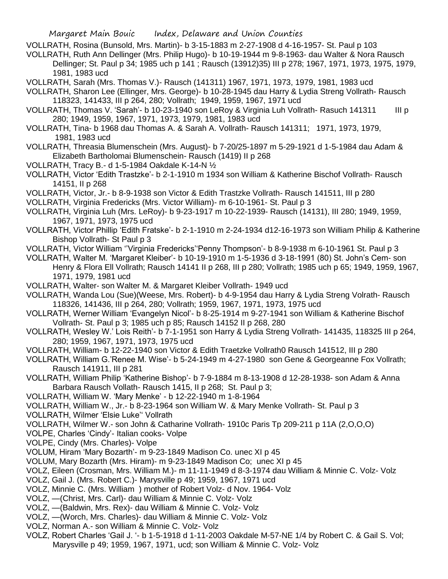- VOLLRATH, Rosina (Bunsold, Mrs. Martin)- b 3-15-1883 m 2-27-1908 d 4-16-1957- St. Paul p 103
- VOLLRATH, Ruth Ann Dellinger (Mrs. Philip Hugo)- b 10-19-1944 m 9-8-1963- dau Walter & Nora Rausch Dellinger; St. Paul p 34; 1985 uch p 141 ; Rausch (13912)35) III p 278; 1967, 1971, 1973, 1975, 1979, 1981, 1983 ucd
- VOLLRATH, Sarah (Mrs. Thomas V.)- Rausch (141311) 1967, 1971, 1973, 1979, 1981, 1983 ucd
- VOLLRATH, Sharon Lee (Ellinger, Mrs. George)- b 10-28-1945 dau Harry & Lydia Streng Vollrath- Rausch 118323, 141433, III p 264, 280; Vollrath; 1949, 1959, 1967, 1971 ucd
- VOLLRATH, Thomas V. 'Sarah'- b 10-23-1940 son LeRoy & Virginia Luh Vollrath- Rasuch 141311 III p 280; 1949, 1959, 1967, 1971, 1973, 1979, 1981, 1983 ucd
- VOLLRATH, Tina- b 1968 dau Thomas A. & Sarah A. Vollrath- Rausch 141311; 1971, 1973, 1979, 1981, 1983 ucd
- VOLLRATH, Threasia Blumenschein (Mrs. August)- b 7-20/25-1897 m 5-29-1921 d 1-5-1984 dau Adam & Elizabeth Bartholomai Blumenschein- Rausch (1419) II p 268
- VOLLRATH, Tracy B.- d 1-5-1984 Oakdale K-14-N ½
- VOLLRATH, Victor 'Edith Trastzke'- b 2-1-1910 m 1934 son William & Katherine Bischof Vollrath- Rausch 14151, II p 268
- VOLLRATH, Victor, Jr.- b 8-9-1938 son Victor & Edith Trastzke Vollrath- Rausch 141511, III p 280
- VOLLRATH, Virginia Fredericks (Mrs. Victor William)- m 6-10-1961- St. Paul p 3
- VOLLRATH, Virginia Luh (Mrs. LeRoy)- b 9-23-1917 m 10-22-1939- Rausch (14131), III 280; 1949, 1959, 1967, 1971, 1973, 1975 ucd
- VOLLRATH, Victor Phillip 'Edith Fratske'- b 2-1-1910 m 2-24-1934 d12-16-1973 son William Philip & Katherine Bishop Vollrath- St Paul p 3
- VOLLRATH, Victor William ''Virginia Fredericks''Penny Thompson'- b 8-9-1938 m 6-10-1961 St. Paul p 3
- VOLLRATH, Walter M. 'Margaret Kleiber'- b 10-19-1910 m 1-5-1936 d 3-18-1991 (80) St. John's Cem- son Henry & Flora Ell Vollrath; Rausch 14141 II p 268, III p 280; Vollrath; 1985 uch p 65; 1949, 1959, 1967, 1971, 1979, 1981 ucd
- VOLLRATH, Walter- son Walter M. & Margaret Kleiber Vollrath- 1949 ucd
- VOLLRATH, Wanda Lou (Sue)(Weese, Mrs. Robert)- b 4-9-1954 dau Harry & Lydia Streng Volrath- Rausch 118326, 141436, III p 264, 280; Vollrath; 1959, 1967, 1971, 1973, 1975 ucd
- VOLLRATH, Werner William 'Evangelyn Nicol'- b 8-25-1914 m 9-27-1941 son William & Katherine Bischof Vollrath- St. Paul p 3; 1985 uch p 85; Rausch 14152 II p 268, 280
- VOLLRATH, Wesley W.' Lois Reith'- b 7-1-1951 son Harry & Lydia Streng Vollrath- 141435, 118325 III p 264, 280; 1959, 1967, 1971, 1973, 1975 ucd
- VOLLRATH, William- b 12-22-1940 son Victor & Edith Traetzke Vollrath0 Rausch 141512, III p 280
- VOLLRATH, William G.'Renee M. Wise'- b 5-24-1949 m 4-27-1980 son Gene & Georgeanne Fox Vollrath; Rausch 141911, III p 281
- VOLLRATH, William Philip 'Katherine Bishop'- b 7-9-1884 m 8-13-1908 d 12-28-1938- son Adam & Anna Barbara Rausch Vollath- Rausch 1415, II p 268; St. Paul p 3;
- VOLLRATH, William W. 'Mary Menke' b 12-22-1940 m 1-8-1964
- VOLLRATH, William W., Jr.- b 8-23-1964 son William W. & Mary Menke Vollrath- St. Paul p 3
- VOLLRATH, Wilmer 'Elsie Luke'' Vollrath
- VOLLRATH, Wilmer W.- son John & Catharine Vollrath- 1910c Paris Tp 209-211 p 11A (2,O,O,O)
- VOLPE, Charles 'Cindy'- Italian cooks- Volpe
- VOLPE, Cindy (Mrs. Charles)- Volpe
- VOLUM, Hiram 'Mary Bozarth'- m 9-23-1849 Madison Co. unec XI p 45
- VOLUM, Mary Bozarth (Mrs. Hiram)- m 9-23-1849 Madison Co; unec XI p 45
- VOLZ, Eileen (Crosman, Mrs. William M.)- m 11-11-1949 d 8-3-1974 dau William & Minnie C. Volz- Volz
- VOLZ, Gail J. (Mrs. Robert C.)- Marysville p 49; 1959, 1967, 1971 ucd
- VOLZ, Minnie C. (Mrs. William ) mother of Robert Volz- d Nov. 1964- Volz
- VOLZ, —(Christ, Mrs. Carl)- dau William & Minnie C. Volz- Volz
- VOLZ, —(Baldwin, Mrs. Rex)- dau William & Minnie C. Volz- Volz
- VOLZ, —(Worch, Mrs. Charles)- dau William & Minnie C. Volz- Volz
- VOLZ, Norman A.- son William & Minnie C. Volz- Volz
- VOLZ, Robert Charles 'Gail J. '- b 1-5-1918 d 1-11-2003 Oakdale M-57-NE 1/4 by Robert C. & Gail S. Vol; Marysville p 49; 1959, 1967, 1971, ucd; son William & Minnie C. Volz- Volz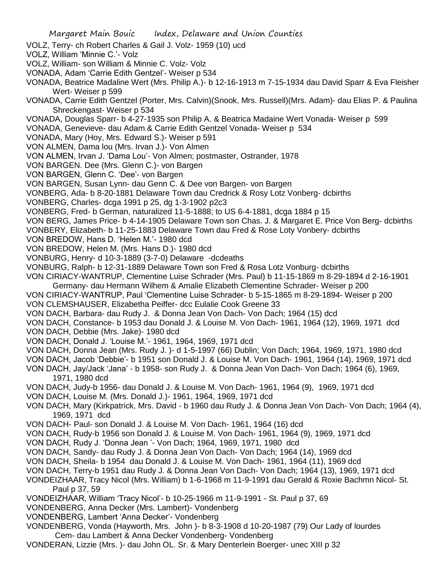- Margaret Main Bouic Index, Delaware and Union Counties VOLZ, Terry- ch Robert Charles & Gail J. Volz- 1959 (10) ucd VOLZ, William 'Minnie C.'- Volz VOLZ, William- son William & Minnie C. Volz- Volz VONADA, Adam 'Carrie Edith Gentzel'- Weiser p 534 VONADA, Beatrice Madaline Wert (Mrs. Philip A.)- b 12-16-1913 m 7-15-1934 dau David Sparr & Eva Fleisher Wert- Weiser p 599 VONADA, Carrie Edith Gentzel (Porter, Mrs. Calvin)(Snook, Mrs. Russell)(Mrs. Adam)- dau Elias P. & Paulina Shreckengast- Weiser p 534 VONADA, Douglas Sparr- b 4-27-1935 son Philip A. & Beatrica Madaine Wert Vonada- Weiser p 599 VONADA, Genevieve- dau Adam & Carrie Edith Gentzel Vonada- Weiser p 534 VONADA, Mary (Hoy, Mrs. Edward S.)- Weiser p 591 VON ALMEN, Dama lou (Mrs. Irvan J.)- Von Almen VON ALMEN, Irvan J. 'Dama Lou'- Von Almen; postmaster, Ostrander, 1978 VON BARGEN. Dee (Mrs. Glenn C.)- von Bargen VON BARGEN, Glenn C. 'Dee'- von Bargen VON BARGEN, Susan Lynn- dau Genn C. & Dee von Bargen- von Bargen VONBERG, Ada- b 8-20-1881 Delaware Town dau Credrick & Rosy Lotz Vonberg- dcbirths VONBERG, Charles- dcga 1991 p 25, dg 1-3-1902 p2c3 VONBERG, Fred- b German, naturalized 11-5-1888; to US 6-4-1881, dcga 1884 p 15 VON BERG, James Price- b 4-14-1905 Delaware Town son Chas. J. & Margaret E. Price Von Berg- dcbirths VONBERY, Elizabeth- b 11-25-1883 Delaware Town dau Fred & Rose Loty Vonbery- dcbirths VON BREDOW, Hans D. 'Helen M.'- 1980 dcd VON BREDOW, Helen M. (Mrs. Hans D.)- 1980 dcd VONBURG, Henry- d 10-3-1889 (3-7-0) Delaware -dcdeaths VONBURG, Ralph- b 12-31-1889 Delaware Town son Fred & Rosa Lotz Vonburg- dcbirths VON CIRIACY-WANTRUP, Clementine Luise Schrader (Mrs. Paul) b 11-15-1869 m 8-29-1894 d 2-16-1901 Germany- dau Hermann Wilhem & Amalie Elizabeth Clementine Schrader- Weiser p 200 VON CIRIACY-WANTRUP, Paul 'Clementine Luise Schrader- b 5-15-1865 m 8-29-1894- Weiser p 200 VON CLEMSHAUSER, Elizabetha Peiffer- dcc Eulalie Cook Greene 33 VON DACH, Barbara- dau Rudy J. & Donna Jean Von Dach- Von Dach; 1964 (15) dcd VON DACH, Constance- b 1953 dau Donald J. & Louise M. Von Dach- 1961, 1964 (12), 1969, 1971 dcd VON DACH, Debbie (Mrs. Jake)- 1980 dcd VON DACH, Donald J. 'Louise M.'- 1961, 1964, 1969, 1971 dcd VON DACH, Donna Jean (Mrs. Rudy J. )- d 1-5-1997 (66) Dublin; Von Dach; 1964, 1969, 1971, 1980 dcd VON DACH, Jacob 'Debbie'- b 1951 son Donald J. & Louise M. Von Dach- 1961, 1964 (14), 1969, 1971 dcd VON DACH, Jay/Jack 'Jana' - b 1958- son Rudy J. & Donna Jean Von Dach- Von Dach; 1964 (6), 1969, 1971, 1980 dcd VON DACH, Judy-b 1956- dau Donald J. & Louise M. Von Dach- 1961, 1964 (9), 1969, 1971 dcd VON DACH, Louise M. (Mrs. Donald J.)- 1961, 1964, 1969, 1971 dcd VON DACH, Mary (Kirkpatrick, Mrs. David - b 1960 dau Rudy J. & Donna Jean Von Dach- Von Dach; 1964 (4), 1969, 1971 dcd VON DACH- Paul- son Donald J. & Louise M. Von Dach- 1961, 1964 (16) dcd VON DACH, Rudy-b 1956 son Donald J. & Louise M. Von Dach- 1961, 1964 (9), 1969, 1971 dcd VON DACH, Rudy J. 'Donna Jean '- Von Dach; 1964, 1969, 1971, 1980 dcd VON DACH, Sandy- dau Rudy J. & Donna Jean Von Dach- Von Dach; 1964 (14), 1969 dcd VON DACH, Sheila- b 1954 dau Donald J. & Louise M. Von Dach- 1961, 1964 (11), 1969 dcd VON DACH, Terry-b 1951 dau Rudy J. & Donna Jean Von Dach- Von Dach; 1964 (13), 1969, 1971 dcd VONDEIZHAAR, Tracy Nicol (Mrs. William) b 1-6-1968 m 11-9-1991 dau Gerald & Roxie Bachmn Nicol- St. Paul p 37, 59 VONDEIZHAAR, William 'Tracy Nicol'- b 10-25-1966 m 11-9-1991 - St. Paul p 37, 69 VONDENBERG, Anna Decker (Mrs. Lambert)- Vondenberg VONDENBERG, Lambert 'Anna Decker'- Vondenberg VONDENBERG, Vonda (Hayworth, Mrs. John )- b 8-3-1908 d 10-20-1987 (79) Our Lady of lourdes Cem- dau Lambert & Anna Decker Vondenberg- Vondenberg
- VONDERAN, Lizzie (Mrs. )- dau John OL. Sr. & Mary Denterlein Boerger- unec XIII p 32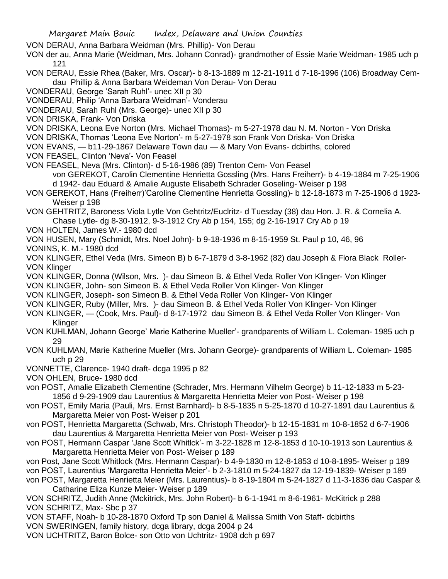- VON DERAU, Anna Barbara Weidman (Mrs. Phillip)- Von Derau
- VON der au, Anna Marie (Weidman, Mrs. Johann Conrad)- grandmother of Essie Marie Weidman- 1985 uch p 121
- VON DERAU, Essie Rhea (Baker, Mrs. Oscar)- b 8-13-1889 m 12-21-1911 d 7-18-1996 (106) Broadway Cemdau Phillip & Anna Barbara Weideman Von Derau- Von Derau
- VONDERAU, George 'Sarah Ruhl'- unec XII p 30
- VONDERAU, Philip 'Anna Barbara Weidman'- Vonderau
- VONDERAU, Sarah Ruhl (Mrs. George)- unec XII p 30
- VON DRISKA, Frank- Von Driska
- VON DRISKA, Leona Eve Norton (Mrs. Michael Thomas)- m 5-27-1978 dau N. M. Norton Von Driska
- VON DRISKA, Thomas 'Leona Eve Norton'- m 5-27-1978 son Frank Von Driska- Von Driska
- VON EVANS, b11-29-1867 Delaware Town dau & Mary Von Evans- dcbirths, colored
- VON FEASEL, Clinton 'Neva'- Von Feasel
- VON FEASEL, Neva (Mrs. Clinton)- d 5-16-1986 (89) Trenton Cem- Von Feasel von GEREKOT, Carolin Clementine Henrietta Gossling (Mrs. Hans Freiherr)- b 4-19-1884 m 7-25-1906 d 1942- dau Eduard & Amalie Auguste Elisabeth Schrader Goseling- Weiser p 198
- VON GEREKOT, Hans (Freiherr)'Caroline Clementine Henrietta Gossling)- b 12-18-1873 m 7-25-1906 d 1923- Weiser p 198
- VON GEHTRITZ, Baroness Viola Lytle Von Gehtritz/Euclritz- d Tuesday (38) dau Hon. J. R. & Cornelia A. Chase Lytle- dg 8-30-1912, 9-3-1912 Cry Ab p 154, 155; dg 2-16-1917 Cry Ab p 19
- VON HOLTEN, James W.- 1980 dcd
- VON HUSEN, Mary (Schmidt, Mrs. Noel John)- b 9-18-1936 m 8-15-1959 St. Paul p 10, 46, 96
- VONINS, K. M.- 1980 dcd
- VON KLINGER, Ethel Veda (Mrs. Simeon B) b 6-7-1879 d 3-8-1962 (82) dau Joseph & Flora Black Roller-VON Klinger
- VON KLINGER, Donna (Wilson, Mrs. )- dau Simeon B. & Ethel Veda Roller Von Klinger- Von Klinger
- VON KLINGER, John- son Simeon B. & Ethel Veda Roller Von Klinger- Von Klinger
- VON KLINGER, Joseph- son Simeon B. & Ethel Veda Roller Von Klinger- Von Klinger
- VON KLINGER, Ruby (Miller, Mrs. )- dau Simeon B. & Ethel Veda Roller Von Klinger- Von Klinger
- VON KLINGER, (Cook, Mrs. Paul)- d 8-17-1972 dau Simeon B. & Ethel Veda Roller Von Klinger- Von Klinger
- VON KUHLMAN, Johann George' Marie Katherine Mueller'- grandparents of William L. Coleman- 1985 uch p 29
- VON KUHLMAN, Marie Katherine Mueller (Mrs. Johann George)- grandparents of William L. Coleman- 1985 uch p 29
- VONNETTE, Clarence- 1940 draft- dcga 1995 p 82
- VON OHLEN, Bruce- 1980 dcd
- von POST, Amalie Elizabeth Clementine (Schrader, Mrs. Hermann Vilhelm George) b 11-12-1833 m 5-23- 1856 d 9-29-1909 dau Laurentius & Margaretta Henrietta Meier von Post- Weiser p 198
- von POST, Emily Maria (Pauli, Mrs. Ernst Barnhard)- b 8-5-1835 n 5-25-1870 d 10-27-1891 dau Laurentius & Margaretta Meier von Post- Weiser p 201
- von POST, Henrietta Margaretta (Schwab, Mrs. Christoph Theodor)- b 12-15-1831 m 10-8-1852 d 6-7-1906 dau Laurentius & Margaretta Henrietta Meier von Post- Weiser p 193
- von POST, Hermann Caspar 'Jane Scott Whitlck'- m 3-22-1828 m 12-8-1853 d 10-10-1913 son Laurentius & Margaretta Henrietta Meier von Post- Weiser p 189
- von Post, Jane Scott Whitlock (Mrs. Hermann Caspar)- b 4-9-1830 m 12-8-1853 d 10-8-1895- Weiser p 189
- von POST, Laurentius 'Margaretta Henrietta Meier'- b 2-3-1810 m 5-24-1827 da 12-19-1839- Weiser p 189
- von POST, Margaretta Henrietta Meier (Mrs. Laurentius)- b 8-19-1804 m 5-24-1827 d 11-3-1836 dau Caspar & Catharine Eliza Kunze Meier- Weiser p 189
- VON SCHRITZ, Judith Anne (Mckitrick, Mrs. John Robert)- b 6-1-1941 m 8-6-1961- McKitrick p 288 VON SCHRITZ, Max- Sbc p 37
- VON STAFF, Noah- b 10-28-1870 Oxford Tp son Daniel & Malissa Smith Von Staff- dcbirths
- VON SWERINGEN, family history, dcga library, dcga 2004 p 24
- VON UCHTRITZ, Baron Bolce- son Otto von Uchtritz- 1908 dch p 697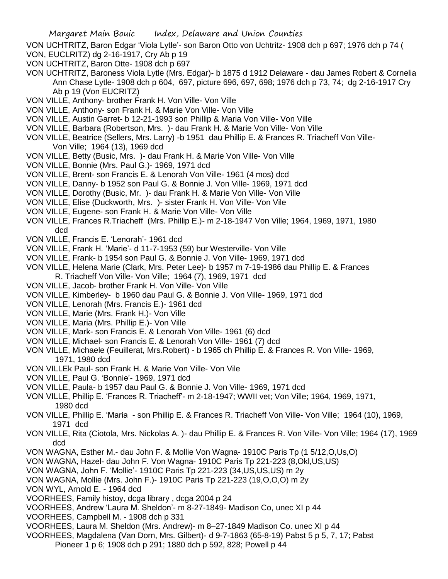- VON UCHTRITZ, Baron Edgar 'Viola Lytle'- son Baron Otto von Uchtritz- 1908 dch p 697; 1976 dch p 74 (
- VON, EUCLRITZ) dg 2-16-1917, Cry Ab p 19
- VON UCHTRITZ, Baron Otte- 1908 dch p 697
- VON UCHTRITZ, Baroness Viola Lytle (Mrs. Edgar)- b 1875 d 1912 Delaware dau James Robert & Cornelia Ann Chase Lytle- 1908 dch p 604, 697, picture 696, 697, 698; 1976 dch p 73, 74; dg 2-16-1917 Cry Ab p 19 (Von EUCRITZ)
- VON VILLE, Anthony- brother Frank H. Von Ville- Von Ville
- VON VILLE, Anthony- son Frank H. & Marie Von Ville- Von Ville
- VON VILLE, Austin Garret- b 12-21-1993 son Phillip & Maria Von Ville- Von Ville
- VON VILLE, Barbara (Robertson, Mrs. )- dau Frank H. & Marie Von Ville- Von Ville
- VON VILLE, Beatrice (Sellers, Mrs. Larry) -b 1951 dau Phillip E. & Frances R. Triacheff Von Ville-Von Ville; 1964 (13), 1969 dcd
- VON VILLE, Betty (Busic, Mrs. )- dau Frank H. & Marie Von Ville- Von Ville
- VON VILLE, Bonnie (Mrs. Paul G.)- 1969, 1971 dcd
- VON VILLE, Brent- son Francis E. & Lenorah Von Ville- 1961 (4 mos) dcd
- VON VILLE, Danny- b 1952 son Paul G. & Bonnie J. Von Ville- 1969, 1971 dcd
- VON VILLE, Dorothy (Busic, Mr. )- dau Frank H. & Marie Von Ville- Von Ville
- VON VILLE, Elise (Duckworth, Mrs. )- sister Frank H. Von Ville- Von Vile
- VON VILLE, Eugene- son Frank H. & Marie Von Ville- Von Ville
- VON VILLE, Frances R.Triacheff (Mrs. Phillip E.)- m 2-18-1947 Von Ville; 1964, 1969, 1971, 1980 dcd
- VON VILLE, Francis E. 'Lenorah'- 1961 dcd
- VON VILLE, Frank H. 'Marie'- d 11-7-1953 (59) bur Westerville- Von Ville
- VON VILLE, Frank- b 1954 son Paul G. & Bonnie J. Von Ville- 1969, 1971 dcd
- VON VILLE, Helena Marie (Clark, Mrs. Peter Lee)- b 1957 m 7-19-1986 dau Phillip E. & Frances R. Triacheff Von Ville- Von Ville; 1964 (7), 1969, 1971 dcd
- VON VILLE, Jacob- brother Frank H. Von Ville- Von Ville
- VON VILLE, Kimberley- b 1960 dau Paul G. & Bonnie J. Von Ville- 1969, 1971 dcd
- VON VILLE, Lenorah (Mrs. Francis E.)- 1961 dcd
- VON VILLE, Marie (Mrs. Frank H.)- Von Ville
- VON VILLE, Maria (Mrs. Phillip E.)- Von Ville
- VON VILLE, Mark- son Francis E. & Lenorah Von Ville- 1961 (6) dcd
- VON VILLE, Michael- son Francis E. & Lenorah Von Ville- 1961 (7) dcd
- VON VILLE, Michaele (Feuillerat, Mrs.Robert) b 1965 ch Phillip E. & Frances R. Von Ville- 1969, 1971, 1980 dcd
- VON VILLEk Paul- son Frank H. & Marie Von Ville- Von Vile
- VON VILLE, Paul G. 'Bonnie'- 1969, 1971 dcd
- VON VILLE, Paula- b 1957 dau Paul G. & Bonnie J. Von Ville- 1969, 1971 dcd
- VON VILLE, Phillip E. 'Frances R. Triacheff'- m 2-18-1947; WWII vet; Von Ville; 1964, 1969, 1971, 1980 dcd
- VON VILLE, Phillip E. 'Maria son Phillip E. & Frances R. Triacheff Von Ville- Von Ville; 1964 (10), 1969, 1971 dcd
- VON VILLE, Rita (Ciotola, Mrs. Nickolas A. )- dau Phillip E. & Frances R. Von Ville- Von Ville; 1964 (17), 1969 dcd
- VON WAGNA, Esther M.- dau John F. & Mollie Von Wagna- 1910C Paris Tp (1 5/12,O,Us,O)
- VON WAGNA, Hazel- dau John F. Von Wagna- 1910C Paris Tp 221-223 (8,Okl,US,US)
- VON WAGNA, John F. 'Mollie'- 1910C Paris Tp 221-223 (34,US,US,US) m 2y
- VON WAGNA, Mollie (Mrs. John F.)- 1910C Paris Tp 221-223 (19,O,O,O) m 2y
- VON WYL, Arnold E. 1964 dcd
- VOORHEES, Family histoy, dcga library , dcga 2004 p 24
- VOORHEES, Andrew 'Laura M. Sheldon'- m 8-27-1849- Madison Co, unec XI p 44
- VOORHEES, Campbell M. 1908 dch p 331
- VOORHEES, Laura M. Sheldon (Mrs. Andrew)- m 8–27-1849 Madison Co. unec XI p 44
- VOORHEES, Magdalena (Van Dorn, Mrs. Gilbert)- d 9-7-1863 (65-8-19) Pabst 5 p 5, 7, 17; Pabst Pioneer 1 p 6; 1908 dch p 291; 1880 dch p 592, 828; Powell p 44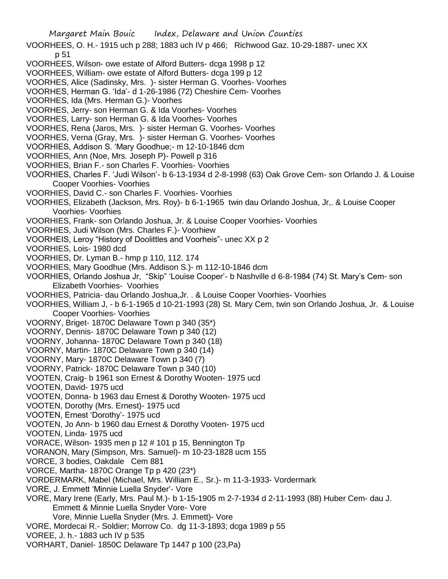VOORHEES, O. H.- 1915 uch p 288; 1883 uch IV p 466; Richwood Gaz. 10-29-1887- unec XX p 51

- VOORHEES, Wilson- owe estate of Alford Butters- dcga 1998 p 12
- VOORHEES, William- owe estate of Alford Butters- dcga 199 p 12
- VOORHES, Alice (Sadinsky, Mrs. )- sister Herman G. Voorhes- Voorhes
- VOORHES, Herman G. 'Ida'- d 1-26-1986 (72) Cheshire Cem- Voorhes
- VOORHES, Ida (Mrs. Herman G.)- Voorhes
- VOORHES, Jerry- son Herman G. & Ida Voorhes- Voorhes
- VOORHES, Larry- son Herman G. & Ida Voorhes- Voorhes
- VOORHES, Rena (Jaros, Mrs. )- sister Herman G. Voorhes- Voorhes
- VOORHES, Verna (Gray, Mrs. )- sister Herman G. Voorhes- Voorhes
- VOORHIES, Addison S. 'Mary Goodhue;- m 12-10-1846 dcm
- VOORHIES, Ann (Noe, Mrs. Joseph P)- Powell p 316
- VOORHIES, Brian F.- son Charles F. Voorhies- Voorhies
- VOORHIES, Charles F. 'Judi Wilson'- b 6-13-1934 d 2-8-1998 (63) Oak Grove Cem- son Orlando J. & Louise Cooper Voorhies- Voorhies
- VOORHIES, David C.- son Charles F. Voorhies- Voorhies
- VOORHIES, Elizabeth (Jackson, Mrs. Roy)- b 6-1-1965 twin dau Orlando Joshua, Jr,. & Louise Cooper Voorhies- Voorhies
- VOORHIES, Frank- son Orlando Joshua, Jr. & Louise Cooper Voorhies- Voorhies
- VOORHIES, Judi Wilson (Mrs. Charles F.)- Voorhiew
- VOORHEIS, Leroy "History of Doolittles and Voorheis"- unec XX p 2
- VOORHIES, Lois- 1980 dcd
- VOORHIES, Dr. Lyman B.- hmp p 110, 112. 174
- VOORHIES, Mary Goodhue (Mrs. Addison S.)- m 112-10-1846 dcm
- VOORHIES, Orlando Joshua Jr, "Skip" 'Louise Cooper'- b Nashville d 6-8-1984 (74) St. Mary's Cem- son Elizabeth Voorhies- Voorhies
- VOORHIES, Patricia- dau Orlando Joshua,Jr. . & Louise Cooper Voorhies- Voorhies
- VOORHIES, William J, b 6-1-1965 d 10-21-1993 (28) St. Mary Cem, twin son Orlando Joshua, Jr. & Louise Cooper Voorhies- Voorhies
- VOORNY, Briget- 1870C Delaware Town p 340 (35\*)
- VOORNY, Dennis- 1870C Delaware Town p 340 (12)
- VOORNY, Johanna- 1870C Delaware Town p 340 (18)
- VOORNY, Martin- 1870C Delaware Town p 340 (14)
- VOORNY, Mary- 1870C Delaware Town p 340 (7)
- VOORNY, Patrick- 1870C Delaware Town p 340 (10)
- VOOTEN, Craig- b 1961 son Ernest & Dorothy Wooten- 1975 ucd
- VOOTEN, David- 1975 ucd
- VOOTEN, Donna- b 1963 dau Ernest & Dorothy Wooten- 1975 ucd
- VOOTEN, Dorothy (Mrs. Ernest)- 1975 ucd
- VOOTEN, Ernest 'Dorothy'- 1975 ucd
- VOOTEN, Jo Ann- b 1960 dau Ernest & Dorothy Vooten- 1975 ucd
- VOOTEN, Linda- 1975 ucd
- VORACE, Wilson- 1935 men p 12 # 101 p 15, Bennington Tp
- VORANON, Mary (Simpson, Mrs. Samuel)- m 10-23-1828 ucm 155
- VORCE, 3 bodies, Oakdale Cem 881
- VORCE, Martha- 1870C Orange Tp p 420 (23\*)
- VORDERMARK, Mabel (Michael, Mrs. William E., Sr.)- m 11-3-1933- Vordermark
- VORE, J. Emmett 'Minnie Luella Snyder'- Vore
- VORE, Mary Irene (Early, Mrs. Paul M.)- b 1-15-1905 m 2-7-1934 d 2-11-1993 (88) Huber Cem- dau J. Emmett & Minnie Luella Snyder Vore- Vore
	- Vore, Minnie Luella Snyder (Mrs. J. Emmett)- Vore
- VORE, Mordecai R.- Soldier; Morrow Co. dg 11-3-1893; dcga 1989 p 55
- VOREE, J. h.- 1883 uch IV p 535
- VORHART, Daniel- 1850C Delaware Tp 1447 p 100 (23,Pa)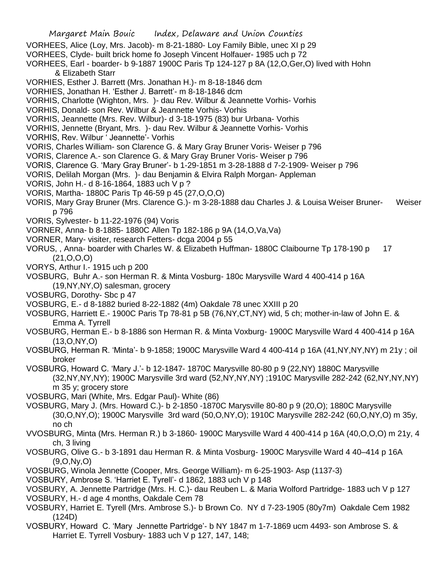- VORHEES, Alice (Loy, Mrs. Jacob)- m 8-21-1880- Loy Family Bible, unec XI p 29
- VORHEES, Clyde- built brick home fo Joseph Vincent Holfauer- 1985 uch p 72
- VORHEES, Earl boarder- b 9-1887 1900C Paris Tp 124-127 p 8A (12,O,Ger,O) lived with Hohn & Elizabeth Starr
- VORHIES, Esther J. Barrett (Mrs. Jonathan H.)- m 8-18-1846 dcm
- VORHIES, Jonathan H. 'Esther J. Barrett'- m 8-18-1846 dcm
- VORHIS, Charlotte (Wighton, Mrs. )- dau Rev. Wilbur & Jeannette Vorhis- Vorhis
- VORHIS, Donald- son Rev. Wilbur & Jeannette Vorhis- Vorhis
- VORHIS, Jeannette (Mrs. Rev. Wilbur)- d 3-18-1975 (83) bur Urbana- Vorhis
- VORHIS, Jennette (Bryant, Mrs. )- dau Rev. Wilbur & Jeannette Vorhis- Vorhis
- VORHIS, Rev. Wilbur ' Jeannette'- Vorhis
- VORIS, Charles William- son Clarence G. & Mary Gray Bruner Voris- Weiser p 796
- VORIS, Clarence A.- son Clarence G. & Mary Gray Bruner Voris- Weiser p 796
- VORIS, Clarence G. 'Mary Gray Bruner'- b 1-29-1851 m 3-28-1888 d 7-2-1909- Weiser p 796
- VORIS, Delilah Morgan (Mrs. )- dau Benjamin & Elvira Ralph Morgan- Appleman
- VORIS, John H.- d 8-16-1864, 1883 uch V p ?
- VORIS, Martha- 1880C Paris Tp 46-59 p 45 (27,O,O,O)
- VORIS, Mary Gray Bruner (Mrs. Clarence G.)- m 3-28-1888 dau Charles J. & Louisa Weiser Bruner- Weiser p 796
- VORIS, Sylvester- b 11-22-1976 (94) Voris
- VORNER, Anna- b 8-1885- 1880C Allen Tp 182-186 p 9A (14,O,Va,Va)
- VORNER, Mary- visiter, research Fetters- dcga 2004 p 55
- VORUS, , Anna- boarder with Charles W. & Elizabeth Huffman- 1880C Claibourne Tp 178-190 p 17 (21,O,O,O)
- VORYS, Arthur I.- 1915 uch p 200
- VOSBURG, Buhr A.- son Herman R. & Minta Vosburg- 180c Marysville Ward 4 400-414 p 16A (19,NY,NY,O) salesman, grocery
- VOSBURG, Dorothy- Sbc p 47
- VOSBURG, E.- d 8-1882 buried 8-22-1882 (4m) Oakdale 78 unec XXIII p 20
- VOSBURG, Harriett E.- 1900C Paris Tp 78-81 p 5B (76,NY,CT,NY) wid, 5 ch; mother-in-law of John E. & Emma A. Tyrrell
- VOSBURG, Herman E.- b 8-1886 son Herman R. & Minta Voxburg- 1900C Marysville Ward 4 400-414 p 16A (13,O,NY,O)
- VOSBURG, Herman R. 'Minta'- b 9-1858; 1900C Marysville Ward 4 400-414 p 16A (41,NY,NY,NY) m 21y ; oil broker
- VOSBURG, Howard C. 'Mary J.'- b 12-1847- 1870C Marysville 80-80 p 9 (22,NY) 1880C Marysville (32,NY,NY,NY); 1900C Marysville 3rd ward (52,NY,NY,NY) ;1910C Marysville 282-242 (62,NY,NY,NY) m 35 y; grocery store
- VOSBURG, Mari (White, Mrs. Edgar Paul)- White (86)
- VOSBURG, Mary J. (Mrs. Howard C.)- b 2-1850 -1870C Marysville 80-80 p 9 (20,O); 1880C Marysville (30,O,NY,O); 1900C Marysville 3rd ward (50,O,NY,O); 1910C Marysville 282-242 (60,O,NY,O) m 35y, no ch
- VVOSBURG, Minta (Mrs. Herman R.) b 3-1860- 1900C Marysville Ward 4 400-414 p 16A (40,O,O,O) m 21y, 4 ch, 3 living
- VOSBURG, Olive G.- b 3-1891 dau Herman R. & Minta Vosburg- 1900C Marysville Ward 4 40–414 p 16A (9,O,Ny,O)
- VOSBURG, Winola Jennette (Cooper, Mrs. George William)- m 6-25-1903- Asp (1137-3)
- VOSBURY, Ambrose S. 'Harriet E. Tyrell'- d 1862, 1883 uch V p 148
- VOSBURY, A. Jennette Partridge (Mrs. H. C.)- dau Reuben L. & Maria Wolford Partridge- 1883 uch V p 127 VOSBURY, H.- d age 4 months, Oakdale Cem 78
- VOSBURY, Harriet E. Tyrell (Mrs. Ambrose S.)- b Brown Co. NY d 7-23-1905 (80y7m) Oakdale Cem 1982 (124D)
- VOSBURY, Howard C. 'Mary Jennette Partridge'- b NY 1847 m 1-7-1869 ucm 4493- son Ambrose S. & Harriet E. Tyrrell Vosbury- 1883 uch V p 127, 147, 148;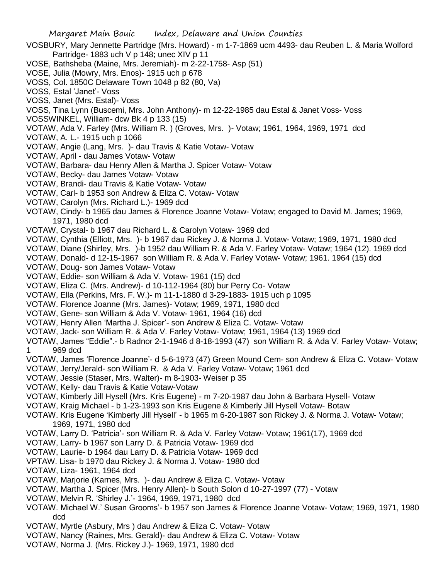- VOSBURY, Mary Jennette Partridge (Mrs. Howard) m 1-7-1869 ucm 4493- dau Reuben L. & Maria Wolford Partridge- 1883 uch V p 148; unec XIV p 11
- VOSE, Bathsheba (Maine, Mrs. Jeremiah)- m 2-22-1758- Asp (51)
- VOSE, Julia (Mowry, Mrs. Enos)- 1915 uch p 678
- VOSS, Col. 1850C Delaware Town 1048 p 82 (80, Va)
- VOSS, Estal 'Janet'- Voss
- VOSS, Janet (Mrs. Estal)- Voss
- VOSS, Tina Lynn (Buscemi, Mrs. John Anthony)- m 12-22-1985 dau Estal & Janet Voss- Voss
- VOSSWINKEL, William- dcw Bk 4 p 133 (15)
- VOTAW, Ada V. Farley (Mrs. William R. ) (Groves, Mrs. )- Votaw; 1961, 1964, 1969, 1971 dcd
- VOTAW, A. L.- 1915 uch p 1066
- VOTAW, Angie (Lang, Mrs. )- dau Travis & Katie Votaw- Votaw
- VOTAW, April dau James Votaw- Votaw
- VOTAW, Barbara- dau Henry Allen & Martha J. Spicer Votaw- Votaw
- VOTAW, Becky- dau James Votaw- Votaw
- VOTAW, Brandi- dau Travis & Katie Votaw- Votaw
- VOTAW, Carl- b 1953 son Andrew & Eliza C. Votaw- Votaw
- VOTAW, Carolyn (Mrs. Richard L.)- 1969 dcd
- VOTAW, Cindy- b 1965 dau James & Florence Joanne Votaw- Votaw; engaged to David M. James; 1969, 1971, 1980 dcd
- VOTAW, Crystal- b 1967 dau Richard L. & Carolyn Votaw- 1969 dcd
- VOTAW, Cynthia (Elliott, Mrs. )- b 1967 dau Rickey J. & Norma J. Votaw- Votaw; 1969, 1971, 1980 dcd
- VOTAW, Diane (Shirley, Mrs. )-b 1952 dau William R. & Ada V. Farley Votaw- Votaw; 1964 (12). 1969 dcd
- VOTAW, Donald- d 12-15-1967 son William R. & Ada V. Farley Votaw- Votaw; 1961. 1964 (15) dcd
- VOTAW, Doug- son James Votaw- Votaw
- VOTAW, Eddie- son William & Ada V. Votaw- 1961 (15) dcd
- VOTAW, Eliza C. (Mrs. Andrew)- d 10-112-1964 (80) bur Perry Co- Votaw
- VOTAW, Ella (Perkins, Mrs. F. W.)- m 11-1-1880 d 3-29-1883- 1915 uch p 1095
- VOTAW. Florence Joanne (Mrs. James)- Votaw; 1969, 1971, 1980 dcd
- VOTAW, Gene- son William & Ada V. Votaw- 1961, 1964 (16) dcd
- VOTAW, Henry Allen 'Martha J. Spicer'- son Andrew & Eliza C. Votaw- Votaw
- VOTAW, Jack- son William R. & Ada V. Farley Votaw- Votaw; 1961, 1964 (13) 1969 dcd
- VOTAW, James "Eddie".- b Radnor 2-1-1946 d 8-18-1993 (47) son William R. & Ada V. Farley Votaw- Votaw; 1 969 dcd
- VOTAW, James 'Florence Joanne'- d 5-6-1973 (47) Green Mound Cem- son Andrew & Eliza C. Votaw- Votaw
- VOTAW, Jerry/Jerald- son William R. & Ada V. Farley Votaw- Votaw; 1961 dcd
- VOTAW, Jessie (Staser, Mrs. Walter)- m 8-1903- Weiser p 35
- VOTAW, Kelly- dau Travis & Katie Votaw-Votaw
- VOTAW, Kimberly Jill Hysell (Mrs. Kris Eugene) m 7-20-1987 dau John & Barbara Hysell- Votaw
- VOTAW, Kraig Michael b 1-23-1993 son Kris Eugene & Kimberly Jill Hysell Votaw- Botaw
- VOTAW. Kris Eugene 'Kimberly Jill Hysell' b 1965 m 6-20-1987 son Rickey J. & Norma J. Votaw- Votaw; 1969, 1971, 1980 dcd
- VOTAW, Larry D. 'Patricia'- son William R. & Ada V. Farley Votaw- Votaw; 1961(17), 1969 dcd
- VOTAW, Larry- b 1967 son Larry D. & Patricia Votaw- 1969 dcd
- VOTAW, Laurie- b 1964 dau Larry D. & Patricia Votaw- 1969 dcd
- VPTAW. Lisa- b 1970 dau Rickey J. & Norma J. Votaw- 1980 dcd
- VOTAW, Liza- 1961, 1964 dcd
- VOTAW, Marjorie (Karnes, Mrs. )- dau Andrew & Eliza C. Votaw- Votaw
- VOTAW, Martha J. Spicer (Mrs. Henry Allen)- b South Solon d 10-27-1997 (77) Votaw
- VOTAW, Melvin R. 'Shirley J.'- 1964, 1969, 1971, 1980 dcd
- VOTAW. Michael W.' Susan Grooms'- b 1957 son James & Florence Joanne Votaw- Votaw; 1969, 1971, 1980 dcd
- VOTAW, Myrtle (Asbury, Mrs ) dau Andrew & Eliza C. Votaw- Votaw
- VOTAW, Nancy (Raines, Mrs. Gerald)- dau Andrew & Eliza C. Votaw- Votaw
- VOTAW, Norma J. (Mrs. Rickey J.)- 1969, 1971, 1980 dcd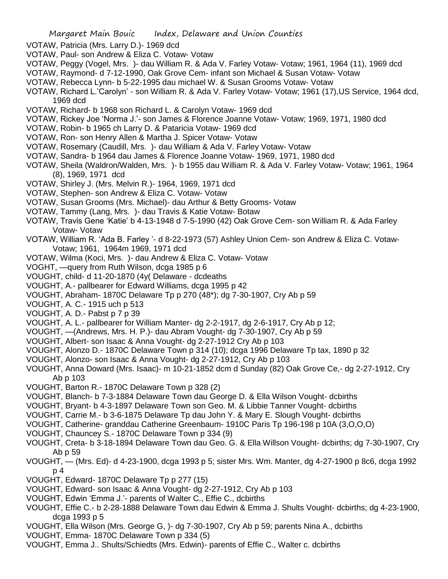- VOTAW, Patricia (Mrs. Larry D.)- 1969 dcd
- VOTAW, Paul- son Andrew & Eliza C. Votaw- Votaw
- VOTAW, Peggy (Vogel, Mrs. )- dau William R. & Ada V. Farley Votaw- Votaw; 1961, 1964 (11), 1969 dcd
- VOTAW, Raymond- d 7-12-1990, Oak Grove Cem- infant son Michael & Susan Votaw- Votaw
- VOTAW, Rebecca Lynn- b 5-22-1995 dau michael W. & Susan Grooms Votaw- Votaw
- VOTAW, Richard L.'Carolyn' son William R. & Ada V. Farley Votaw- Votaw; 1961 (17),US Service, 1964 dcd, 1969 dcd
- VOTAW, Richard- b 1968 son Richard L. & Carolyn Votaw- 1969 dcd
- VOTAW, Rickey Joe 'Norma J.'- son James & Florence Joanne Votaw- Votaw; 1969, 1971, 1980 dcd
- VOTAW, Robin- b 1965 ch Larry D. & Pataricia Votaw- 1969 dcd
- VOTAW, Ron- son Henry Allen & Martha J. Spicer Votaw- Votaw
- VOTAW, Rosemary (Caudill, Mrs. )- dau William & Ada V. Farley Votaw- Votaw
- VOTAW, Sandra- b 1964 dau James & Florence Joanne Votaw- 1969, 1971, 1980 dcd
- VOTAW, Sheila (Waldron/Walden, Mrs. )- b 1955 dau William R. & Ada V. Farley Votaw- Votaw; 1961, 1964 (8), 1969, 1971 dcd
- VOTAW, Shirley J. (Mrs. Melvin R.)- 1964, 1969, 1971 dcd
- VOTAW, Stephen- son Andrew & Eliza C. Votaw- Votaw
- VOTAW, Susan Grooms (Mrs. Michael)- dau Arthur & Betty Grooms- Votaw
- VOTAW, Tammy (Lang, Mrs. )- dau Travis & Katie Votaw- Botaw
- VOTAW, Travis Gene 'Katie' b 4-13-1948 d 7-5-1990 (42) Oak Grove Cem- son William R. & Ada Farley Votaw- Votaw
- VOTAW, William R. 'Ada B. Farley '- d 8-22-1973 (57) Ashley Union Cem- son Andrew & Eliza C. Votaw-Votaw; 1961, 1964m 1969, 1971 dcd
- VOTAW, Wilma (Koci, Mrs. )- dau Andrew & Eliza C. Votaw- Votaw
- VOGHT, —query from Ruth Wilson, dcga 1985 p 6
- VOUGHT, child- d 11-20-1870 (4y( Delaware dcdeaths
- VOUGHT, A.- pallbearer for Edward Williams, dcga 1995 p 42
- VOUGHT, Abraham- 1870C Delaware Tp p 270 (48\*); dg 7-30-1907, Cry Ab p 59
- VOUGHT, A. C.- 1915 uch p 513
- VOUGHT, A. D.- Pabst p 7 p 39
- VOUGHT, A. L.- pallbearer for William Manter- dg 2-2-1917, dg 2-6-1917, Cry Ab p 12;
- VOUGHT, —(Andrews, Mrs. H. P.)- dau Abram Vought- dg 7-30-1907, Cry Ab p 59
- VOUGHT, Albert- son Isaac & Anna Vought- dg 2-27-1912 Cry Ab p 103
- VOUGHT, Alonzo D.- 1870C Delaware Town p 314 (10); dcga 1996 Delaware Tp tax, 1890 p 32
- VOUGHT, Alonzo- son Isaac & Anna Vought- dg 2-27-1912, Cry Ab p 103
- VOUGHT, Anna Doward (Mrs. Isaac)- m 10-21-1852 dcm d Sunday (82) Oak Grove Ce,- dg 2-27-1912, Cry Ab p 103
- VOUGHT, Barton R.- 1870C Delaware Town p 328 (2)
- VOUGHT, Blanch- b 7-3-1884 Delaware Town dau George D. & Ella Wilson Vought- dcbirths
- VOUGHT, Bryant- b 4-3-1897 Delaware Town son Geo. M. & Libbie Tanner Vought- dcbirths
- VOUGHT, Carrie M.- b 3-6-1875 Delaware Tp dau John Y. & Mary E. Slough Vought- dcbirths
- VOUGHT, Catherine- granddau Catherine Greenbaum- 1910C Paris Tp 196-198 p 10A (3,O,O,O)
- VOUGHT, Chauncey S.- 1870C Delaware Town p 334 (9)
- VOUGHT, Creta- b 3-18-1894 Delaware Town dau Geo. G. & Ella Willson Vought- dcbirths; dg 7-30-1907, Cry Ab p 59
- VOUGHT, (Mrs. Ed)- d 4-23-1900, dcga 1993 p 5; sister Mrs. Wm. Manter, dg 4-27-1900 p 8c6, dcga 1992 p 4
- VOUGHT, Edward- 1870C Delaware Tp p 277 (15)
- VOUGHT, Edward- son Isaac & Anna Vought- dg 2-27-1912, Cry Ab p 103
- VOUGHT, Edwin 'Emma J.'- parents of Walter C., Effie C., dcbirths
- VOUGHT, Effie C.- b 2-28-1888 Delaware Town dau Edwin & Emma J. Shults Vought- dcbirths; dg 4-23-1900, dcga 1993 p 5
- VOUGHT, Ella Wilson (Mrs. George G, )- dg 7-30-1907, Cry Ab p 59; parents Nina A., dcbirths
- VOUGHT, Emma- 1870C Delaware Town p 334 (5)
- VOUGHT, Emma J.. Shults/Schiedts (Mrs. Edwin)- parents of Effie C., Walter c. dcbirths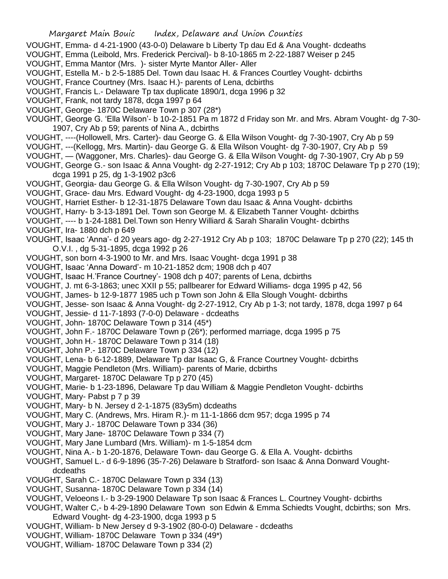- VOUGHT, Emma- d 4-21-1900 (43-0-0) Delaware b Liberty Tp dau Ed & Ana Vought- dcdeaths
- VOUGHT, Emma (Leibold, Mrs. Frederick Percival)- b 8-10-1865 m 2-22-1887 Weiser p 245
- VOUGHT, Emma Mantor (Mrs. )- sister Myrte Mantor Aller- Aller
- VOUGHT, Estella M.- b 2-5-1885 Del. Town dau Isaac H. & Frances Courtley Vought- dcbirths
- VOUGHT, France Courtney (Mrs. Isaac H.)- parents of Lena, dcbirths
- VOUGHT, Francis L.- Delaware Tp tax duplicate 1890/1, dcga 1996 p 32
- VOUGHT, Frank, not tardy 1878, dcga 1997 p 64
- VOUGHT, George- 1870C Delaware Town p 307 (28\*)
- VOUGHT, George G. 'Ella Wilson'- b 10-2-1851 Pa m 1872 d Friday son Mr. and Mrs. Abram Vought- dg 7-30- 1907, Cry Ab p 59; parents of Nina A., dcbirths
- VOUGHT, ----(Hollowell, Mrs. Carter)- dau George G. & Ella Wilson Vought- dg 7-30-1907, Cry Ab p 59
- VOUGHT, ---(Kellogg, Mrs. Martin)- dau George G. & Ella Wilson Vought- dg 7-30-1907, Cry Ab p 59
- VOUGHT, (Waggoner, Mrs. Charles)- dau George G. & Ella Wilson Vought- dg 7-30-1907, Cry Ab p 59
- VOUGHT, George G.- son Isaac & Anna Vought- dg 2-27-1912; Cry Ab p 103; 1870C Delaware Tp p 270 (19); dcga 1991 p 25, dg 1-3-1902 p3c6
- VOUGHT, Georgia- dau George G. & Ella Wilson Vought- dg 7-30-1907, Cry Ab p 59
- VOUGHT, Grace- dau Mrs. Edward Vought- dg 4-23-1900, dcga 1993 p 5
- VOUGHT, Harriet Esther- b 12-31-1875 Delaware Town dau Isaac & Anna Vought- dcbirths
- VOUGHT, Harry- b 3-13-1891 Del. Town son George M. & Elizabeth Tanner Vought- dcbirths
- VOUGHT, ---- b 1-24-1881 Del.Town son Henry Williard & Sarah Sharalin Vought- dcbirths
- VOUGHT, Ira- 1880 dch p 649
- VOUGHT, Isaac 'Anna'- d 20 years ago- dg 2-27-1912 Cry Ab p 103; 1870C Delaware Tp p 270 (22); 145 th O.V.I. , dg 5-31-1895, dcga 1992 p 26
- VOUGHT, son born 4-3-1900 to Mr. and Mrs. Isaac Vought- dcga 1991 p 38
- VOUGHT, Isaac 'Anna Doward'- m 10-21-1852 dcm; 1908 dch p 407
- VOUGHT, Isaac H.'France Courtney'- 1908 dch p 407; parents of Lena, dcbirths
- VOUGHT, J. mt 6-3-1863; unec XXII p 55; pallbearer for Edward Williams- dcga 1995 p 42, 56
- VOUGHT, James- b 12-9-1877 1985 uch p Town son John & Ella Slough Vought- dcbirths
- VOUGHT, Jesse- son Isaac & Anna Vought- dg 2-27-1912, Cry Ab p 1-3; not tardy, 1878, dcga 1997 p 64
- VOUGHT, Jessie- d 11-7-1893 (7-0-0) Delaware dcdeaths
- VOUGHT, John- 1870C Delaware Town p 314 (45\*)
- VOUGHT, John F.- 1870C Delaware Town p (26\*); performed marriage, dcga 1995 p 75
- VOUGHT, John H.- 1870C Delaware Town p 314 (18)
- VOUGHT, John P.- 1870C Delaware Town p 334 (12)
- VOUGHT, Lena- b 6-12-1889, Delaware Tp dar Isaac G, & France Courtney Vought- dcbirths
- VOUGHT, Maggie Pendleton (Mrs. William)- parents of Marie, dcbirths
- VOUGHT, Margaret- 1870C Delaware Tp p 270 (45)
- VOUGHT, Marie- b 1-23-1896, Delaware Tp dau William & Maggie Pendleton Vought- dcbirths
- VOUGHT, Mary- Pabst p 7 p 39
- VOUGHT, Mary- b N. Jersey d 2-1-1875 (83y5m) dcdeaths
- VOUGHT, Mary C. (Andrews, Mrs. Hiram R.)- m 11-1-1866 dcm 957; dcga 1995 p 74
- VOUGHT, Mary J.- 1870C Delaware Town p 334 (36)
- VOUGHT, Mary Jane- 1870C Delaware Town p 334 (7)
- VOUGHT, Mary Jane Lumbard (Mrs. William)- m 1-5-1854 dcm
- VOUGHT, Nina A.- b 1-20-1876, Delaware Town- dau George G. & Ella A. Vought- dcbirths
- VOUGHT, Samuel L.- d 6-9-1896 (35-7-26) Delaware b Stratford- son Isaac & Anna Donward Voughtdcdeaths
- VOUGHT, Sarah C.- 1870C Delaware Town p 334 (13)
- VOUGHT, Susanna- 1870C Delaware Town p 334 (14)
- VOUGHT, Veloeons I.- b 3-29-1900 Delaware Tp son Isaac & Frances L. Courtney Vought- dcbirths
- VOUGHT, Walter C,- b 4-29-1890 Delaware Town son Edwin & Emma Schiedts Vought, dcbirths; son Mrs. Edward Vought- dg 4-23-1900, dcga 1993 p 5
- VOUGHT, William- b New Jersey d 9-3-1902 (80-0-0) Delaware dcdeaths
- VOUGHT, William- 1870C Delaware Town p 334 (49\*)
- VOUGHT, William- 1870C Delaware Town p 334 (2)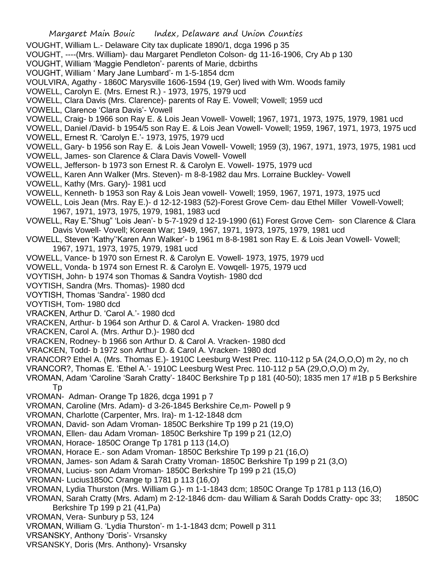- VOUGHT, William L.- Delaware City tax duplicate 1890/1, dcga 1996 p 35
- VOUGHT, ----(Mrs. William)- dau Margaret Pendleton Colson- dg 11-16-1906, Cry Ab p 130
- VOUGHT, William 'Maggie Pendleton'- parents of Marie, dcbirths
- VOUGHT, William ' Mary Jane Lumbard'- m 1-5-1854 dcm
- VOULVIRA, Agathy 1860C Marysville 1606-1594 (19, Ger) lived with Wm. Woods family
- VOWELL, Carolyn E. (Mrs. Ernest R.) 1973, 1975, 1979 ucd
- VOWELL, Clara Davis (Mrs. Clarence)- parents of Ray E. Vowell; Vowell; 1959 ucd
- VOWELL, Clarence 'Clara Davis'- Vowell
- VOWELL, Craig- b 1966 son Ray E. & Lois Jean Vowell- Vowell; 1967, 1971, 1973, 1975, 1979, 1981 ucd
- VOWELL, Daniel /David- b 1954/5 son Ray E. & Lois Jean Vowell- Vowell; 1959, 1967, 1971, 1973, 1975 ucd
- VOWELL, Ernest R. 'Carolyn E.'- 1973, 1975, 1979 ucd
- VOWELL, Gary- b 1956 son Ray E. & Lois Jean Vowell- Vowell; 1959 (3), 1967, 1971, 1973, 1975, 1981 ucd
- VOWELL, James- son Clarence & Clara Davis Vowell- Vowell
- VOWELL, Jefferson- b 1973 son Ernest R. & Carolyn E. Vowell- 1975, 1979 ucd
- VOWELL, Karen Ann Walker (Mrs. Steven)- m 8-8-1982 dau Mrs. Lorraine Buckley- Vowell
- VOWELL, Kathy (Mrs. Gary)- 1981 ucd
- VOWELL, Kenneth- b 1953 son Ray & Lois Jean vowell- Vowell; 1959, 1967, 1971, 1973, 1975 ucd
- VOWELL, Lois Jean (Mrs. Ray E.)- d 12-12-1983 (52)-Forest Grove Cem- dau Ethel Miller Vowell-Vowell; 1967, 1971, 1973, 1975, 1979, 1981, 1983 ucd
- VOWELL, Ray E."Shug" 'Lois Jean'- b 5-7-1929 d 12-19-1990 (61) Forest Grove Cem- son Clarence & Clara Davis Vowell- Vovell; Korean War; 1949, 1967, 1971, 1973, 1975, 1979, 1981 ucd
- VOWELL, Steven 'Kathy''Karen Ann Walker'- b 1961 m 8-8-1981 son Ray E. & Lois Jean Vowell- Vowell; 1967, 1971, 1973, 1975, 1979, 1981 ucd
- VOWELL, Vance- b 1970 son Ernest R. & Carolyn E. Vowell- 1973, 1975, 1979 ucd
- VOWELL, Vonda- b 1974 son Ernest R. & Carolyn E. Vowqell- 1975, 1979 ucd
- VOYTISH, John- b 1974 son Thomas & Sandra Voytish- 1980 dcd
- VOYTISH, Sandra (Mrs. Thomas)- 1980 dcd
- VOYTISH, Thomas 'Sandra'- 1980 dcd
- VOYTISH, Tom- 1980 dcd
- VRACKEN, Arthur D. 'Carol A.'- 1980 dcd
- VRACKEN, Arthur- b 1964 son Arthur D. & Carol A. Vracken- 1980 dcd
- VRACKEN, Carol A. (Mrs. Arthur D.)- 1980 dcd
- VRACKEN, Rodney- b 1966 son Arthur D. & Carol A. Vracken- 1980 dcd
- VRACKEN, Todd- b 1972 son Arthur D. & Carol A. Vracken- 1980 dcd
- VRANCOR? Ethel A. (Mrs. Thomas E.)- 1910C Leesburg West Prec. 110-112 p 5A (24,O,O,O) m 2y, no ch
- VRANCOR?, Thomas E. 'Ethel A.'- 1910C Leesburg West Prec. 110-112 p 5A (29,O,O,O) m 2y,
- VROMAN, Adam 'Caroline 'Sarah Cratty'- 1840C Berkshire Tp p 181 (40-50); 1835 men 17 #1B p 5 Berkshire Tp
- VROMAN- Adman- Orange Tp 1826, dcga 1991 p 7
- VROMAN, Caroline (Mrs. Adam)- d 3-26-1845 Berkshire Ce,m- Powell p 9
- VROMAN, Charlotte (Carpenter, Mrs. Ira)- m 1-12-1848 dcm
- VROMAN, David- son Adam Vroman- 1850C Berkshire Tp 199 p 21 (19,O)
- VROMAN, Ellen- dau Adam Vroman- 1850C Berkshire Tp 199 p 21 (12,O)
- VROMAN, Horace- 1850C Orange Tp 1781 p 113 (14,O)
- VROMAN, Horace E.- son Adam Vroman- 1850C Berkshire Tp 199 p 21 (16,O)
- VROMAN, James- son Adam & Sarah Cratty Vroman- 1850C Berkshire Tp 199 p 21 (3,O)
- VROMAN, Lucius- son Adam Vroman- 1850C Berkshire Tp 199 p 21 (15,O)
- VROMAN- Lucius1850C Orange tp 1781 p 113 (16,O)
- VROMAN, Lydia Thurston (Mrs. William G.)- m 1-1-1843 dcm; 1850C Orange Tp 1781 p 113 (16,O)
- VROMAN, Sarah Cratty (Mrs. Adam) m 2-12-1846 dcm- dau William & Sarah Dodds Cratty- opc 33; 1850C Berkshire Tp 199 p 21 (41,Pa)
- VROMAN, Vera- Sunbury p 53, 124
- VROMAN, William G. 'Lydia Thurston'- m 1-1-1843 dcm; Powell p 311
- VRSANSKY, Anthony 'Doris'- Vrsansky
- VRSANSKY, Doris (Mrs. Anthony)- Vrsansky